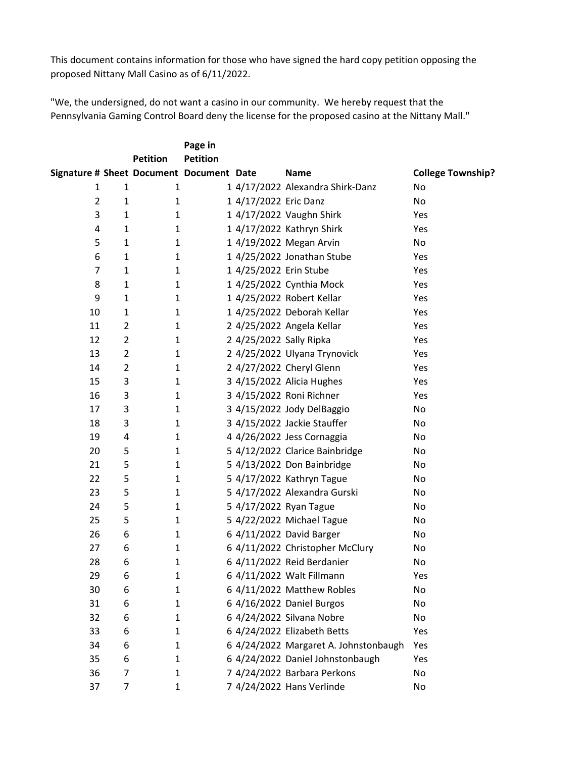This document contains information for those who have signed the hard copy petition opposing the proposed Nittany Mall Casino as of 6/11/2022.

"We, the undersigned, do not want a casino in our community. We hereby request that the Pennsylvania Gaming Control Board deny the license for the proposed casino at the Nittany Mall."

|                                          |                | <b>Petition</b> | Page in<br><b>Petition</b> |                         |                                       |                          |
|------------------------------------------|----------------|-----------------|----------------------------|-------------------------|---------------------------------------|--------------------------|
| Signature # Sheet Document Document Date |                |                 |                            |                         | <b>Name</b>                           | <b>College Township?</b> |
| $\mathbf{1}$                             | $\mathbf{1}$   | $\mathbf{1}$    |                            |                         | 1 4/17/2022 Alexandra Shirk-Danz      | No                       |
| $\overline{2}$                           | $\mathbf{1}$   | $\mathbf{1}$    |                            | 1 4/17/2022 Eric Danz   |                                       | No                       |
| 3                                        | $\mathbf{1}$   | 1               |                            |                         | 1 4/17/2022 Vaughn Shirk              | Yes                      |
| 4                                        | 1              | $\mathbf{1}$    |                            |                         | 1 4/17/2022 Kathryn Shirk             | Yes                      |
| 5                                        | $\mathbf{1}$   | $\mathbf{1}$    |                            |                         | 1 4/19/2022 Megan Arvin               | No                       |
| 6                                        | $\mathbf{1}$   | $\mathbf{1}$    |                            |                         | 1 4/25/2022 Jonathan Stube            | Yes                      |
| $\overline{7}$                           | 1              | $\mathbf{1}$    |                            | 1 4/25/2022 Erin Stube  |                                       | Yes                      |
| 8                                        | $\mathbf{1}$   | $\mathbf{1}$    |                            |                         | 1 4/25/2022 Cynthia Mock              | Yes                      |
| 9                                        | 1              | $\mathbf{1}$    |                            |                         | 1 4/25/2022 Robert Kellar             | Yes                      |
| 10                                       | 1              | $\mathbf{1}$    |                            |                         | 1 4/25/2022 Deborah Kellar            | Yes                      |
| 11                                       | $\overline{2}$ | $\mathbf{1}$    |                            |                         | 2 4/25/2022 Angela Kellar             | Yes                      |
| 12                                       | $\overline{2}$ | $\mathbf{1}$    |                            | 2 4/25/2022 Sally Ripka |                                       | Yes                      |
| 13                                       | $\overline{2}$ | $\mathbf{1}$    |                            |                         | 2 4/25/2022 Ulyana Trynovick          | Yes                      |
| 14                                       | $\overline{2}$ | $\mathbf{1}$    |                            |                         | 2 4/27/2022 Cheryl Glenn              | Yes                      |
| 15                                       | 3              | $\mathbf{1}$    |                            |                         | 3 4/15/2022 Alicia Hughes             | Yes                      |
| 16                                       | 3              | $\mathbf{1}$    |                            |                         | 3 4/15/2022 Roni Richner              | Yes                      |
| 17                                       | 3              | $\mathbf{1}$    |                            |                         | 3 4/15/2022 Jody DelBaggio            | No                       |
| 18                                       | 3              | $\mathbf{1}$    |                            |                         | 3 4/15/2022 Jackie Stauffer           | No                       |
| 19                                       | 4              | $\mathbf{1}$    |                            |                         | 4 4/26/2022 Jess Cornaggia            | No                       |
| 20                                       | 5              | $\mathbf{1}$    |                            |                         | 5 4/12/2022 Clarice Bainbridge        | No                       |
| 21                                       | 5              | $\mathbf{1}$    |                            |                         | 5 4/13/2022 Don Bainbridge            | No                       |
| 22                                       | 5              | 1               |                            |                         | 5 4/17/2022 Kathryn Tague             | No                       |
| 23                                       | 5              | $\mathbf{1}$    |                            |                         | 5 4/17/2022 Alexandra Gurski          | No                       |
| 24                                       | 5              | $\mathbf{1}$    |                            |                         | 5 4/17/2022 Ryan Tague                | No                       |
| 25                                       | 5              | $\mathbf{1}$    |                            |                         | 5 4/22/2022 Michael Tague             | No                       |
| 26                                       | 6              | 1               |                            |                         | 6 4/11/2022 David Barger              | No                       |
| 27                                       | 6              | $\mathbf{1}$    |                            |                         | 6 4/11/2022 Christopher McClury       | No                       |
| 28                                       | 6              | 1               |                            |                         | 6 4/11/2022 Reid Berdanier            | No                       |
| 29                                       | 6              | 1               |                            |                         | 6 4/11/2022 Walt Fillmann             | Yes                      |
| 30                                       | 6              | 1               |                            |                         | 6 4/11/2022 Matthew Robles            | No                       |
| 31                                       | 6              | 1               |                            |                         | 6 4/16/2022 Daniel Burgos             | No                       |
| 32                                       | 6              | 1               |                            |                         | 6 4/24/2022 Silvana Nobre             | No                       |
| 33                                       | 6              | 1               |                            |                         | 6 4/24/2022 Elizabeth Betts           | Yes                      |
| 34                                       | 6              | 1               |                            |                         | 6 4/24/2022 Margaret A. Johnstonbaugh | Yes                      |
| 35                                       | 6              | 1               |                            |                         | 6 4/24/2022 Daniel Johnstonbaugh      | Yes                      |
| 36                                       | $\overline{7}$ | $\mathbf{1}$    |                            |                         | 7 4/24/2022 Barbara Perkons           | No                       |
| 37                                       | 7              | 1               |                            |                         | 7 4/24/2022 Hans Verlinde             | No                       |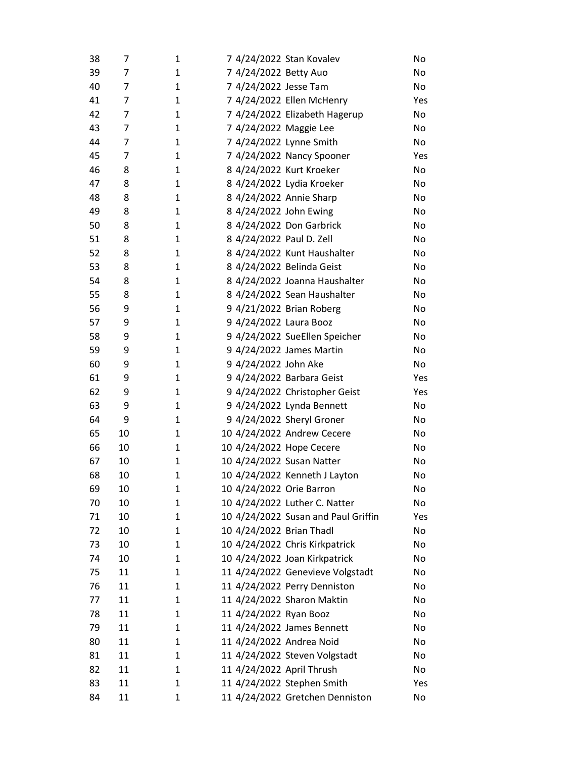| 38 | 7  | 1            | 7 4/24/2022 Stan Kovalev            | No        |
|----|----|--------------|-------------------------------------|-----------|
| 39 | 7  | 1            | 7 4/24/2022 Betty Auo               | No        |
| 40 | 7  | 1            | 7 4/24/2022 Jesse Tam               | No        |
| 41 | 7  | 1            | 7 4/24/2022 Ellen McHenry           | Yes       |
| 42 | 7  | $\mathbf{1}$ | 7 4/24/2022 Elizabeth Hagerup       | No        |
| 43 | 7  | 1            | 7 4/24/2022 Maggie Lee              | No        |
| 44 | 7  | 1            | 7 4/24/2022 Lynne Smith             | No        |
| 45 | 7  | 1            | 7 4/24/2022 Nancy Spooner           | Yes       |
| 46 | 8  | 1            | 8 4/24/2022 Kurt Kroeker            | No        |
| 47 | 8  | 1            | 8 4/24/2022 Lydia Kroeker           | No        |
| 48 | 8  | $\mathbf{1}$ | 8 4/24/2022 Annie Sharp             | No        |
| 49 | 8  | 1            | 8 4/24/2022 John Ewing              | No        |
| 50 | 8  | $\mathbf{1}$ | 8 4/24/2022 Don Garbrick            | No        |
| 51 | 8  | 1            | 8 4/24/2022 Paul D. Zell            | No        |
| 52 | 8  | 1            | 8 4/24/2022 Kunt Haushalter         | <b>No</b> |
| 53 | 8  | 1            | 8 4/24/2022 Belinda Geist           | No        |
| 54 | 8  | $\mathbf{1}$ | 8 4/24/2022 Joanna Haushalter       | No        |
| 55 | 8  | 1            | 8 4/24/2022 Sean Haushalter         | No        |
| 56 | 9  | $\mathbf{1}$ | 9 4/21/2022 Brian Roberg            | No        |
| 57 | 9  | $\mathbf{1}$ | 9 4/24/2022 Laura Booz              | No        |
| 58 | 9  | 1            | 9 4/24/2022 SueEllen Speicher       | No        |
| 59 | 9  | 1            | 9 4/24/2022 James Martin            | No        |
| 60 | 9  | $\mathbf{1}$ | 9 4/24/2022 John Ake                | No        |
| 61 | 9  | 1            | 9 4/24/2022 Barbara Geist           | Yes       |
| 62 | 9  | 1            | 9 4/24/2022 Christopher Geist       | Yes       |
| 63 | 9  | 1            | 9 4/24/2022 Lynda Bennett           | No        |
| 64 | 9  | 1            | 9 4/24/2022 Sheryl Groner           | No        |
| 65 | 10 | 1            | 10 4/24/2022 Andrew Cecere          | No        |
| 66 | 10 | 1            | 10 4/24/2022 Hope Cecere            | No        |
| 67 | 10 | 1            | 10 4/24/2022 Susan Natter           | No        |
| 68 | 10 | 1            | 10 4/24/2022 Kenneth J Layton       | No        |
| 69 | 10 | 1            | 10 4/24/2022 Orie Barron            | No        |
| 70 | 10 | 1            | 10 4/24/2022 Luther C. Natter       | No        |
| 71 | 10 | 1            | 10 4/24/2022 Susan and Paul Griffin | Yes       |
| 72 | 10 | 1            | 10 4/24/2022 Brian Thadl            | No        |
| 73 | 10 | $\mathbf{1}$ | 10 4/24/2022 Chris Kirkpatrick      | No        |
| 74 | 10 | 1            | 10 4/24/2022 Joan Kirkpatrick       | No        |
| 75 | 11 | 1            | 11 4/24/2022 Genevieve Volgstadt    | No        |
| 76 | 11 | 1            | 11 4/24/2022 Perry Denniston        | No        |
| 77 | 11 | 1            | 11 4/24/2022 Sharon Maktin          | No        |
| 78 | 11 | 1            | 11 4/24/2022 Ryan Booz              | No        |
| 79 | 11 | $\mathbf{1}$ | 11 4/24/2022 James Bennett          | No        |
| 80 | 11 | 1            | 11 4/24/2022 Andrea Noid            | No        |
| 81 | 11 | 1            | 11 4/24/2022 Steven Volgstadt       | No        |
| 82 | 11 | 1            | 11 4/24/2022 April Thrush           | No        |
| 83 | 11 | 1            | 11 4/24/2022 Stephen Smith          | Yes       |
| 84 | 11 | 1            | 11 4/24/2022 Gretchen Denniston     | No        |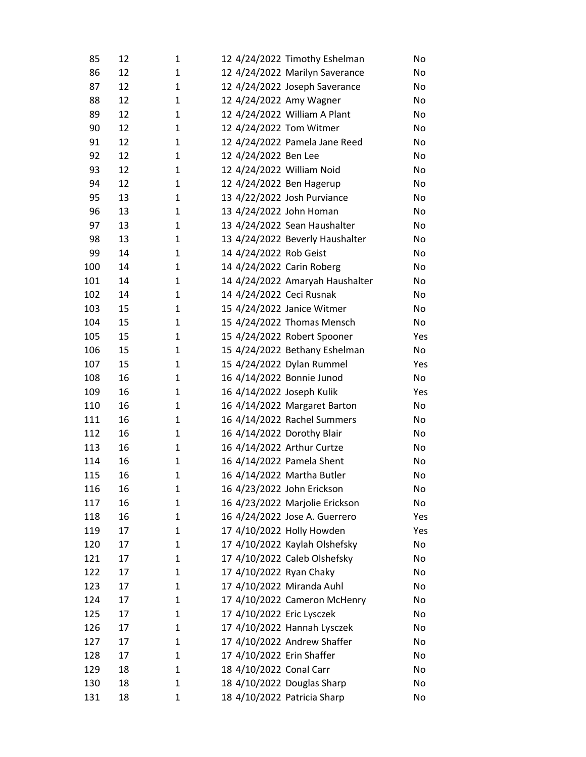| 85  | 12 | 1            | 12 4/24/2022 Timothy Eshelman   | No  |
|-----|----|--------------|---------------------------------|-----|
| 86  | 12 | $\mathbf{1}$ | 12 4/24/2022 Marilyn Saverance  | No  |
| 87  | 12 | $\mathbf{1}$ | 12 4/24/2022 Joseph Saverance   | No  |
| 88  | 12 | $\mathbf{1}$ | 12 4/24/2022 Amy Wagner         | No  |
| 89  | 12 | 1            | 12 4/24/2022 William A Plant    | No  |
| 90  | 12 | $\mathbf{1}$ | 12 4/24/2022 Tom Witmer         | No  |
| 91  | 12 | 1            | 12 4/24/2022 Pamela Jane Reed   | No  |
| 92  | 12 | 1            | 12 4/24/2022 Ben Lee            | No  |
| 93  | 12 | $\mathbf{1}$ | 12 4/24/2022 William Noid       | No  |
| 94  | 12 | $\mathbf{1}$ | 12 4/24/2022 Ben Hagerup        | No  |
| 95  | 13 | 1            | 13 4/22/2022 Josh Purviance     | No  |
| 96  | 13 | 1            | 13 4/24/2022 John Homan         | No  |
| 97  | 13 | 1            | 13 4/24/2022 Sean Haushalter    | No  |
| 98  | 13 | $\mathbf{1}$ | 13 4/24/2022 Beverly Haushalter | No  |
| 99  | 14 | 1            | 14 4/24/2022 Rob Geist          | No  |
| 100 | 14 | $\mathbf{1}$ | 14 4/24/2022 Carin Roberg       | No  |
| 101 | 14 | $\mathbf{1}$ | 14 4/24/2022 Amaryah Haushalter | No  |
| 102 | 14 | 1            | 14 4/24/2022 Ceci Rusnak        | No  |
| 103 | 15 | 1            | 15 4/24/2022 Janice Witmer      | No  |
| 104 | 15 | $\mathbf{1}$ | 15 4/24/2022 Thomas Mensch      | No  |
| 105 | 15 | $\mathbf{1}$ | 15 4/24/2022 Robert Spooner     | Yes |
| 106 | 15 | $\mathbf{1}$ | 15 4/24/2022 Bethany Eshelman   | No  |
| 107 | 15 | 1            | 15 4/24/2022 Dylan Rummel       | Yes |
| 108 | 16 | 1            | 16 4/14/2022 Bonnie Junod       | No  |
| 109 | 16 | $\mathbf{1}$ | 16 4/14/2022 Joseph Kulik       | Yes |
| 110 | 16 | $\mathbf{1}$ | 16 4/14/2022 Margaret Barton    | No  |
| 111 | 16 | $\mathbf{1}$ | 16 4/14/2022 Rachel Summers     | No  |
| 112 | 16 | $\mathbf{1}$ | 16 4/14/2022 Dorothy Blair      | No  |
| 113 | 16 | 1            | 16 4/14/2022 Arthur Curtze      | No  |
| 114 | 16 | $\mathbf{1}$ | 16 4/14/2022 Pamela Shent       | No  |
| 115 | 16 | $\mathbf 1$  | 16 4/14/2022 Martha Butler      | No  |
| 116 | 16 | 1            | 16 4/23/2022 John Erickson      | No  |
| 117 | 16 | 1            | 16 4/23/2022 Marjolie Erickson  | No  |
| 118 | 16 | 1            | 16 4/24/2022 Jose A. Guerrero   | Yes |
| 119 | 17 | 1            | 17 4/10/2022 Holly Howden       | Yes |
| 120 | 17 | 1            | 17 4/10/2022 Kaylah Olshefsky   | No  |
| 121 | 17 | 1            | 17 4/10/2022 Caleb Olshefsky    | No  |
| 122 | 17 | 1            | 17 4/10/2022 Ryan Chaky         | No  |
| 123 | 17 | 1            | 17 4/10/2022 Miranda Auhl       | No  |
| 124 | 17 | 1            | 17 4/10/2022 Cameron McHenry    | No  |
| 125 | 17 | 1            | 17 4/10/2022 Eric Lysczek       | No  |
| 126 | 17 | 1            | 17 4/10/2022 Hannah Lysczek     | No  |
| 127 | 17 | 1            | 17 4/10/2022 Andrew Shaffer     | No  |
| 128 | 17 | 1            | 17 4/10/2022 Erin Shaffer       | No  |
| 129 | 18 | $\mathbf{1}$ | 18 4/10/2022 Conal Carr         | No  |
| 130 | 18 | $\mathbf{1}$ | 18 4/10/2022 Douglas Sharp      | No  |
| 131 | 18 | $\mathbf 1$  | 18 4/10/2022 Patricia Sharp     | No  |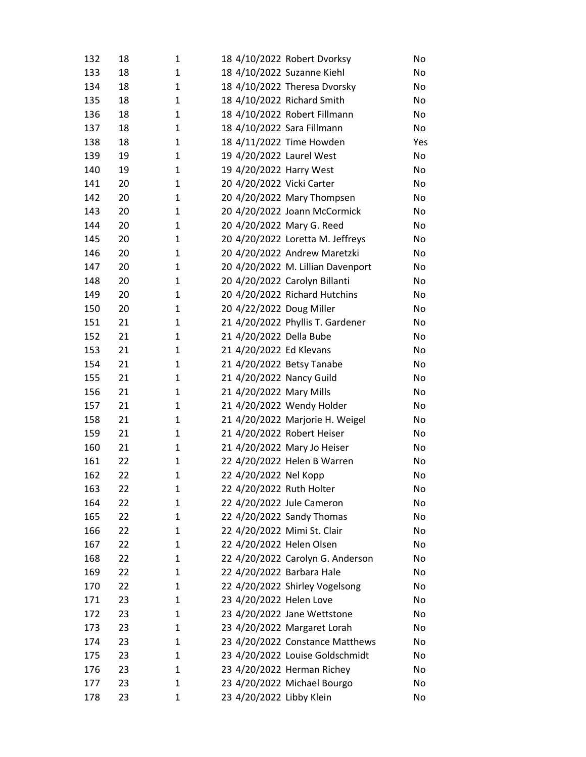| 132        | 18       | 1            | 18 4/10/2022 Robert Dvorksy                                   | No       |
|------------|----------|--------------|---------------------------------------------------------------|----------|
| 133        | 18       | 1            | 18 4/10/2022 Suzanne Kiehl                                    | No       |
| 134        | 18       | $\mathbf{1}$ | 18 4/10/2022 Theresa Dvorsky                                  | No       |
| 135        | 18       | 1            | 18 4/10/2022 Richard Smith                                    | No       |
| 136        | 18       | 1            | 18 4/10/2022 Robert Fillmann                                  | No       |
| 137        | 18       | $\mathbf{1}$ | 18 4/10/2022 Sara Fillmann                                    | No       |
| 138        | 18       | 1            | 18 4/11/2022 Time Howden                                      | Yes      |
| 139        | 19       | $\mathbf{1}$ | 19 4/20/2022 Laurel West                                      | No       |
| 140        | 19       | 1            | 19 4/20/2022 Harry West                                       | No       |
| 141        | 20       | 1            | 20 4/20/2022 Vicki Carter                                     | No       |
| 142        | 20       | 1            | 20 4/20/2022 Mary Thompsen                                    | No       |
| 143        | 20       | 1            | 20 4/20/2022 Joann McCormick                                  | No       |
| 144        | 20       | $\mathbf{1}$ | 20 4/20/2022 Mary G. Reed                                     | No       |
| 145        | 20       | 1            | 20 4/20/2022 Loretta M. Jeffreys                              | No       |
| 146        | 20       | 1            | 20 4/20/2022 Andrew Maretzki                                  | No       |
| 147        | 20       | 1            | 20 4/20/2022 M. Lillian Davenport                             | No       |
| 148        | 20       | 1            | 20 4/20/2022 Carolyn Billanti                                 | No       |
| 149        | 20       | $\mathbf{1}$ | 20 4/20/2022 Richard Hutchins                                 | No       |
| 150        | 20       | 1            | 20 4/22/2022 Doug Miller                                      | No       |
| 151        | 21       | 1            | 21 4/20/2022 Phyllis T. Gardener                              | No       |
| 152        | 21       | 1            | 21 4/20/2022 Della Bube                                       | No       |
| 153        | 21       | 1            | 21 4/20/2022 Ed Klevans                                       | No       |
| 154        | 21       | $\mathbf{1}$ | 21 4/20/2022 Betsy Tanabe                                     | No       |
| 155        | 21       | 1            | 21 4/20/2022 Nancy Guild                                      | No       |
| 156        | 21       | $\mathbf{1}$ | 21 4/20/2022 Mary Mills                                       | No       |
| 157        | 21       | 1            | 21 4/20/2022 Wendy Holder                                     | No       |
| 158        | 21       | $\mathbf{1}$ | 21 4/20/2022 Marjorie H. Weigel                               | No       |
| 159        | 21       | 1            | 21 4/20/2022 Robert Heiser                                    | No       |
| 160        | 21       | 1            | 21 4/20/2022 Mary Jo Heiser                                   | No       |
| 161        | 22       | 1            | 22 4/20/2022 Helen B Warren                                   | No       |
| 162        | 22       | $\mathbf{1}$ | 22 4/20/2022 Nel Kopp                                         | No       |
| 163        | 22       | 1            | 22 4/20/2022 Ruth Holter                                      | No       |
| 164        | 22       | 1            | 22 4/20/2022 Jule Cameron                                     | No       |
| 165        | 22       | 1            | 22 4/20/2022 Sandy Thomas                                     | No       |
| 166        | 22       | 1            | 22 4/20/2022 Mimi St. Clair                                   | No       |
| 167        | 22       | 1            | 22 4/20/2022 Helen Olsen                                      | No       |
| 168        | 22       | 1            | 22 4/20/2022 Carolyn G. Anderson                              | No       |
| 169        | 22       | 1            | 22 4/20/2022 Barbara Hale                                     | No       |
| 170        | 22       | 1            | 22 4/20/2022 Shirley Vogelsong                                | No       |
| 171        | 23       | 1            | 23 4/20/2022 Helen Love                                       | No       |
| 172        | 23       | 1            | 23 4/20/2022 Jane Wettstone                                   | No       |
| 173        | 23       | 1            | 23 4/20/2022 Margaret Lorah                                   | No       |
| 174        | 23<br>23 | 1<br>1       | 23 4/20/2022 Constance Matthews                               | No       |
| 175<br>176 | 23       | 1            | 23 4/20/2022 Louise Goldschmidt<br>23 4/20/2022 Herman Richey | No<br>No |
| 177        | 23       | 1            | 23 4/20/2022 Michael Bourgo                                   | No       |
|            |          |              |                                                               |          |
| 178        | 23       | 1            | 23 4/20/2022 Libby Klein                                      | No       |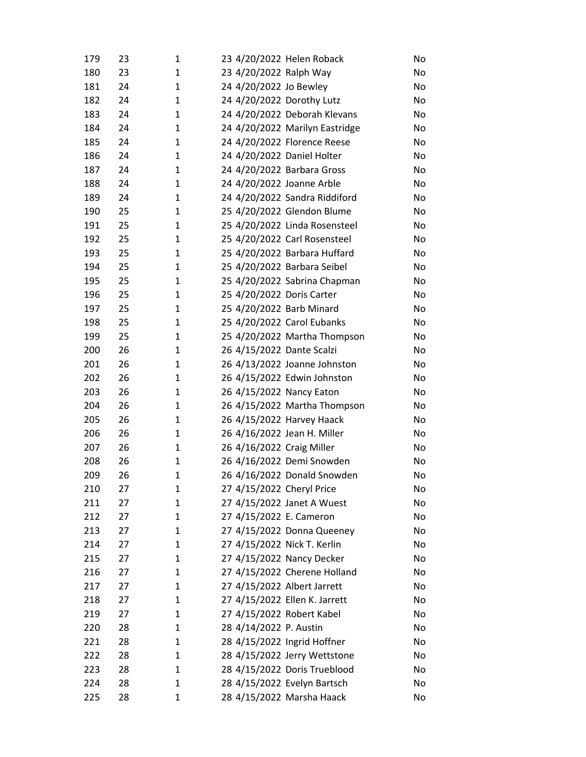| 179        | 23       | 1            | 23 4/20/2022 Helen Roback                                   | No       |
|------------|----------|--------------|-------------------------------------------------------------|----------|
| 180        | 23       | 1            | 23 4/20/2022 Ralph Way                                      | No       |
| 181        | 24       | 1            | 24 4/20/2022 Jo Bewley                                      | No       |
| 182        | 24       | 1            | 24 4/20/2022 Dorothy Lutz                                   | No       |
| 183        | 24       | 1            | 24 4/20/2022 Deborah Klevans                                | No       |
| 184        | 24       | 1            | 24 4/20/2022 Marilyn Eastridge                              | No       |
| 185        | 24       | 1            | 24 4/20/2022 Florence Reese                                 | No       |
| 186        | 24       | 1            | 24 4/20/2022 Daniel Holter                                  | No       |
| 187        | 24       | 1            | 24 4/20/2022 Barbara Gross                                  | No       |
| 188        | 24       | 1            | 24 4/20/2022 Joanne Arble                                   | No       |
| 189        | 24       | 1            | 24 4/20/2022 Sandra Riddiford                               | No       |
| 190        | 25       | 1            | 25 4/20/2022 Glendon Blume                                  | No       |
| 191        | 25       | 1            | 25 4/20/2022 Linda Rosensteel                               | No       |
| 192        | 25       | 1            | 25 4/20/2022 Carl Rosensteel                                | No       |
| 193        | 25       | 1            | 25 4/20/2022 Barbara Huffard                                | No       |
| 194        | 25       | 1            | 25 4/20/2022 Barbara Seibel                                 | No       |
| 195        | 25       | 1            | 25 4/20/2022 Sabrina Chapman                                | No       |
| 196        | 25       | $\mathbf{1}$ | 25 4/20/2022 Doris Carter                                   | No       |
| 197        | 25       | 1            | 25 4/20/2022 Barb Minard                                    | No       |
| 198        | 25       | 1            | 25 4/20/2022 Carol Eubanks                                  | No       |
| 199        | 25       | 1            | 25 4/20/2022 Martha Thompson                                | No       |
| 200        | 26       | 1            | 26 4/15/2022 Dante Scalzi                                   | No       |
| 201        | 26       | 1            | 26 4/13/2022 Joanne Johnston                                | No       |
| 202        | 26       | 1            | 26 4/15/2022 Edwin Johnston                                 | No       |
| 203        | 26       | 1            | 26 4/15/2022 Nancy Eaton                                    | No       |
| 204        | 26       | 1            | 26 4/15/2022 Martha Thompson                                | No       |
| 205        | 26       | 1            | 26 4/15/2022 Harvey Haack                                   | No       |
| 206        | 26       | 1            | 26 4/16/2022 Jean H. Miller                                 | No       |
| 207        | 26       | 1            | 26 4/16/2022 Craig Miller                                   | No       |
| 208        | 26       | 1            | 26 4/16/2022 Demi Snowden                                   | No       |
| 209        | 26       | $\mathbf{1}$ | 26 4/16/2022 Donald Snowden                                 | No       |
| 210        | 27       | 1            | 27 4/15/2022 Cheryl Price                                   | No       |
| 211        | 27       | 1            | 27 4/15/2022 Janet A Wuest                                  | No       |
| 212        | 27       | 1            | 27 4/15/2022 E. Cameron                                     | No       |
| 213        | 27       | 1            | 27 4/15/2022 Donna Queeney                                  | No       |
| 214        | 27       | 1            | 27 4/15/2022 Nick T. Kerlin                                 | No       |
| 215        | 27<br>27 | 1            | 27 4/15/2022 Nancy Decker                                   | No       |
| 216<br>217 | 27       | 1            | 27 4/15/2022 Cherene Holland<br>27 4/15/2022 Albert Jarrett | No<br>No |
| 218        |          | 1            | 27 4/15/2022 Ellen K. Jarrett                               |          |
| 219        | 27<br>27 | 1<br>1       | 27 4/15/2022 Robert Kabel                                   | No<br>No |
| 220        | 28       | 1            | 28 4/14/2022 P. Austin                                      | No       |
| 221        | 28       | 1            | 28 4/15/2022 Ingrid Hoffner                                 | No       |
| 222        | 28       | 1            | 28 4/15/2022 Jerry Wettstone                                | No       |
| 223        | 28       | 1            | 28 4/15/2022 Doris Trueblood                                | No       |
| 224        | 28       | 1            | 28 4/15/2022 Evelyn Bartsch                                 | No       |
| 225        | 28       | 1            | 28 4/15/2022 Marsha Haack                                   | No       |
|            |          |              |                                                             |          |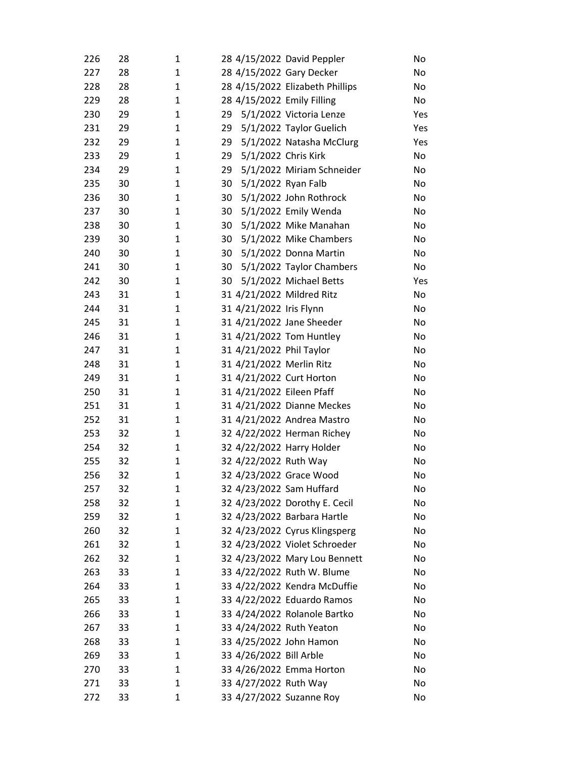| 226 | 28 | 1            | 28 4/15/2022 David Peppler      | No  |
|-----|----|--------------|---------------------------------|-----|
| 227 | 28 | 1            | 28 4/15/2022 Gary Decker        | No  |
| 228 | 28 | 1            | 28 4/15/2022 Elizabeth Phillips | No  |
| 229 | 28 | 1            | 28 4/15/2022 Emily Filling      | No  |
| 230 | 29 | 1            | 5/1/2022 Victoria Lenze<br>29   | Yes |
| 231 | 29 | 1            | 5/1/2022 Taylor Guelich<br>29   | Yes |
| 232 | 29 | 1            | 5/1/2022 Natasha McClurg<br>29  | Yes |
| 233 | 29 | $\mathbf{1}$ | 29<br>5/1/2022 Chris Kirk       | No  |
| 234 | 29 | 1            | 29<br>5/1/2022 Miriam Schneider | No  |
| 235 | 30 | $\mathbf{1}$ | 30<br>5/1/2022 Ryan Falb        | No  |
| 236 | 30 | 1            | 5/1/2022 John Rothrock<br>30    | No  |
| 237 | 30 | 1            | 5/1/2022 Emily Wenda<br>30      | No  |
| 238 | 30 | 1            | 30<br>5/1/2022 Mike Manahan     | No  |
| 239 | 30 | 1            | 5/1/2022 Mike Chambers<br>30    | No  |
| 240 | 30 | 1            | 5/1/2022 Donna Martin<br>30     | No  |
| 241 | 30 | 1            | 5/1/2022 Taylor Chambers<br>30  | No  |
| 242 | 30 | 1            | 30<br>5/1/2022 Michael Betts    | Yes |
| 243 | 31 | $\mathbf{1}$ | 31 4/21/2022 Mildred Ritz       | No  |
| 244 | 31 | 1            | 31 4/21/2022 Iris Flynn         | No  |
| 245 | 31 | 1            | 31 4/21/2022 Jane Sheeder       | No  |
| 246 | 31 | 1            | 31 4/21/2022 Tom Huntley        | No  |
| 247 | 31 | 1            | 31 4/21/2022 Phil Taylor        | No  |
| 248 | 31 | 1            | 31 4/21/2022 Merlin Ritz        | No  |
| 249 | 31 | 1            | 31 4/21/2022 Curt Horton        | No  |
| 250 | 31 | 1            | 31 4/21/2022 Eileen Pfaff       | No  |
| 251 | 31 | 1            | 31 4/21/2022 Dianne Meckes      | No  |
| 252 | 31 | 1            | 31 4/21/2022 Andrea Mastro      | No  |
| 253 | 32 | 1            | 32 4/22/2022 Herman Richey      | No  |
| 254 | 32 | $\mathbf{1}$ | 32 4/22/2022 Harry Holder       | No  |
| 255 | 32 | 1            | 32 4/22/2022 Ruth Way           | No  |
| 256 | 32 | $\mathbf{1}$ | 32 4/23/2022 Grace Wood         | No  |
| 257 | 32 | 1            | 32 4/23/2022 Sam Huffard        | No  |
| 258 | 32 | 1            | 32 4/23/2022 Dorothy E. Cecil   | No  |
| 259 | 32 | 1            | 32 4/23/2022 Barbara Hartle     | No  |
| 260 | 32 | 1            | 32 4/23/2022 Cyrus Klingsperg   | No  |
| 261 | 32 | 1            | 32 4/23/2022 Violet Schroeder   | No  |
| 262 | 32 | 1            | 32 4/23/2022 Mary Lou Bennett   | No  |
| 263 | 33 | 1            | 33 4/22/2022 Ruth W. Blume      | No  |
| 264 | 33 | 1            | 33 4/22/2022 Kendra McDuffie    | No  |
| 265 | 33 | 1            | 33 4/22/2022 Eduardo Ramos      | No  |
| 266 | 33 | 1            | 33 4/24/2022 Rolanole Bartko    | No  |
| 267 | 33 | 1            | 33 4/24/2022 Ruth Yeaton        | No  |
| 268 | 33 | 1            | 33 4/25/2022 John Hamon         | No  |
| 269 | 33 | 1            | 33 4/26/2022 Bill Arble         | No  |
| 270 | 33 | 1            | 33 4/26/2022 Emma Horton        | No  |
| 271 | 33 | 1            | 33 4/27/2022 Ruth Way           | No  |
| 272 | 33 | 1            | 33 4/27/2022 Suzanne Roy        | No  |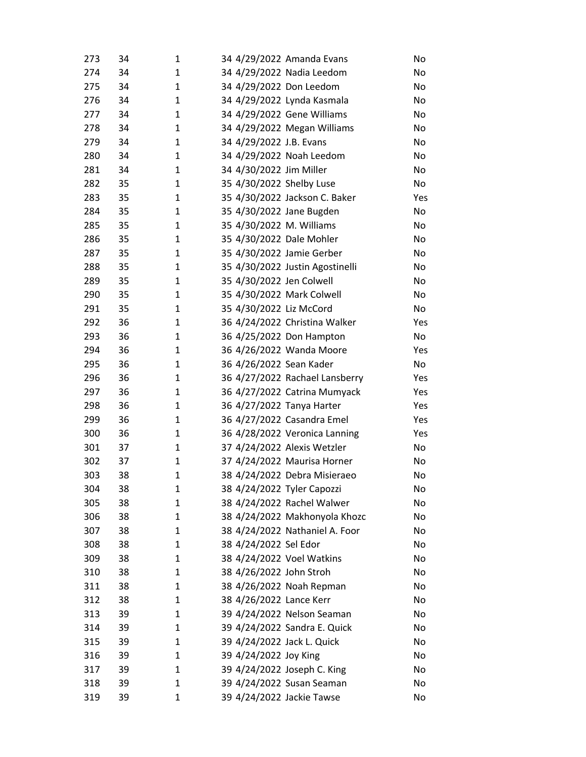| 273 | 34 | 1            | 34 4/29/2022 Amanda Evans       | No  |
|-----|----|--------------|---------------------------------|-----|
| 274 | 34 | 1            | 34 4/29/2022 Nadia Leedom       | No  |
| 275 | 34 | 1            | 34 4/29/2022 Don Leedom         | No  |
| 276 | 34 | 1            | 34 4/29/2022 Lynda Kasmala      | No  |
| 277 | 34 | 1            | 34 4/29/2022 Gene Williams      | No  |
| 278 | 34 | $\mathbf{1}$ | 34 4/29/2022 Megan Williams     | No  |
| 279 | 34 | 1            | 34 4/29/2022 J.B. Evans         | No  |
| 280 | 34 | 1            | 34 4/29/2022 Noah Leedom        | No  |
| 281 | 34 | 1            | 34 4/30/2022 Jim Miller         | No  |
| 282 | 35 | 1            | 35 4/30/2022 Shelby Luse        | No  |
| 283 | 35 | 1            | 35 4/30/2022 Jackson C. Baker   | Yes |
| 284 | 35 | 1            | 35 4/30/2022 Jane Bugden        | No  |
| 285 | 35 | 1            | 35 4/30/2022 M. Williams        | No  |
| 286 | 35 | 1            | 35 4/30/2022 Dale Mohler        | No  |
| 287 | 35 | 1            | 35 4/30/2022 Jamie Gerber       | No  |
| 288 | 35 | 1            | 35 4/30/2022 Justin Agostinelli | No  |
| 289 | 35 | 1            | 35 4/30/2022 Jen Colwell        | No  |
| 290 | 35 | 1            | 35 4/30/2022 Mark Colwell       | No  |
| 291 | 35 | 1            | 35 4/30/2022 Liz McCord         | No  |
| 292 | 36 | 1            | 36 4/24/2022 Christina Walker   | Yes |
| 293 | 36 | 1            | 36 4/25/2022 Don Hampton        | No  |
| 294 | 36 | 1            | 36 4/26/2022 Wanda Moore        | Yes |
| 295 | 36 | 1            | 36 4/26/2022 Sean Kader         | No  |
| 296 | 36 | 1            | 36 4/27/2022 Rachael Lansberry  | Yes |
| 297 | 36 | 1            | 36 4/27/2022 Catrina Mumyack    | Yes |
| 298 | 36 | 1            | 36 4/27/2022 Tanya Harter       | Yes |
| 299 | 36 | 1            | 36 4/27/2022 Casandra Emel      | Yes |
| 300 | 36 | 1            | 36 4/28/2022 Veronica Lanning   | Yes |
| 301 | 37 | 1            | 37 4/24/2022 Alexis Wetzler     | No  |
| 302 | 37 | 1            | 37 4/24/2022 Maurisa Horner     | No  |
| 303 | 38 | $\mathbf{1}$ | 38 4/24/2022 Debra Misieraeo    | No  |
| 304 | 38 | 1            | 38 4/24/2022 Tyler Capozzi      | No  |
| 305 | 38 | 1            | 38 4/24/2022 Rachel Walwer      | No  |
| 306 | 38 | 1            | 38 4/24/2022 Makhonyola Khozc   | No  |
| 307 | 38 | 1            | 38 4/24/2022 Nathaniel A. Foor  | No  |
| 308 | 38 | 1            | 38 4/24/2022 Sel Edor           | No  |
| 309 | 38 | 1            | 38 4/24/2022 Voel Watkins       | No  |
| 310 | 38 | 1            | 38 4/26/2022 John Stroh         | No  |
| 311 | 38 | 1            | 38 4/26/2022 Noah Repman        | No  |
| 312 | 38 | 1            | 38 4/26/2022 Lance Kerr         | No  |
| 313 | 39 | 1            | 39 4/24/2022 Nelson Seaman      | No  |
| 314 | 39 | 1            | 39 4/24/2022 Sandra E. Quick    | No  |
| 315 | 39 | 1            | 39 4/24/2022 Jack L. Quick      | No  |
| 316 | 39 | 1            | 39 4/24/2022 Joy King           | No  |
| 317 | 39 | 1            | 39 4/24/2022 Joseph C. King     | No  |
| 318 | 39 | 1            | 39 4/24/2022 Susan Seaman       | No  |
| 319 | 39 | 1            | 39 4/24/2022 Jackie Tawse       | No  |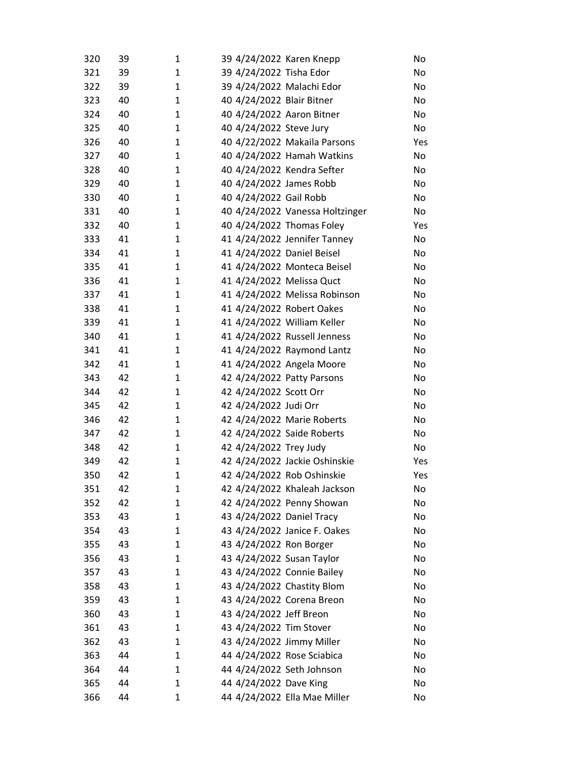| 320        | 39       | 1      | 39 4/24/2022 Karen Knepp                                    |                                 | No       |
|------------|----------|--------|-------------------------------------------------------------|---------------------------------|----------|
| 321        | 39       | 1      | 39 4/24/2022 Tisha Edor                                     |                                 | No       |
| 322        | 39       | 1      | 39 4/24/2022 Malachi Edor                                   |                                 | No       |
| 323        | 40       | 1      | 40 4/24/2022 Blair Bitner                                   |                                 | No       |
| 324        | 40       | 1      | 40 4/24/2022 Aaron Bitner                                   |                                 | No       |
| 325        | 40       | 1      | 40 4/24/2022 Steve Jury                                     |                                 | No       |
| 326        | 40       | 1      | 40 4/22/2022 Makaila Parsons                                |                                 | Yes      |
| 327        | 40       | 1      | 40 4/24/2022 Hamah Watkins                                  |                                 | No       |
| 328        | 40       | 1      | 40 4/24/2022 Kendra Sefter                                  |                                 | No       |
| 329        | 40       | 1      | 40 4/24/2022 James Robb                                     |                                 | No       |
| 330        | 40       | 1      | 40 4/24/2022 Gail Robb                                      |                                 | No       |
| 331        | 40       | 1      |                                                             | 40 4/24/2022 Vanessa Holtzinger | No       |
| 332        | 40       | 1      | 40 4/24/2022 Thomas Foley                                   |                                 | Yes      |
| 333        | 41       | 1      | 41 4/24/2022 Jennifer Tanney                                |                                 | No       |
| 334        | 41       | 1      | 41 4/24/2022 Daniel Beisel                                  |                                 | No       |
| 335        | 41       | 1      | 41 4/24/2022 Monteca Beisel                                 |                                 | No       |
| 336        | 41       | 1      | 41 4/24/2022 Melissa Quct                                   |                                 | No       |
| 337        | 41       | 1      |                                                             | 41 4/24/2022 Melissa Robinson   | No       |
| 338        | 41       | 1      | 41 4/24/2022 Robert Oakes                                   |                                 | No       |
| 339        | 41       | 1      | 41 4/24/2022 William Keller                                 |                                 | No       |
| 340        | 41       | 1      | 41 4/24/2022 Russell Jenness                                |                                 | No       |
| 341        | 41       | 1      | 41 4/24/2022 Raymond Lantz                                  |                                 | No       |
| 342        | 41       | 1      | 41 4/24/2022 Angela Moore                                   |                                 | No       |
| 343        | 42       | 1      | 42 4/24/2022 Patty Parsons                                  |                                 | No       |
| 344        | 42       | 1      | 42 4/24/2022 Scott Orr                                      |                                 | No       |
| 345        | 42       | 1      | 42 4/24/2022 Judi Orr                                       |                                 | No       |
| 346        | 42       | 1      | 42 4/24/2022 Marie Roberts                                  |                                 | No       |
| 347        | 42       | 1      | 42 4/24/2022 Saide Roberts                                  |                                 | No       |
| 348        | 42       | 1      | 42 4/24/2022 Trey Judy                                      |                                 | No       |
| 349        | 42<br>42 | 1      | 42 4/24/2022 Jackie Oshinskie<br>42 4/24/2022 Rob Oshinskie |                                 | Yes      |
| 350        |          | 1<br>1 |                                                             |                                 | Yes      |
| 351<br>352 | 42<br>42 | 1      | 42 4/24/2022 Khaleah Jackson<br>42 4/24/2022 Penny Showan   |                                 | No<br>No |
| 353        | 43       | 1      | 43 4/24/2022 Daniel Tracy                                   |                                 | No       |
| 354        | 43       | 1      | 43 4/24/2022 Janice F. Oakes                                |                                 | No       |
| 355        | 43       | 1      | 43 4/24/2022 Ron Borger                                     |                                 | No       |
| 356        | 43       | 1      | 43 4/24/2022 Susan Taylor                                   |                                 | No       |
| 357        | 43       | 1      | 43 4/24/2022 Connie Bailey                                  |                                 | No       |
| 358        | 43       | 1      | 43 4/24/2022 Chastity Blom                                  |                                 | No       |
| 359        | 43       | 1      | 43 4/24/2022 Corena Breon                                   |                                 | No       |
| 360        | 43       | 1      | 43 4/24/2022 Jeff Breon                                     |                                 | No       |
| 361        | 43       | 1      | 43 4/24/2022 Tim Stover                                     |                                 | No       |
| 362        | 43       | 1      | 43 4/24/2022 Jimmy Miller                                   |                                 | No       |
| 363        | 44       | 1      | 44 4/24/2022 Rose Sciabica                                  |                                 | No       |
| 364        | 44       | 1      | 44 4/24/2022 Seth Johnson                                   |                                 | No       |
| 365        | 44       | 1      | 44 4/24/2022 Dave King                                      |                                 | No       |
| 366        | 44       | 1      | 44 4/24/2022 Ella Mae Miller                                |                                 | No       |
|            |          |        |                                                             |                                 |          |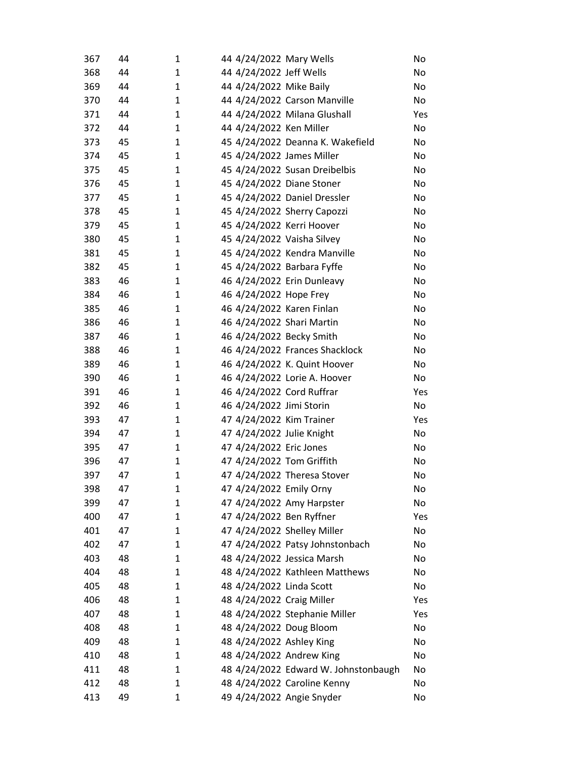| 367 | 44 | 1            | 44 4/24/2022 Mary Wells              | No  |
|-----|----|--------------|--------------------------------------|-----|
| 368 | 44 | 1            | 44 4/24/2022 Jeff Wells              | No  |
| 369 | 44 | 1            | 44 4/24/2022 Mike Baily              | No  |
| 370 | 44 | 1            | 44 4/24/2022 Carson Manville         | No  |
| 371 | 44 | 1            | 44 4/24/2022 Milana Glushall         | Yes |
| 372 | 44 | 1            | 44 4/24/2022 Ken Miller              | No  |
| 373 | 45 | 1            | 45 4/24/2022 Deanna K. Wakefield     | No  |
| 374 | 45 | 1            | 45 4/24/2022 James Miller            | No  |
| 375 | 45 | 1            | 45 4/24/2022 Susan Dreibelbis        | No  |
| 376 | 45 | 1            | 45 4/24/2022 Diane Stoner            | No  |
| 377 | 45 | 1            | 45 4/24/2022 Daniel Dressler         | No  |
| 378 | 45 | 1            | 45 4/24/2022 Sherry Capozzi          | No  |
| 379 | 45 | 1            | 45 4/24/2022 Kerri Hoover            | No  |
| 380 | 45 | 1            | 45 4/24/2022 Vaisha Silvey           | No  |
| 381 | 45 | 1            | 45 4/24/2022 Kendra Manville         | No  |
| 382 | 45 | 1            | 45 4/24/2022 Barbara Fyffe           | No  |
| 383 | 46 | 1            | 46 4/24/2022 Erin Dunleavy           | No  |
| 384 | 46 | 1            | 46 4/24/2022 Hope Frey               | No  |
| 385 | 46 | 1            | 46 4/24/2022 Karen Finlan            | No  |
| 386 | 46 | 1            | 46 4/24/2022 Shari Martin            | No  |
| 387 | 46 | 1            | 46 4/24/2022 Becky Smith             | No  |
| 388 | 46 | 1            | 46 4/24/2022 Frances Shacklock       | No  |
| 389 | 46 | 1            | 46 4/24/2022 K. Quint Hoover         | No  |
| 390 | 46 | 1            | 46 4/24/2022 Lorie A. Hoover         | No  |
| 391 | 46 | $\mathbf{1}$ | 46 4/24/2022 Cord Ruffrar            | Yes |
| 392 | 46 | 1            | 46 4/24/2022 Jimi Storin             | No  |
| 393 | 47 | 1            | 47 4/24/2022 Kim Trainer             | Yes |
| 394 | 47 | 1            | 47 4/24/2022 Julie Knight            | No  |
| 395 | 47 | 1            | 47 4/24/2022 Eric Jones              | No  |
| 396 | 47 | 1            | 47 4/24/2022 Tom Griffith            | No  |
| 397 | 47 | $\mathbf{1}$ | 47 4/24/2022 Theresa Stover          | No  |
| 398 | 47 | 1            | 47 4/24/2022 Emily Orny              | No  |
| 399 | 47 | 1            | 47 4/24/2022 Amy Harpster            | No  |
| 400 | 47 | 1            | 47 4/24/2022 Ben Ryffner             | Yes |
| 401 | 47 | 1            | 47 4/24/2022 Shelley Miller          | No  |
| 402 | 47 | 1            | 47 4/24/2022 Patsy Johnstonbach      | No  |
| 403 | 48 | 1            | 48 4/24/2022 Jessica Marsh           | No  |
| 404 | 48 | 1            | 48 4/24/2022 Kathleen Matthews       | No  |
| 405 | 48 | 1            | 48 4/24/2022 Linda Scott             | No  |
| 406 | 48 | 1            | 48 4/24/2022 Craig Miller            | Yes |
| 407 | 48 | 1            | 48 4/24/2022 Stephanie Miller        | Yes |
| 408 | 48 | 1            | 48 4/24/2022 Doug Bloom              | No  |
| 409 | 48 | 1            | 48 4/24/2022 Ashley King             | No  |
| 410 | 48 | 1            | 48 4/24/2022 Andrew King             | No  |
| 411 | 48 | 1            | 48 4/24/2022 Edward W. Johnstonbaugh | No  |
| 412 | 48 | 1            | 48 4/24/2022 Caroline Kenny          | No  |
| 413 | 49 | 1            | 49 4/24/2022 Angie Snyder            | No  |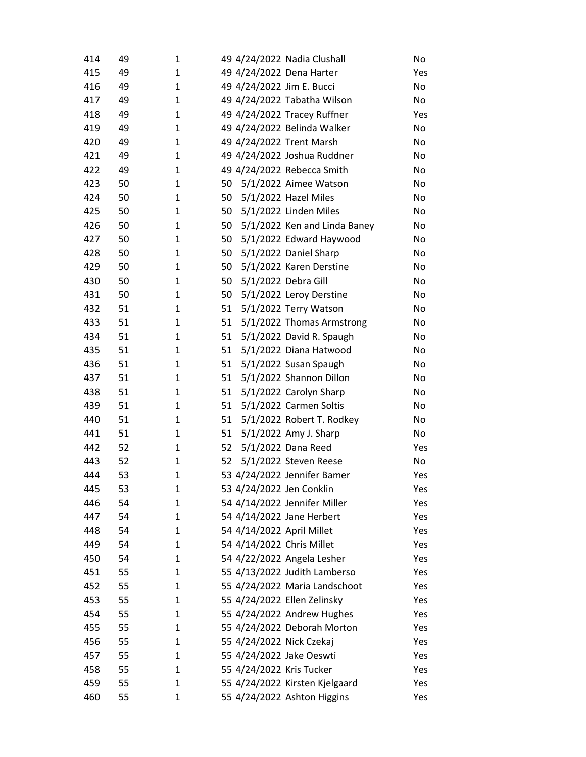| 414 | 49 | 1 | 49 4/24/2022 Nadia Clushall        | No  |
|-----|----|---|------------------------------------|-----|
| 415 | 49 | 1 | 49 4/24/2022 Dena Harter           | Yes |
| 416 | 49 | 1 | 49 4/24/2022 Jim E. Bucci          | No  |
| 417 | 49 | 1 | 49 4/24/2022 Tabatha Wilson        | No  |
| 418 | 49 | 1 | 49 4/24/2022 Tracey Ruffner        | Yes |
| 419 | 49 | 1 | 49 4/24/2022 Belinda Walker        | No  |
| 420 | 49 | 1 | 49 4/24/2022 Trent Marsh           | No  |
| 421 | 49 | 1 | 49 4/24/2022 Joshua Ruddner        | No  |
| 422 | 49 | 1 | 49 4/24/2022 Rebecca Smith         | No  |
| 423 | 50 | 1 | 50<br>5/1/2022 Aimee Watson        | No  |
| 424 | 50 | 1 | 5/1/2022 Hazel Miles<br>50         | No  |
| 425 | 50 | 1 | 50<br>5/1/2022 Linden Miles        | No  |
| 426 | 50 | 1 | 50<br>5/1/2022 Ken and Linda Baney | No  |
| 427 | 50 | 1 | 5/1/2022 Edward Haywood<br>50      | No  |
| 428 | 50 | 1 | 50<br>5/1/2022 Daniel Sharp        | No  |
| 429 | 50 | 1 | 50<br>5/1/2022 Karen Derstine      | No  |
| 430 | 50 | 1 | 50<br>5/1/2022 Debra Gill          | No  |
| 431 | 50 | 1 | 50<br>5/1/2022 Leroy Derstine      | No  |
| 432 | 51 | 1 | 51<br>5/1/2022 Terry Watson        | No  |
| 433 | 51 | 1 | 51<br>5/1/2022 Thomas Armstrong    | No  |
| 434 | 51 | 1 | 5/1/2022 David R. Spaugh<br>51     | No  |
| 435 | 51 | 1 | 51<br>5/1/2022 Diana Hatwood       | No  |
| 436 | 51 | 1 | 51<br>5/1/2022 Susan Spaugh        | No  |
| 437 | 51 | 1 | 51<br>5/1/2022 Shannon Dillon      | No  |
| 438 | 51 | 1 | 51<br>5/1/2022 Carolyn Sharp       | No  |
| 439 | 51 | 1 | 51<br>5/1/2022 Carmen Soltis       | No  |
| 440 | 51 | 1 | 51<br>5/1/2022 Robert T. Rodkey    | No  |
| 441 | 51 | 1 | 51<br>5/1/2022 Amy J. Sharp        | No  |
| 442 | 52 | 1 | 52<br>5/1/2022 Dana Reed           | Yes |
| 443 | 52 | 1 | 52<br>5/1/2022 Steven Reese        | No  |
| 444 | 53 | 1 | 53 4/24/2022 Jennifer Bamer        | Yes |
| 445 | 53 | 1 | 53 4/24/2022 Jen Conklin           | Yes |
| 446 | 54 | 1 | 54 4/14/2022 Jennifer Miller       | Yes |
| 447 | 54 | 1 | 54 4/14/2022 Jane Herbert          | Yes |
| 448 | 54 | 1 | 54 4/14/2022 April Millet          | Yes |
| 449 | 54 | 1 | 54 4/14/2022 Chris Millet          | Yes |
| 450 | 54 | 1 | 54 4/22/2022 Angela Lesher         | Yes |
| 451 | 55 | 1 | 55 4/13/2022 Judith Lamberso       | Yes |
| 452 | 55 | 1 | 55 4/24/2022 Maria Landschoot      | Yes |
| 453 | 55 | 1 | 55 4/24/2022 Ellen Zelinsky        | Yes |
| 454 | 55 | 1 | 55 4/24/2022 Andrew Hughes         | Yes |
| 455 | 55 | 1 | 55 4/24/2022 Deborah Morton        | Yes |
| 456 | 55 | 1 | 55 4/24/2022 Nick Czekaj           | Yes |
| 457 | 55 | 1 | 55 4/24/2022 Jake Oeswti           | Yes |
| 458 | 55 | 1 | 55 4/24/2022 Kris Tucker           | Yes |
| 459 | 55 | 1 | 55 4/24/2022 Kirsten Kjelgaard     | Yes |
| 460 | 55 | 1 | 55 4/24/2022 Ashton Higgins        | Yes |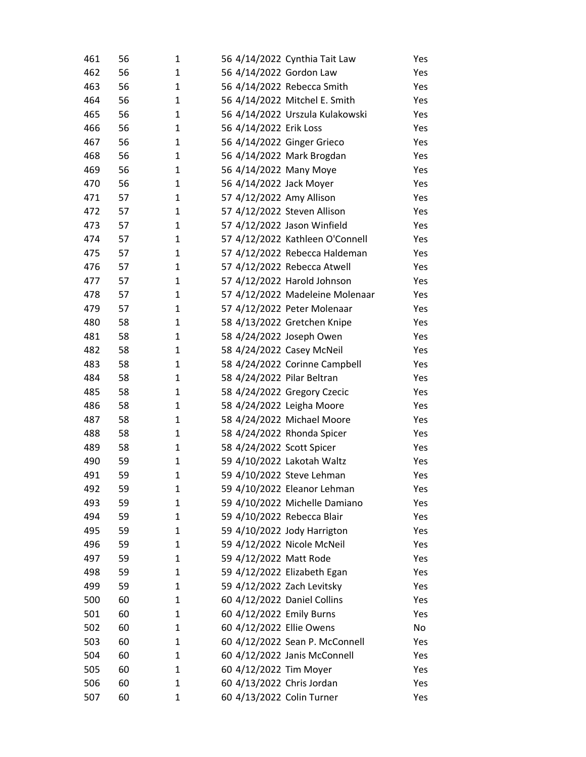| 461 | 56 | 1            | 56 4/14/2022 Cynthia Tait Law   | Yes |
|-----|----|--------------|---------------------------------|-----|
| 462 | 56 | 1            | 56 4/14/2022 Gordon Law         | Yes |
| 463 | 56 | 1            | 56 4/14/2022 Rebecca Smith      | Yes |
| 464 | 56 | 1            | 56 4/14/2022 Mitchel E. Smith   | Yes |
| 465 | 56 | 1            | 56 4/14/2022 Urszula Kulakowski | Yes |
| 466 | 56 | 1            | 56 4/14/2022 Erik Loss          | Yes |
| 467 | 56 | 1            | 56 4/14/2022 Ginger Grieco      | Yes |
| 468 | 56 | 1            | 56 4/14/2022 Mark Brogdan       | Yes |
| 469 | 56 | 1            | 56 4/14/2022 Many Moye          | Yes |
| 470 | 56 | 1            | 56 4/14/2022 Jack Moyer         | Yes |
| 471 | 57 | 1            | 57 4/12/2022 Amy Allison        | Yes |
| 472 | 57 | 1            | 57 4/12/2022 Steven Allison     | Yes |
| 473 | 57 | 1            | 57 4/12/2022 Jason Winfield     | Yes |
| 474 | 57 | 1            | 57 4/12/2022 Kathleen O'Connell | Yes |
| 475 | 57 | 1            | 57 4/12/2022 Rebecca Haldeman   | Yes |
| 476 | 57 | 1            | 57 4/12/2022 Rebecca Atwell     | Yes |
| 477 | 57 | 1            | 57 4/12/2022 Harold Johnson     | Yes |
| 478 | 57 | 1            | 57 4/12/2022 Madeleine Molenaar | Yes |
| 479 | 57 | 1            | 57 4/12/2022 Peter Molenaar     | Yes |
| 480 | 58 | $\mathbf{1}$ | 58 4/13/2022 Gretchen Knipe     | Yes |
| 481 | 58 | 1            | 58 4/24/2022 Joseph Owen        | Yes |
| 482 | 58 | 1            | 58 4/24/2022 Casey McNeil       | Yes |
| 483 | 58 | 1            | 58 4/24/2022 Corinne Campbell   | Yes |
| 484 | 58 | 1            | 58 4/24/2022 Pilar Beltran      | Yes |
| 485 | 58 | 1            | 58 4/24/2022 Gregory Czecic     | Yes |
| 486 | 58 | 1            | 58 4/24/2022 Leigha Moore       | Yes |
| 487 | 58 | 1            | 58 4/24/2022 Michael Moore      | Yes |
| 488 | 58 | 1            | 58 4/24/2022 Rhonda Spicer      | Yes |
| 489 | 58 | 1            | 58 4/24/2022 Scott Spicer       | Yes |
| 490 | 59 | 1            | 59 4/10/2022 Lakotah Waltz      | Yes |
| 491 | 59 | 1            | 59 4/10/2022 Steve Lehman       | Yes |
| 492 | 59 | 1            | 59 4/10/2022 Eleanor Lehman     | Yes |
| 493 | 59 | 1            | 59 4/10/2022 Michelle Damiano   | Yes |
| 494 | 59 | 1            | 59 4/10/2022 Rebecca Blair      | Yes |
| 495 | 59 | 1            | 59 4/10/2022 Jody Harrigton     | Yes |
| 496 | 59 | 1            | 59 4/12/2022 Nicole McNeil      | Yes |
| 497 | 59 | 1            | 59 4/12/2022 Matt Rode          | Yes |
| 498 | 59 | 1            | 59 4/12/2022 Elizabeth Egan     | Yes |
| 499 | 59 | 1            | 59 4/12/2022 Zach Levitsky      | Yes |
| 500 | 60 | 1            | 60 4/12/2022 Daniel Collins     | Yes |
| 501 | 60 | 1            | 60 4/12/2022 Emily Burns        | Yes |
| 502 | 60 | 1            | 60 4/12/2022 Ellie Owens        | No  |
| 503 | 60 | 1            | 60 4/12/2022 Sean P. McConnell  | Yes |
| 504 | 60 | 1            | 60 4/12/2022 Janis McConnell    | Yes |
| 505 | 60 | 1            | 60 4/12/2022 Tim Moyer          | Yes |
| 506 | 60 | $\mathbf 1$  | 60 4/13/2022 Chris Jordan       | Yes |
| 507 | 60 | $\mathbf 1$  | 60 4/13/2022 Colin Turner       | Yes |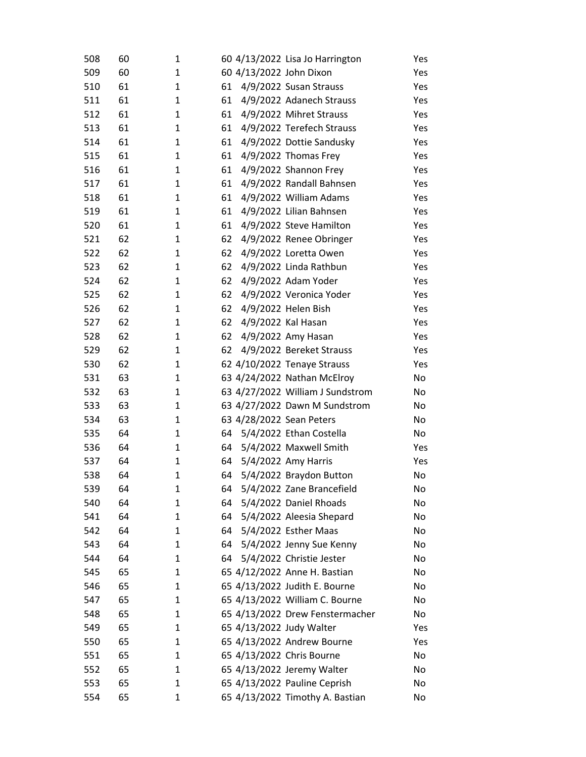| 508 | 60 | 1            |    | 60 4/13/2022 Lisa Jo Harrington  | Yes |
|-----|----|--------------|----|----------------------------------|-----|
| 509 | 60 | 1            |    | 60 4/13/2022 John Dixon          | Yes |
| 510 | 61 | $\mathbf{1}$ | 61 | 4/9/2022 Susan Strauss           | Yes |
| 511 | 61 | 1            | 61 | 4/9/2022 Adanech Strauss         | Yes |
| 512 | 61 | 1            | 61 | 4/9/2022 Mihret Strauss          | Yes |
| 513 | 61 | 1            | 61 | 4/9/2022 Terefech Strauss        | Yes |
| 514 | 61 | 1            | 61 | 4/9/2022 Dottie Sandusky         | Yes |
| 515 | 61 | $\mathbf{1}$ | 61 | 4/9/2022 Thomas Frey             | Yes |
| 516 | 61 | 1            | 61 | 4/9/2022 Shannon Frey            | Yes |
| 517 | 61 | $\mathbf{1}$ | 61 | 4/9/2022 Randall Bahnsen         | Yes |
| 518 | 61 | 1            | 61 | 4/9/2022 William Adams           | Yes |
| 519 | 61 | 1            | 61 | 4/9/2022 Lilian Bahnsen          | Yes |
| 520 | 61 | 1            | 61 | 4/9/2022 Steve Hamilton          | Yes |
| 521 | 62 | 1            | 62 | 4/9/2022 Renee Obringer          | Yes |
| 522 | 62 | $\mathbf{1}$ | 62 | 4/9/2022 Loretta Owen            | Yes |
| 523 | 62 | 1            | 62 | 4/9/2022 Linda Rathbun           | Yes |
| 524 | 62 | 1            | 62 | 4/9/2022 Adam Yoder              | Yes |
| 525 | 62 | $\mathbf{1}$ | 62 | 4/9/2022 Veronica Yoder          | Yes |
| 526 | 62 | 1            | 62 | 4/9/2022 Helen Bish              | Yes |
| 527 | 62 | 1            | 62 | 4/9/2022 Kal Hasan               | Yes |
| 528 | 62 | 1            | 62 | 4/9/2022 Amy Hasan               | Yes |
| 529 | 62 | $\mathbf{1}$ | 62 | 4/9/2022 Bereket Strauss         | Yes |
| 530 | 62 | 1            |    | 62 4/10/2022 Tenaye Strauss      | Yes |
| 531 | 63 | $\mathbf{1}$ |    | 63 4/24/2022 Nathan McElroy      | No  |
| 532 | 63 | $\mathbf{1}$ |    | 63 4/27/2022 William J Sundstrom | No  |
| 533 | 63 | 1            |    | 63 4/27/2022 Dawn M Sundstrom    | No  |
| 534 | 63 | $\mathbf{1}$ |    | 63 4/28/2022 Sean Peters         | No  |
| 535 | 64 | $\mathbf{1}$ | 64 | 5/4/2022 Ethan Costella          | No  |
| 536 | 64 | $\mathbf{1}$ | 64 | 5/4/2022 Maxwell Smith           | Yes |
| 537 | 64 | $\mathbf{1}$ | 64 | 5/4/2022 Amy Harris              | Yes |
| 538 | 64 | 1            | 64 | 5/4/2022 Braydon Button          | No  |
| 539 | 64 | 1            | 64 | 5/4/2022 Zane Brancefield        | No  |
| 540 | 64 | 1            | 64 | 5/4/2022 Daniel Rhoads           | No  |
| 541 | 64 | 1            | 64 | 5/4/2022 Aleesia Shepard         | No  |
| 542 | 64 | 1            | 64 | 5/4/2022 Esther Maas             | No  |
| 543 | 64 | 1            | 64 | 5/4/2022 Jenny Sue Kenny         | No  |
| 544 | 64 | 1            | 64 | 5/4/2022 Christie Jester         | No  |
| 545 | 65 | 1            |    | 65 4/12/2022 Anne H. Bastian     | No  |
| 546 | 65 | 1            |    | 65 4/13/2022 Judith E. Bourne    | No  |
| 547 | 65 | 1            |    | 65 4/13/2022 William C. Bourne   | No  |
| 548 | 65 | 1            |    | 65 4/13/2022 Drew Fenstermacher  | No  |
| 549 | 65 | 1            |    | 65 4/13/2022 Judy Walter         | Yes |
| 550 | 65 | 1            |    | 65 4/13/2022 Andrew Bourne       | Yes |
| 551 | 65 | 1            |    | 65 4/13/2022 Chris Bourne        | No  |
| 552 | 65 | 1            |    | 65 4/13/2022 Jeremy Walter       | No  |
| 553 | 65 | 1            |    | 65 4/13/2022 Pauline Ceprish     | No  |
| 554 | 65 | 1            |    | 65 4/13/2022 Timothy A. Bastian  | No  |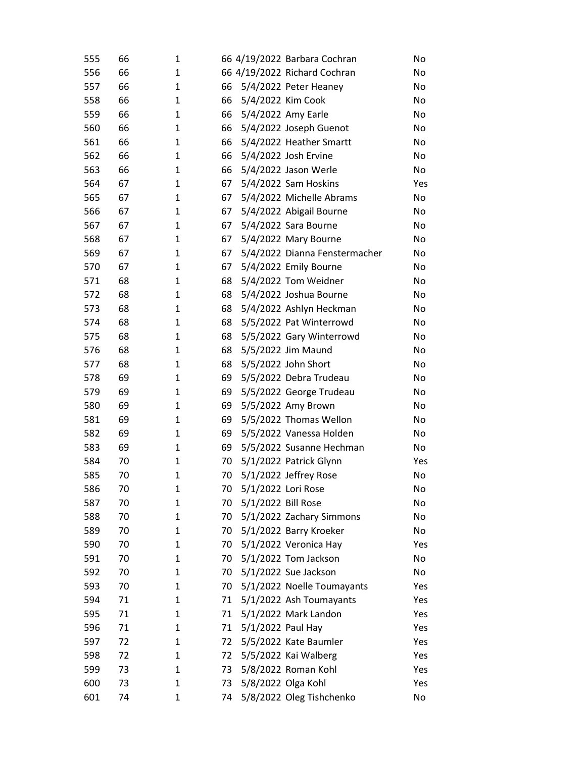| 555 | 66 | 1 |    |                    | 66 4/19/2022 Barbara Cochran  | No  |
|-----|----|---|----|--------------------|-------------------------------|-----|
| 556 | 66 | 1 |    |                    | 66 4/19/2022 Richard Cochran  | No  |
| 557 | 66 | 1 | 66 |                    | 5/4/2022 Peter Heaney         | No  |
| 558 | 66 | 1 | 66 |                    | 5/4/2022 Kim Cook             | No  |
| 559 | 66 | 1 | 66 |                    | 5/4/2022 Amy Earle            | No  |
| 560 | 66 | 1 | 66 |                    | 5/4/2022 Joseph Guenot        | No  |
| 561 | 66 | 1 | 66 |                    | 5/4/2022 Heather Smartt       | No  |
| 562 | 66 | 1 | 66 |                    | 5/4/2022 Josh Ervine          | No  |
| 563 | 66 | 1 | 66 |                    | 5/4/2022 Jason Werle          | No  |
| 564 | 67 | 1 | 67 |                    | 5/4/2022 Sam Hoskins          | Yes |
| 565 | 67 | 1 | 67 |                    | 5/4/2022 Michelle Abrams      | No  |
| 566 | 67 | 1 | 67 |                    | 5/4/2022 Abigail Bourne       | No  |
| 567 | 67 | 1 | 67 |                    | 5/4/2022 Sara Bourne          | No  |
| 568 | 67 | 1 | 67 |                    | 5/4/2022 Mary Bourne          | No  |
| 569 | 67 | 1 | 67 |                    | 5/4/2022 Dianna Fenstermacher | No  |
| 570 | 67 | 1 | 67 |                    | 5/4/2022 Emily Bourne         | No  |
| 571 | 68 | 1 | 68 |                    | 5/4/2022 Tom Weidner          | No  |
| 572 | 68 | 1 | 68 |                    | 5/4/2022 Joshua Bourne        | No  |
| 573 | 68 | 1 | 68 |                    | 5/4/2022 Ashlyn Heckman       | No  |
| 574 | 68 | 1 | 68 |                    | 5/5/2022 Pat Winterrowd       | No  |
| 575 | 68 | 1 | 68 |                    | 5/5/2022 Gary Winterrowd      | No  |
| 576 | 68 | 1 | 68 |                    | 5/5/2022 Jim Maund            | No  |
| 577 | 68 | 1 | 68 |                    | 5/5/2022 John Short           | No  |
| 578 | 69 | 1 | 69 |                    | 5/5/2022 Debra Trudeau        | No  |
| 579 | 69 | 1 | 69 |                    | 5/5/2022 George Trudeau       | No  |
| 580 | 69 | 1 | 69 |                    | 5/5/2022 Amy Brown            | No  |
| 581 | 69 | 1 | 69 |                    | 5/5/2022 Thomas Wellon        | No  |
| 582 | 69 | 1 | 69 |                    | 5/5/2022 Vanessa Holden       | No  |
| 583 | 69 | 1 | 69 |                    | 5/5/2022 Susanne Hechman      | No  |
| 584 | 70 | 1 | 70 |                    | 5/1/2022 Patrick Glynn        | Yes |
| 585 | 70 | 1 | 70 |                    | 5/1/2022 Jeffrey Rose         | No  |
| 586 | 70 | 1 | 70 | 5/1/2022 Lori Rose |                               | No  |
| 587 | 70 | 1 | 70 | 5/1/2022 Bill Rose |                               | No  |
| 588 | 70 | 1 | 70 |                    | 5/1/2022 Zachary Simmons      | No  |
| 589 | 70 | 1 | 70 |                    | 5/1/2022 Barry Kroeker        | No  |
| 590 | 70 | 1 | 70 |                    | 5/1/2022 Veronica Hay         | Yes |
| 591 | 70 | 1 | 70 |                    | 5/1/2022 Tom Jackson          | No  |
| 592 | 70 | 1 | 70 |                    | 5/1/2022 Sue Jackson          | No  |
| 593 | 70 | 1 | 70 |                    | 5/1/2022 Noelle Toumayants    | Yes |
| 594 | 71 | 1 | 71 |                    | 5/1/2022 Ash Toumayants       | Yes |
| 595 | 71 | 1 | 71 |                    | 5/1/2022 Mark Landon          | Yes |
| 596 | 71 | 1 | 71 | 5/1/2022 Paul Hay  |                               | Yes |
| 597 | 72 | 1 | 72 |                    | 5/5/2022 Kate Baumler         | Yes |
| 598 | 72 | 1 | 72 |                    | 5/5/2022 Kai Walberg          | Yes |
| 599 | 73 | 1 | 73 |                    | 5/8/2022 Roman Kohl           | Yes |
| 600 | 73 | 1 | 73 |                    | 5/8/2022 Olga Kohl            | Yes |
| 601 | 74 | 1 | 74 |                    | 5/8/2022 Oleg Tishchenko      | No  |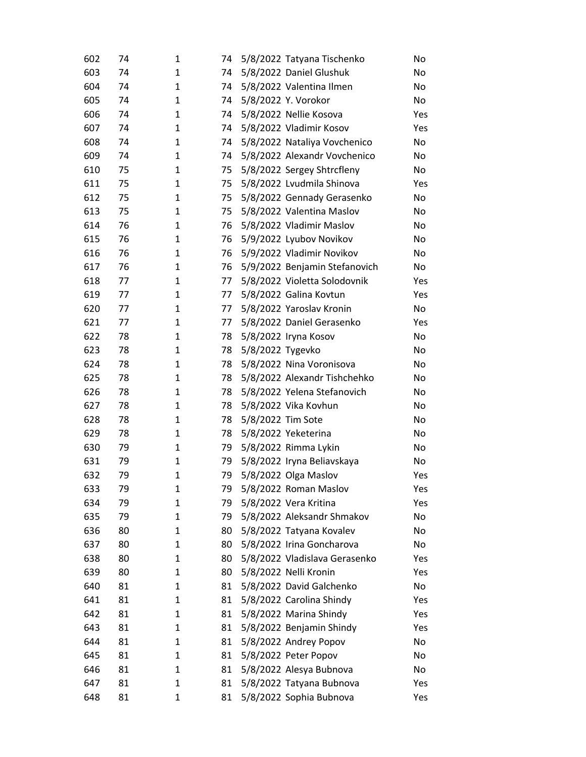| 602 | 74 | 1            | 74 |                   | 5/8/2022 Tatyana Tischenko    | No  |
|-----|----|--------------|----|-------------------|-------------------------------|-----|
| 603 | 74 | 1            | 74 |                   | 5/8/2022 Daniel Glushuk       | No  |
| 604 | 74 | $\mathbf{1}$ | 74 |                   | 5/8/2022 Valentina Ilmen      | No  |
| 605 | 74 | 1            | 74 |                   | 5/8/2022 Y. Vorokor           | No  |
| 606 | 74 | 1            | 74 |                   | 5/8/2022 Nellie Kosova        | Yes |
| 607 | 74 | 1            | 74 |                   | 5/8/2022 Vladimir Kosov       | Yes |
| 608 | 74 | 1            | 74 |                   | 5/8/2022 Nataliya Vovchenico  | No  |
| 609 | 74 | 1            | 74 |                   | 5/8/2022 Alexandr Vovchenico  | No  |
| 610 | 75 | 1            | 75 |                   | 5/8/2022 Sergey Shtrcfleny    | No  |
| 611 | 75 | 1            | 75 |                   | 5/8/2022 Lvudmila Shinova     | Yes |
| 612 | 75 | $\mathbf{1}$ | 75 |                   | 5/8/2022 Gennady Gerasenko    | No  |
| 613 | 75 | 1            | 75 |                   | 5/8/2022 Valentina Maslov     | No  |
| 614 | 76 | 1            | 76 |                   | 5/8/2022 Vladimir Maslov      | No  |
| 615 | 76 | 1            | 76 |                   | 5/9/2022 Lyubov Novikov       | No  |
| 616 | 76 | 1            | 76 |                   | 5/9/2022 Vladimir Novikov     | No  |
| 617 | 76 | 1            | 76 |                   | 5/9/2022 Benjamin Stefanovich | No  |
| 618 | 77 | 1            | 77 |                   | 5/8/2022 Violetta Solodovnik  | Yes |
| 619 | 77 | 1            | 77 |                   | 5/8/2022 Galina Kovtun        | Yes |
| 620 | 77 | 1            | 77 |                   | 5/8/2022 Yaroslav Kronin      | No  |
| 621 | 77 | 1            | 77 |                   | 5/8/2022 Daniel Gerasenko     | Yes |
| 622 | 78 | 1            | 78 |                   | 5/8/2022 Iryna Kosov          | No  |
| 623 | 78 | 1            | 78 | 5/8/2022 Tygevko  |                               | No. |
| 624 | 78 | 1            | 78 |                   | 5/8/2022 Nina Voronisova      | No  |
| 625 | 78 | 1            | 78 |                   | 5/8/2022 Alexandr Tishchehko  | No  |
| 626 | 78 | 1            | 78 |                   | 5/8/2022 Yelena Stefanovich   | No  |
| 627 | 78 | 1            | 78 |                   | 5/8/2022 Vika Kovhun          | No  |
| 628 | 78 | 1            | 78 | 5/8/2022 Tim Sote |                               | No  |
| 629 | 78 | 1            | 78 |                   | 5/8/2022 Yeketerina           | No  |
| 630 | 79 | 1            | 79 |                   | 5/8/2022 Rimma Lykin          | No  |
| 631 | 79 | 1            | 79 |                   | 5/8/2022 Iryna Beliavskaya    | No  |
| 632 | 79 | $\mathbf{1}$ | 79 |                   | 5/8/2022 Olga Maslov          | Yes |
| 633 | 79 | 1            | 79 |                   | 5/8/2022 Roman Maslov         | Yes |
| 634 | 79 | 1            | 79 |                   | 5/8/2022 Vera Kritina         | Yes |
| 635 | 79 | 1            | 79 |                   | 5/8/2022 Aleksandr Shmakov    | No  |
| 636 | 80 | 1            | 80 |                   | 5/8/2022 Tatyana Kovalev      | No  |
| 637 | 80 | 1            | 80 |                   | 5/8/2022 Irina Goncharova     | No  |
| 638 | 80 | 1            | 80 |                   | 5/8/2022 Vladislava Gerasenko | Yes |
| 639 | 80 | 1            | 80 |                   | 5/8/2022 Nelli Kronin         | Yes |
| 640 | 81 | 1            | 81 |                   | 5/8/2022 David Galchenko      | No  |
| 641 | 81 | 1            | 81 |                   | 5/8/2022 Carolina Shindy      | Yes |
| 642 | 81 | 1            | 81 |                   | 5/8/2022 Marina Shindy        | Yes |
| 643 | 81 | 1            | 81 |                   | 5/8/2022 Benjamin Shindy      | Yes |
| 644 | 81 | 1            | 81 |                   | 5/8/2022 Andrey Popov         | No  |
| 645 | 81 | 1            | 81 |                   | 5/8/2022 Peter Popov          | No  |
| 646 | 81 | 1            | 81 |                   | 5/8/2022 Alesya Bubnova       | No  |
| 647 | 81 | 1            | 81 |                   | 5/8/2022 Tatyana Bubnova      | Yes |
| 648 | 81 | $\mathbf{1}$ | 81 |                   | 5/8/2022 Sophia Bubnova       | Yes |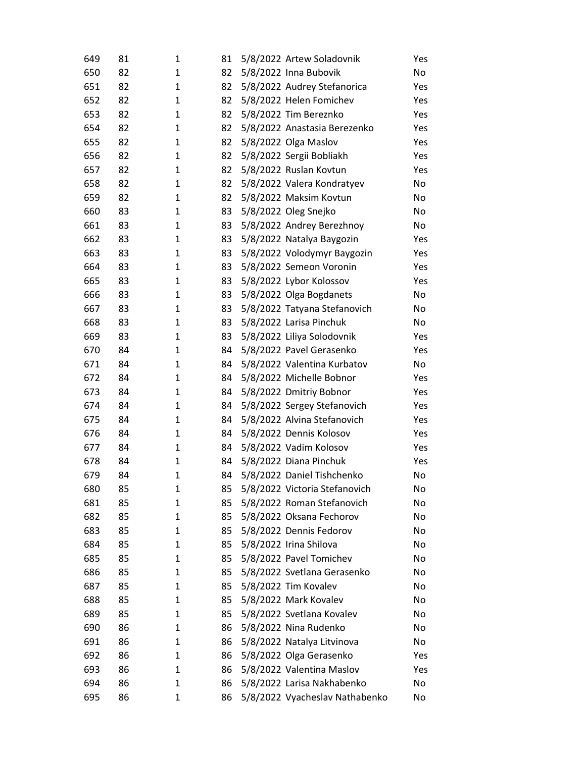| 649 | 81 | 1            | 81 | 5/8/2022 Artew Soladovnik      | Yes |
|-----|----|--------------|----|--------------------------------|-----|
| 650 | 82 | 1            | 82 | 5/8/2022 Inna Bubovik          | No  |
| 651 | 82 | 1            | 82 | 5/8/2022 Audrey Stefanorica    | Yes |
| 652 | 82 | 1            | 82 | 5/8/2022 Helen Fomichev        | Yes |
| 653 | 82 | 1            | 82 | 5/8/2022 Tim Bereznko          | Yes |
| 654 | 82 | 1            | 82 | 5/8/2022 Anastasia Berezenko   | Yes |
| 655 | 82 | 1            | 82 | 5/8/2022 Olga Maslov           | Yes |
| 656 | 82 | 1            | 82 | 5/8/2022 Sergii Bobliakh       | Yes |
| 657 | 82 | 1            | 82 | 5/8/2022 Ruslan Kovtun         | Yes |
| 658 | 82 | 1            | 82 | 5/8/2022 Valera Kondratyev     | No  |
| 659 | 82 | 1            | 82 | 5/8/2022 Maksim Kovtun         | No  |
| 660 | 83 | 1            | 83 | 5/8/2022 Oleg Snejko           | No  |
| 661 | 83 | 1            | 83 | 5/8/2022 Andrey Berezhnoy      | No  |
| 662 | 83 | 1            | 83 | 5/8/2022 Natalya Baygozin      | Yes |
| 663 | 83 | 1            | 83 | 5/8/2022 Volodymyr Baygozin    | Yes |
| 664 | 83 | 1            | 83 | 5/8/2022 Semeon Voronin        | Yes |
| 665 | 83 | 1            | 83 | 5/8/2022 Lybor Kolossov        | Yes |
| 666 | 83 | 1            | 83 | 5/8/2022 Olga Bogdanets        | No  |
| 667 | 83 | 1            | 83 | 5/8/2022 Tatyana Stefanovich   | No  |
| 668 | 83 | 1            | 83 | 5/8/2022 Larisa Pinchuk        | No  |
| 669 | 83 | 1            | 83 | 5/8/2022 Liliya Solodovnik     | Yes |
| 670 | 84 | 1            | 84 | 5/8/2022 Pavel Gerasenko       | Yes |
| 671 | 84 | 1            | 84 | 5/8/2022 Valentina Kurbatov    | No  |
| 672 | 84 | 1            | 84 | 5/8/2022 Michelle Bobnor       | Yes |
| 673 | 84 | $\mathbf{1}$ | 84 | 5/8/2022 Dmitriy Bobnor        | Yes |
| 674 | 84 | 1            | 84 | 5/8/2022 Sergey Stefanovich    | Yes |
| 675 | 84 | 1            | 84 | 5/8/2022 Alvina Stefanovich    | Yes |
| 676 | 84 | $\mathbf{1}$ | 84 | 5/8/2022 Dennis Kolosov        | Yes |
| 677 | 84 | 1            | 84 | 5/8/2022 Vadim Kolosov         | Yes |
| 678 | 84 | 1            | 84 | 5/8/2022 Diana Pinchuk         | Yes |
| 679 | 84 | $\mathbf{1}$ | 84 | 5/8/2022 Daniel Tishchenko     | No  |
| 680 | 85 | 1            | 85 | 5/8/2022 Victoria Stefanovich  | No  |
| 681 | 85 | 1            | 85 | 5/8/2022 Roman Stefanovich     | No  |
| 682 | 85 | 1            | 85 | 5/8/2022 Oksana Fechorov       | No  |
| 683 | 85 | 1            | 85 | 5/8/2022 Dennis Fedorov        | No  |
| 684 | 85 | 1            | 85 | 5/8/2022 Irina Shilova         | No  |
| 685 | 85 | 1            | 85 | 5/8/2022 Pavel Tomichev        | No  |
| 686 | 85 | 1            | 85 | 5/8/2022 Svetlana Gerasenko    | No  |
| 687 | 85 | 1            | 85 | 5/8/2022 Tim Kovalev           | No  |
| 688 | 85 | 1            | 85 | 5/8/2022 Mark Kovalev          | No  |
| 689 | 85 | 1            | 85 | 5/8/2022 Svetlana Kovalev      | No  |
| 690 | 86 | 1            | 86 | 5/8/2022 Nina Rudenko          | No  |
| 691 | 86 | 1            | 86 | 5/8/2022 Natalya Litvinova     | No  |
| 692 | 86 | 1            | 86 | 5/8/2022 Olga Gerasenko        | Yes |
| 693 | 86 | 1            | 86 | 5/8/2022 Valentina Maslov      | Yes |
| 694 | 86 | 1            | 86 | 5/8/2022 Larisa Nakhabenko     | No  |
| 695 | 86 | 1            | 86 | 5/8/2022 Vyacheslav Nathabenko | No  |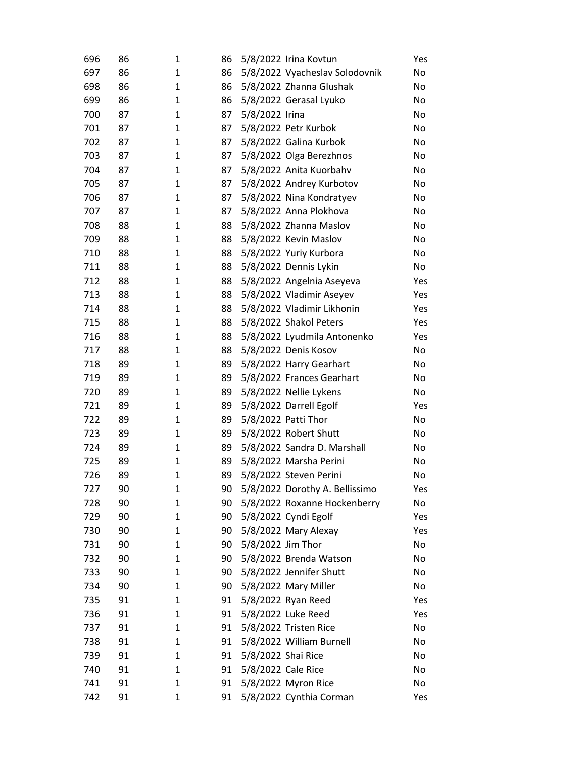| 696 | 86 | 1            | 86 |                    | 5/8/2022 Irina Kovtun          | Yes |
|-----|----|--------------|----|--------------------|--------------------------------|-----|
| 697 | 86 | 1            | 86 |                    | 5/8/2022 Vyacheslav Solodovnik | No  |
| 698 | 86 | 1            | 86 |                    | 5/8/2022 Zhanna Glushak        | No  |
| 699 | 86 | 1            | 86 |                    | 5/8/2022 Gerasal Lyuko         | No  |
| 700 | 87 | 1            | 87 | 5/8/2022 Irina     |                                | No  |
| 701 | 87 | 1            | 87 |                    | 5/8/2022 Petr Kurbok           | No  |
| 702 | 87 | 1            | 87 |                    | 5/8/2022 Galina Kurbok         | No  |
| 703 | 87 | 1            | 87 |                    | 5/8/2022 Olga Berezhnos        | No  |
| 704 | 87 | 1            | 87 |                    | 5/8/2022 Anita Kuorbahv        | No  |
| 705 | 87 | 1            | 87 |                    | 5/8/2022 Andrey Kurbotov       | No  |
| 706 | 87 | 1            | 87 |                    | 5/8/2022 Nina Kondratyev       | No  |
| 707 | 87 | 1            | 87 |                    | 5/8/2022 Anna Plokhova         | No  |
| 708 | 88 | 1            | 88 |                    | 5/8/2022 Zhanna Maslov         | No  |
| 709 | 88 | 1            | 88 |                    | 5/8/2022 Kevin Maslov          | No  |
| 710 | 88 | 1            | 88 |                    | 5/8/2022 Yuriy Kurbora         | No  |
| 711 | 88 | 1            | 88 |                    | 5/8/2022 Dennis Lykin          | No  |
| 712 | 88 | 1            | 88 |                    | 5/8/2022 Angelnia Aseyeva      | Yes |
| 713 | 88 | 1            | 88 |                    | 5/8/2022 Vladimir Aseyev       | Yes |
| 714 | 88 | 1            | 88 |                    | 5/8/2022 Vladimir Likhonin     | Yes |
| 715 | 88 | 1            | 88 |                    | 5/8/2022 Shakol Peters         | Yes |
| 716 | 88 | 1            | 88 |                    | 5/8/2022 Lyudmila Antonenko    | Yes |
| 717 | 88 | 1            | 88 |                    | 5/8/2022 Denis Kosov           | No  |
| 718 | 89 | $\mathbf{1}$ | 89 |                    | 5/8/2022 Harry Gearhart        | No  |
| 719 | 89 | 1            | 89 |                    | 5/8/2022 Frances Gearhart      | No  |
| 720 | 89 | 1            | 89 |                    | 5/8/2022 Nellie Lykens         | No  |
| 721 | 89 | 1            | 89 |                    | 5/8/2022 Darrell Egolf         | Yes |
| 722 | 89 | 1            | 89 |                    | 5/8/2022 Patti Thor            | No  |
| 723 | 89 | 1            | 89 |                    | 5/8/2022 Robert Shutt          | No  |
| 724 | 89 | 1            | 89 |                    | 5/8/2022 Sandra D. Marshall    | No  |
| 725 | 89 | 1            | 89 |                    | 5/8/2022 Marsha Perini         | No  |
| 726 | 89 | 1            | 89 |                    | 5/8/2022 Steven Perini         | No  |
| 727 | 90 | 1            | 90 |                    | 5/8/2022 Dorothy A. Bellissimo | Yes |
| 728 | 90 | 1            | 90 |                    | 5/8/2022 Roxanne Hockenberry   | No  |
| 729 | 90 | 1            | 90 |                    | 5/8/2022 Cyndi Egolf           | Yes |
| 730 | 90 | 1            | 90 |                    | 5/8/2022 Mary Alexay           | Yes |
| 731 | 90 | 1            | 90 | 5/8/2022 Jim Thor  |                                | No  |
| 732 | 90 | 1            | 90 |                    | 5/8/2022 Brenda Watson         | No  |
| 733 | 90 | 1            | 90 |                    | 5/8/2022 Jennifer Shutt        | No  |
| 734 | 90 | 1            | 90 |                    | 5/8/2022 Mary Miller           | No  |
| 735 | 91 | 1            | 91 |                    | 5/8/2022 Ryan Reed             | Yes |
| 736 | 91 | 1            | 91 |                    | 5/8/2022 Luke Reed             | Yes |
| 737 | 91 | 1            | 91 |                    | 5/8/2022 Tristen Rice          | No  |
| 738 | 91 | 1            | 91 |                    | 5/8/2022 William Burnell       | No  |
| 739 | 91 | 1            | 91 | 5/8/2022 Shai Rice |                                | No  |
| 740 | 91 | 1            | 91 | 5/8/2022 Cale Rice |                                | No  |
| 741 | 91 | 1            | 91 |                    | 5/8/2022 Myron Rice            | No  |
| 742 | 91 | 1            | 91 |                    | 5/8/2022 Cynthia Corman        | Yes |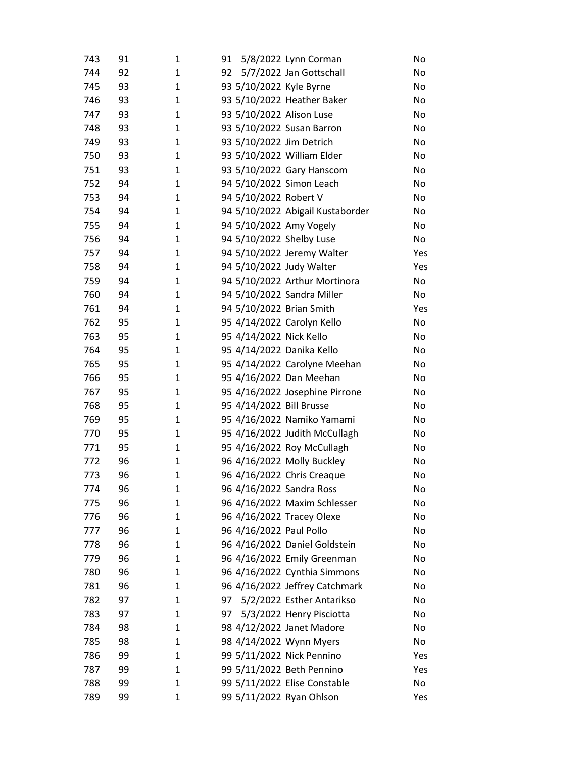| 743        | 91       | 1      | 5/8/2022 Lynn Corman<br>91                                |                                  | No       |
|------------|----------|--------|-----------------------------------------------------------|----------------------------------|----------|
| 744        | 92       | 1      | 5/7/2022 Jan Gottschall<br>92                             |                                  | No       |
| 745        | 93       | 1      | 93 5/10/2022 Kyle Byrne                                   |                                  | No       |
| 746        | 93       | 1      | 93 5/10/2022 Heather Baker                                |                                  | No       |
| 747        | 93       | 1      | 93 5/10/2022 Alison Luse                                  |                                  | No       |
| 748        | 93       | 1      | 93 5/10/2022 Susan Barron                                 |                                  | No       |
| 749        | 93       | 1      | 93 5/10/2022 Jim Detrich                                  |                                  | No       |
| 750        | 93       | 1      | 93 5/10/2022 William Elder                                |                                  | No       |
| 751        | 93       | 1      | 93 5/10/2022 Gary Hanscom                                 |                                  | No       |
| 752        | 94       | 1      | 94 5/10/2022 Simon Leach                                  |                                  | No       |
| 753        | 94       | 1      | 94 5/10/2022 Robert V                                     |                                  | No       |
| 754        | 94       | 1      |                                                           | 94 5/10/2022 Abigail Kustaborder | No       |
| 755        | 94       | 1      | 94 5/10/2022 Amy Vogely                                   |                                  | No       |
| 756        | 94       | 1      | 94 5/10/2022 Shelby Luse                                  |                                  | No       |
| 757        | 94       | 1      | 94 5/10/2022 Jeremy Walter                                |                                  | Yes      |
| 758        | 94       | 1      | 94 5/10/2022 Judy Walter                                  |                                  | Yes      |
| 759        | 94       | 1      | 94 5/10/2022 Arthur Mortinora                             |                                  | No       |
| 760        | 94       | 1      | 94 5/10/2022 Sandra Miller                                |                                  | No       |
| 761        | 94       | 1      | 94 5/10/2022 Brian Smith                                  |                                  | Yes      |
| 762        | 95       | 1      | 95 4/14/2022 Carolyn Kello                                |                                  | No       |
| 763        | 95       | 1      | 95 4/14/2022 Nick Kello                                   |                                  | No       |
| 764        | 95       | 1      | 95 4/14/2022 Danika Kello                                 |                                  | No       |
| 765        | 95       | 1      | 95 4/14/2022 Carolyne Meehan                              |                                  | No       |
| 766        | 95       | 1      | 95 4/16/2022 Dan Meehan                                   |                                  | No       |
| 767        | 95       | 1      | 95 4/16/2022 Josephine Pirrone                            |                                  | No       |
| 768        | 95       | 1      | 95 4/14/2022 Bill Brusse                                  |                                  | No       |
| 769        | 95       | 1      | 95 4/16/2022 Namiko Yamami                                |                                  | No       |
| 770        | 95       | 1      | 95 4/16/2022 Judith McCullagh                             |                                  | No       |
| 771        | 95       | 1      | 95 4/16/2022 Roy McCullagh                                |                                  | No       |
| 772        | 96       | 1      | 96 4/16/2022 Molly Buckley                                |                                  | No       |
| 773        | 96       | 1      | 96 4/16/2022 Chris Creaque                                |                                  | No       |
| 774<br>775 | 96       | 1      | 96 4/16/2022 Sandra Ross                                  |                                  | No       |
| 776        | 96<br>96 | 1<br>1 | 96 4/16/2022 Maxim Schlesser<br>96 4/16/2022 Tracey Olexe |                                  | No<br>No |
| 777        | 96       | 1      | 96 4/16/2022 Paul Pollo                                   |                                  | No       |
| 778        | 96       | 1      | 96 4/16/2022 Daniel Goldstein                             |                                  | No       |
| 779        | 96       | 1      | 96 4/16/2022 Emily Greenman                               |                                  | No       |
| 780        | 96       | 1      | 96 4/16/2022 Cynthia Simmons                              |                                  | No       |
| 781        | 96       | 1      | 96 4/16/2022 Jeffrey Catchmark                            |                                  | No       |
| 782        | 97       | 1      | 5/2/2022 Esther Antarikso<br>97                           |                                  | No       |
| 783        | 97       | 1      | 97<br>5/3/2022 Henry Pisciotta                            |                                  | No       |
| 784        | 98       | 1      | 98 4/12/2022 Janet Madore                                 |                                  | No       |
| 785        | 98       | 1      | 98 4/14/2022 Wynn Myers                                   |                                  | No       |
| 786        | 99       | 1      | 99 5/11/2022 Nick Pennino                                 |                                  | Yes      |
| 787        | 99       | 1      | 99 5/11/2022 Beth Pennino                                 |                                  | Yes      |
| 788        | 99       | 1      | 99 5/11/2022 Elise Constable                              |                                  | No       |
| 789        | 99       | 1      | 99 5/11/2022 Ryan Ohlson                                  |                                  | Yes      |
|            |          |        |                                                           |                                  |          |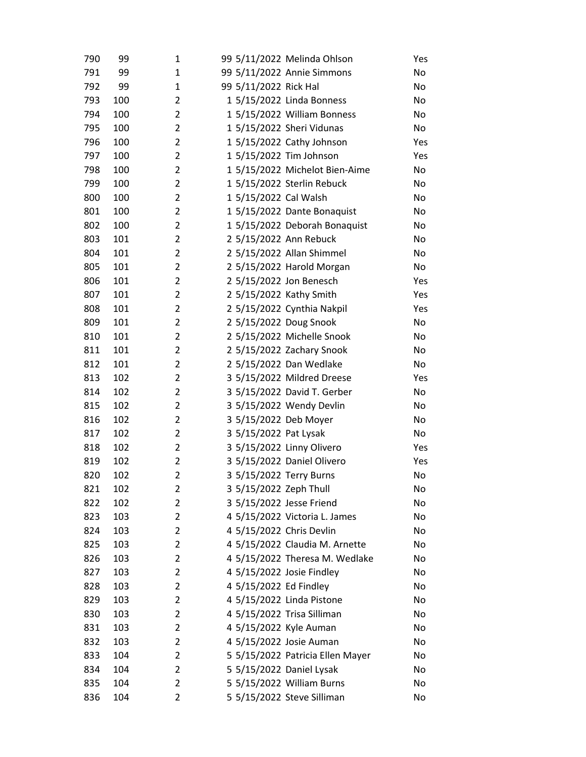| 790 | 99  | 1              |                        | 99 5/11/2022 Melinda Ohlson      | Yes |
|-----|-----|----------------|------------------------|----------------------------------|-----|
| 791 | 99  | 1              |                        | 99 5/11/2022 Annie Simmons       | No  |
| 792 | 99  | 1              | 99 5/11/2022 Rick Hal  |                                  | No  |
| 793 | 100 | 2              |                        | 1 5/15/2022 Linda Bonness        | No  |
| 794 | 100 | 2              |                        | 1 5/15/2022 William Bonness      | No  |
| 795 | 100 | 2              |                        | 1 5/15/2022 Sheri Vidunas        | No  |
| 796 | 100 | 2              |                        | 1 5/15/2022 Cathy Johnson        | Yes |
| 797 | 100 | 2              |                        | 1 5/15/2022 Tim Johnson          | Yes |
| 798 | 100 | 2              |                        | 1 5/15/2022 Michelot Bien-Aime   | No  |
| 799 | 100 | 2              |                        | 1 5/15/2022 Sterlin Rebuck       | No  |
| 800 | 100 | 2              | 1 5/15/2022 Cal Walsh  |                                  | No  |
| 801 | 100 | 2              |                        | 1 5/15/2022 Dante Bonaquist      | No  |
| 802 | 100 | $\overline{2}$ |                        | 1 5/15/2022 Deborah Bonaquist    | No  |
| 803 | 101 | 2              |                        | 2 5/15/2022 Ann Rebuck           | No  |
| 804 | 101 | $\overline{2}$ |                        | 2 5/15/2022 Allan Shimmel        | No  |
| 805 | 101 | 2              |                        | 2 5/15/2022 Harold Morgan        | No  |
| 806 | 101 | 2              |                        | 2 5/15/2022 Jon Benesch          | Yes |
| 807 | 101 | $\overline{2}$ |                        | 2 5/15/2022 Kathy Smith          | Yes |
| 808 | 101 | 2              |                        | 2 5/15/2022 Cynthia Nakpil       | Yes |
| 809 | 101 | 2              |                        | 2 5/15/2022 Doug Snook           | No  |
| 810 | 101 | 2              |                        | 2 5/15/2022 Michelle Snook       | No  |
| 811 | 101 | 2              |                        | 2 5/15/2022 Zachary Snook        | No  |
| 812 | 101 | 2              |                        | 2 5/15/2022 Dan Wedlake          | No  |
| 813 | 102 | 2              |                        | 3 5/15/2022 Mildred Dreese       | Yes |
| 814 | 102 | 2              |                        | 3 5/15/2022 David T. Gerber      | No  |
| 815 | 102 | 2              |                        | 3 5/15/2022 Wendy Devlin         | No  |
| 816 | 102 | 2              |                        | 3 5/15/2022 Deb Moyer            | No  |
| 817 | 102 | 2              | 3 5/15/2022 Pat Lysak  |                                  | No  |
| 818 | 102 | 2              |                        | 3 5/15/2022 Linny Olivero        | Yes |
| 819 | 102 | $\overline{2}$ |                        | 3 5/15/2022 Daniel Olivero       | Yes |
| 820 | 102 | 2              |                        | 3 5/15/2022 Terry Burns          | No  |
| 821 | 102 | 2              | 3 5/15/2022 Zeph Thull |                                  | No  |
| 822 | 102 | 2              |                        | 3 5/15/2022 Jesse Friend         | No  |
| 823 | 103 | 2              |                        | 4 5/15/2022 Victoria L. James    | No  |
| 824 | 103 | 2              |                        | 4 5/15/2022 Chris Devlin         | No  |
| 825 | 103 | 2              |                        | 4 5/15/2022 Claudia M. Arnette   | No  |
| 826 | 103 | 2              |                        | 4 5/15/2022 Theresa M. Wedlake   | No  |
| 827 | 103 | 2              |                        | 4 5/15/2022 Josie Findley        | No  |
| 828 | 103 | 2              | 4 5/15/2022 Ed Findley |                                  | No  |
| 829 | 103 | 2              |                        | 4 5/15/2022 Linda Pistone        | No  |
| 830 | 103 | 2              |                        | 4 5/15/2022 Trisa Silliman       | No  |
| 831 | 103 | 2              |                        | 4 5/15/2022 Kyle Auman           | No  |
| 832 | 103 | 2              |                        | 4 5/15/2022 Josie Auman          | No  |
| 833 | 104 | 2              |                        | 5 5/15/2022 Patricia Ellen Mayer | No  |
| 834 | 104 | 2              |                        | 5 5/15/2022 Daniel Lysak         | No  |
| 835 | 104 | 2              |                        | 5 5/15/2022 William Burns        | No  |
| 836 | 104 | 2              |                        | 5 5/15/2022 Steve Silliman       | No  |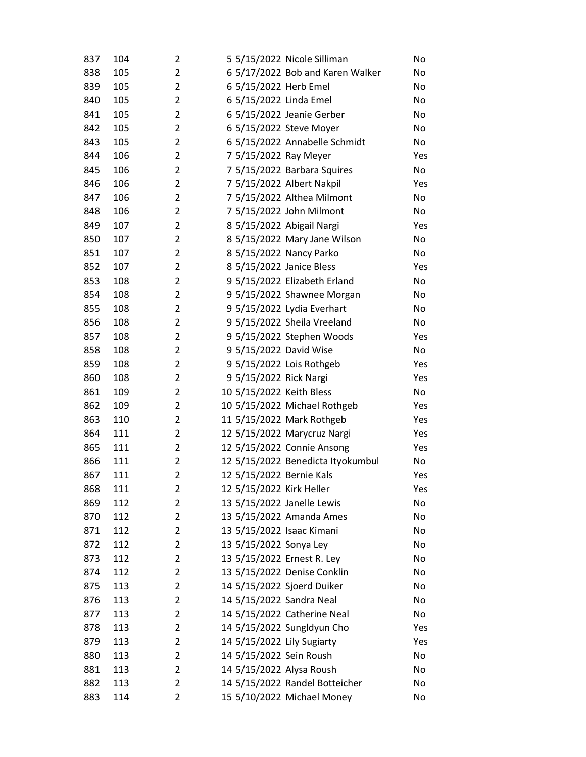| 837 | 104 | 2              | 5 5/15/2022 Nicole Silliman       | No  |
|-----|-----|----------------|-----------------------------------|-----|
| 838 | 105 | $\overline{2}$ | 6 5/17/2022 Bob and Karen Walker  | No  |
| 839 | 105 | $\overline{2}$ | 6 5/15/2022 Herb Emel             | No  |
| 840 | 105 | 2              | 6 5/15/2022 Linda Emel            | No  |
| 841 | 105 | $\overline{2}$ | 6 5/15/2022 Jeanie Gerber         | No  |
| 842 | 105 | $\overline{2}$ | 6 5/15/2022 Steve Moyer           | No  |
| 843 | 105 | 2              | 6 5/15/2022 Annabelle Schmidt     | No  |
| 844 | 106 | 2              | 7 5/15/2022 Ray Meyer             | Yes |
| 845 | 106 | $\overline{2}$ | 7 5/15/2022 Barbara Squires       | No  |
| 846 | 106 | 2              | 7 5/15/2022 Albert Nakpil         | Yes |
| 847 | 106 | 2              | 7 5/15/2022 Althea Milmont        | No  |
| 848 | 106 | 2              | 7 5/15/2022 John Milmont          | No  |
| 849 | 107 | 2              | 8 5/15/2022 Abigail Nargi         | Yes |
| 850 | 107 | 2              | 8 5/15/2022 Mary Jane Wilson      | No  |
| 851 | 107 | $\overline{2}$ | 8 5/15/2022 Nancy Parko           | No  |
| 852 | 107 | 2              | 8 5/15/2022 Janice Bless          | Yes |
| 853 | 108 | 2              | 9 5/15/2022 Elizabeth Erland      | No  |
| 854 | 108 | $\overline{2}$ | 9 5/15/2022 Shawnee Morgan        | No  |
| 855 | 108 | 2              | 9 5/15/2022 Lydia Everhart        | No  |
| 856 | 108 | $\overline{2}$ | 9 5/15/2022 Sheila Vreeland       | No  |
| 857 | 108 | $\overline{2}$ | 9 5/15/2022 Stephen Woods         | Yes |
| 858 | 108 | $\overline{2}$ | 9 5/15/2022 David Wise            | No  |
| 859 | 108 | 2              | 9 5/15/2022 Lois Rothgeb          | Yes |
| 860 | 108 | $\overline{2}$ | 9 5/15/2022 Rick Nargi            | Yes |
| 861 | 109 | $\overline{2}$ | 10 5/15/2022 Keith Bless          | No  |
| 862 | 109 | $\overline{2}$ | 10 5/15/2022 Michael Rothgeb      | Yes |
| 863 | 110 | $\overline{2}$ | 11 5/15/2022 Mark Rothgeb         | Yes |
| 864 | 111 | $\overline{2}$ | 12 5/15/2022 Marycruz Nargi       | Yes |
| 865 | 111 | 2              | 12 5/15/2022 Connie Ansong        | Yes |
| 866 | 111 | $\overline{2}$ | 12 5/15/2022 Benedicta Ityokumbul | No  |
| 867 | 111 | $\overline{2}$ | 12 5/15/2022 Bernie Kals          | Yes |
| 868 | 111 | 2              | 12 5/15/2022 Kirk Heller          | Yes |
| 869 | 112 | 2              | 13 5/15/2022 Janelle Lewis        | No  |
| 870 | 112 | 2              | 13 5/15/2022 Amanda Ames          | No  |
| 871 | 112 | 2              | 13 5/15/2022 Isaac Kimani         | No  |
| 872 | 112 | 2              | 13 5/15/2022 Sonya Ley            | No  |
| 873 | 112 | $\overline{2}$ | 13 5/15/2022 Ernest R. Ley        | No  |
| 874 | 112 | 2              | 13 5/15/2022 Denise Conklin       | No  |
| 875 | 113 | 2              | 14 5/15/2022 Sjoerd Duiker        | No  |
| 876 | 113 | 2              | 14 5/15/2022 Sandra Neal          | No  |
| 877 | 113 | 2              | 14 5/15/2022 Catherine Neal       | No  |
| 878 | 113 | 2              | 14 5/15/2022 Sungldyun Cho        | Yes |
| 879 | 113 | 2              | 14 5/15/2022 Lily Sugiarty        | Yes |
| 880 | 113 | 2              | 14 5/15/2022 Sein Roush           | No  |
| 881 | 113 | $\overline{2}$ | 14 5/15/2022 Alysa Roush          | No  |
| 882 | 113 | $\overline{2}$ | 14 5/15/2022 Randel Botteicher    | No  |
| 883 | 114 | 2              | 15 5/10/2022 Michael Money        | No  |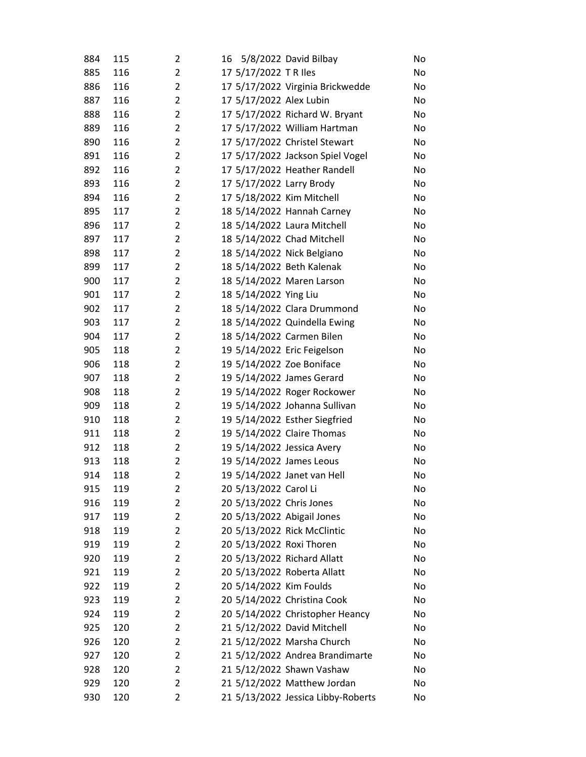| 884 | 115 | 2              | 5/8/2022 David Bilbay<br>16        | No |
|-----|-----|----------------|------------------------------------|----|
| 885 | 116 | 2              | 17 5/17/2022 TR Iles               | No |
| 886 | 116 | 2              | 17 5/17/2022 Virginia Brickwedde   | No |
| 887 | 116 | $\overline{2}$ | 17 5/17/2022 Alex Lubin            | No |
| 888 | 116 | 2              | 17 5/17/2022 Richard W. Bryant     | No |
| 889 | 116 | $\overline{2}$ | 17 5/17/2022 William Hartman       | No |
| 890 | 116 | 2              | 17 5/17/2022 Christel Stewart      | No |
| 891 | 116 | 2              | 17 5/17/2022 Jackson Spiel Vogel   | No |
| 892 | 116 | 2              | 17 5/17/2022 Heather Randell       | No |
| 893 | 116 | $\overline{2}$ | 17 5/17/2022 Larry Brody           | No |
| 894 | 116 | $\overline{2}$ | 17 5/18/2022 Kim Mitchell          | No |
| 895 | 117 | 2              | 18 5/14/2022 Hannah Carney         | No |
| 896 | 117 | $\overline{2}$ | 18 5/14/2022 Laura Mitchell        | No |
| 897 | 117 | 2              | 18 5/14/2022 Chad Mitchell         | No |
| 898 | 117 | $\overline{2}$ | 18 5/14/2022 Nick Belgiano         | No |
| 899 | 117 | $\overline{2}$ | 18 5/14/2022 Beth Kalenak          | No |
| 900 | 117 | $\overline{2}$ | 18 5/14/2022 Maren Larson          | No |
| 901 | 117 | $\overline{2}$ | 18 5/14/2022 Ying Liu              | No |
| 902 | 117 | $\overline{2}$ | 18 5/14/2022 Clara Drummond        | No |
| 903 | 117 | $\overline{2}$ | 18 5/14/2022 Quindella Ewing       | No |
| 904 | 117 | $\overline{2}$ | 18 5/14/2022 Carmen Bilen          | No |
| 905 | 118 | 2              | 19 5/14/2022 Eric Feigelson        | No |
| 906 | 118 | $\overline{2}$ | 19 5/14/2022 Zoe Boniface          | No |
| 907 | 118 | $\overline{2}$ | 19 5/14/2022 James Gerard          | No |
| 908 | 118 | $\overline{2}$ | 19 5/14/2022 Roger Rockower        | No |
| 909 | 118 | $\overline{2}$ | 19 5/14/2022 Johanna Sullivan      | No |
| 910 | 118 | 2              | 19 5/14/2022 Esther Siegfried      | No |
| 911 | 118 | $\overline{2}$ | 19 5/14/2022 Claire Thomas         | No |
| 912 | 118 | $\overline{2}$ | 19 5/14/2022 Jessica Avery         | No |
| 913 | 118 | $\overline{2}$ | 19 5/14/2022 James Leous           | No |
| 914 | 118 | $\overline{2}$ | 19 5/14/2022 Janet van Hell        | No |
| 915 | 119 | 2              | 20 5/13/2022 Carol Li              | No |
| 916 | 119 | $\overline{2}$ | 20 5/13/2022 Chris Jones           | No |
| 917 | 119 | $\overline{2}$ | 20 5/13/2022 Abigail Jones         | No |
| 918 | 119 | $\overline{2}$ | 20 5/13/2022 Rick McClintic        | No |
| 919 | 119 | 2              | 20 5/13/2022 Roxi Thoren           | No |
| 920 | 119 | $\overline{2}$ | 20 5/13/2022 Richard Allatt        | No |
| 921 | 119 | 2              | 20 5/13/2022 Roberta Allatt        | No |
| 922 | 119 | 2              | 20 5/14/2022 Kim Foulds            | No |
| 923 | 119 | $\overline{2}$ | 20 5/14/2022 Christina Cook        | No |
| 924 | 119 | $\overline{2}$ | 20 5/14/2022 Christopher Heancy    | No |
| 925 | 120 | 2              | 21 5/12/2022 David Mitchell        | No |
| 926 | 120 | 2              | 21 5/12/2022 Marsha Church         | No |
| 927 | 120 | $\overline{2}$ | 21 5/12/2022 Andrea Brandimarte    | No |
| 928 | 120 | 2              | 21 5/12/2022 Shawn Vashaw          | No |
| 929 | 120 | $\overline{2}$ | 21 5/12/2022 Matthew Jordan        | No |
| 930 | 120 | $\overline{2}$ | 21 5/13/2022 Jessica Libby-Roberts | No |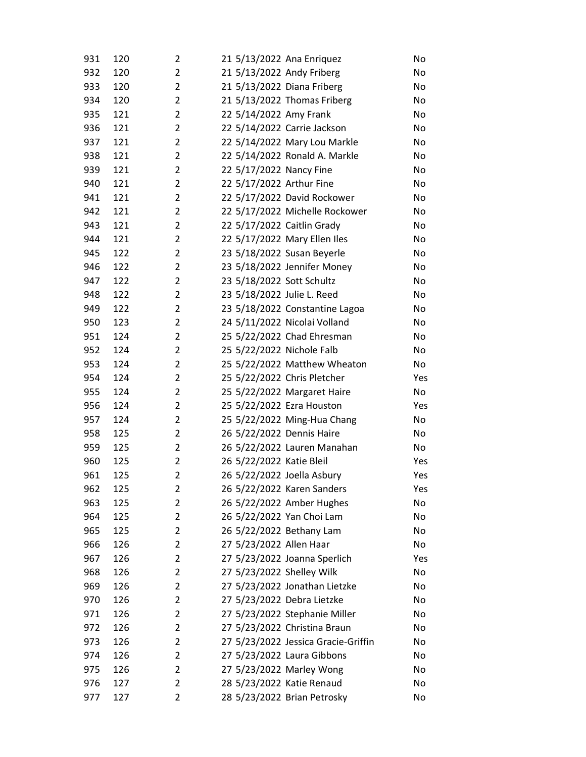| 931        | 120        | 2                   | 21 5/13/2022 Ana Enriquez  |                                                         | No        |
|------------|------------|---------------------|----------------------------|---------------------------------------------------------|-----------|
| 932        | 120        | 2                   | 21 5/13/2022 Andy Friberg  |                                                         | No        |
| 933        | 120        | $\overline{c}$      | 21 5/13/2022 Diana Friberg |                                                         | No        |
| 934        | 120        | $\overline{2}$      |                            | 21 5/13/2022 Thomas Friberg                             | No        |
| 935        | 121        | $\overline{2}$      | 22 5/14/2022 Amy Frank     |                                                         | No        |
| 936        | 121        | $\overline{2}$      |                            | 22 5/14/2022 Carrie Jackson                             | No        |
| 937        | 121        | 2                   |                            | 22 5/14/2022 Mary Lou Markle                            | No        |
| 938        | 121        | $\overline{2}$      |                            | 22 5/14/2022 Ronald A. Markle                           | No        |
| 939        | 121        | 2                   | 22 5/17/2022 Nancy Fine    |                                                         | No        |
| 940        | 121        | $\overline{2}$      | 22 5/17/2022 Arthur Fine   |                                                         | No        |
| 941        | 121        | $\overline{2}$      |                            | 22 5/17/2022 David Rockower                             | No        |
| 942        | 121        | 2                   |                            | 22 5/17/2022 Michelle Rockower                          | No        |
| 943        | 121        | $\overline{2}$      | 22 5/17/2022 Caitlin Grady |                                                         | No        |
| 944        | 121        | 2                   |                            | 22 5/17/2022 Mary Ellen Iles                            | No        |
| 945        | 122        | $\overline{2}$      |                            | 23 5/18/2022 Susan Beyerle                              | No        |
| 946        | 122        | $\overline{2}$      |                            | 23 5/18/2022 Jennifer Money                             | No        |
| 947        | 122        | 2                   | 23 5/18/2022 Sott Schultz  |                                                         | No        |
| 948        | 122        | $\overline{2}$      | 23 5/18/2022 Julie L. Reed |                                                         | No        |
| 949        | 122        | 2                   |                            | 23 5/18/2022 Constantine Lagoa                          | No        |
| 950        | 123        | $\overline{2}$      |                            | 24 5/11/2022 Nicolai Volland                            | No        |
| 951        | 124        | 2                   |                            | 25 5/22/2022 Chad Ehresman                              | No        |
| 952        | 124        | 2                   | 25 5/22/2022 Nichole Falb  |                                                         | No        |
| 953        | 124        | $\overline{2}$      |                            | 25 5/22/2022 Matthew Wheaton                            | No        |
| 954        | 124        | $\overline{2}$      |                            | 25 5/22/2022 Chris Pletcher                             | Yes       |
| 955        | 124        | $\overline{2}$      |                            | 25 5/22/2022 Margaret Haire                             | No        |
| 956        | 124        | 2                   | 25 5/22/2022 Ezra Houston  |                                                         | Yes       |
| 957        | 124        | $\overline{2}$      |                            | 25 5/22/2022 Ming-Hua Chang                             | No        |
| 958        | 125        | 2                   | 26 5/22/2022 Dennis Haire  |                                                         | No        |
| 959        | 125        | 2                   |                            | 26 5/22/2022 Lauren Manahan                             | No        |
| 960        | 125        | $\overline{2}$<br>2 | 26 5/22/2022 Katie Bleil   |                                                         | Yes       |
| 961        | 125        |                     | 26 5/22/2022 Joella Asbury |                                                         | Yes       |
| 962<br>963 | 125<br>125 | 2<br>2              |                            | 26 5/22/2022 Karen Sanders<br>26 5/22/2022 Amber Hughes | Yes<br>No |
| 964        | 125        | 2                   | 26 5/22/2022 Yan Choi Lam  |                                                         | No        |
| 965        | 125        | 2                   | 26 5/22/2022 Bethany Lam   |                                                         | No        |
| 966        | 126        | 2                   | 27 5/23/2022 Allen Haar    |                                                         | No        |
| 967        | 126        | 2                   |                            | 27 5/23/2022 Joanna Sperlich                            | Yes       |
| 968        | 126        | 2                   | 27 5/23/2022 Shelley Wilk  |                                                         | No        |
| 969        | 126        | 2                   |                            | 27 5/23/2022 Jonathan Lietzke                           | No        |
| 970        | 126        | 2                   | 27 5/23/2022 Debra Lietzke |                                                         | No        |
| 971        | 126        | 2                   |                            | 27 5/23/2022 Stephanie Miller                           | No        |
| 972        | 126        | 2                   |                            | 27 5/23/2022 Christina Braun                            | No        |
| 973        | 126        | 2                   |                            | 27 5/23/2022 Jessica Gracie-Griffin                     | No        |
| 974        | 126        | 2                   |                            | 27 5/23/2022 Laura Gibbons                              | No        |
| 975        | 126        | 2                   | 27 5/23/2022 Marley Wong   |                                                         | No        |
| 976        | 127        | 2                   | 28 5/23/2022 Katie Renaud  |                                                         | No        |
| 977        | 127        | 2                   |                            | 28 5/23/2022 Brian Petrosky                             | No        |
|            |            |                     |                            |                                                         |           |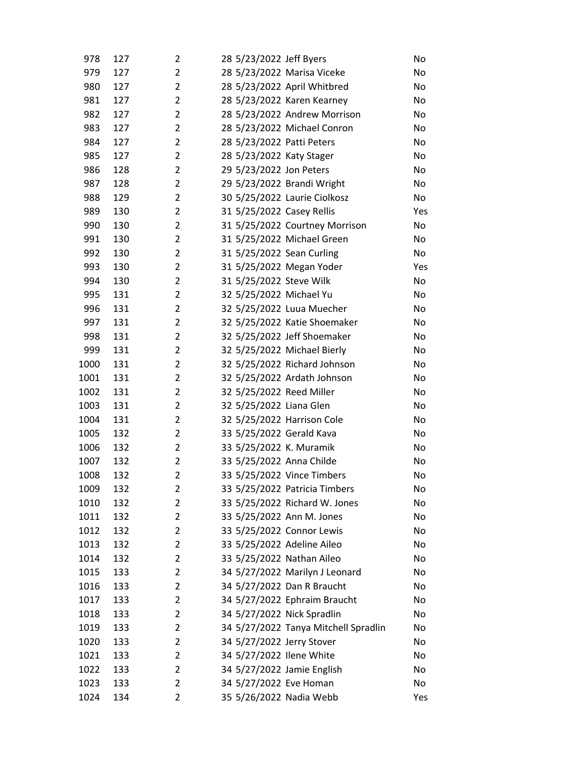| 978          | 127        | 2              | 28 5/23/2022 Jeff Byers    |                                                            | No       |
|--------------|------------|----------------|----------------------------|------------------------------------------------------------|----------|
| 979          | 127        | $\overline{2}$ |                            | 28 5/23/2022 Marisa Viceke                                 | No       |
| 980          | 127        | $\overline{2}$ |                            | 28 5/23/2022 April Whitbred                                | No       |
| 981          | 127        | 2              |                            | 28 5/23/2022 Karen Kearney                                 | No       |
| 982          | 127        | 2              |                            | 28 5/23/2022 Andrew Morrison                               | No       |
| 983          | 127        | $\overline{2}$ |                            | 28 5/23/2022 Michael Conron                                | No       |
| 984          | 127        | $\overline{2}$ | 28 5/23/2022 Patti Peters  |                                                            | No       |
| 985          | 127        | $\overline{2}$ | 28 5/23/2022 Katy Stager   |                                                            | No       |
| 986          | 128        | 2              | 29 5/23/2022 Jon Peters    |                                                            | No       |
| 987          | 128        | $\overline{2}$ |                            | 29 5/23/2022 Brandi Wright                                 | No       |
| 988          | 129        | 2              |                            | 30 5/25/2022 Laurie Ciolkosz                               | No       |
| 989          | 130        | 2              | 31 5/25/2022 Casey Rellis  |                                                            | Yes      |
| 990          | 130        | $\overline{2}$ |                            | 31 5/25/2022 Courtney Morrison                             | No       |
| 991          | 130        | $\overline{2}$ |                            | 31 5/25/2022 Michael Green                                 | No       |
| 992          | 130        | $\overline{2}$ | 31 5/25/2022 Sean Curling  |                                                            | No       |
| 993          | 130        | 2              | 31 5/25/2022 Megan Yoder   |                                                            | Yes      |
| 994          | 130        | 2              | 31 5/25/2022 Steve Wilk    |                                                            | No       |
| 995          | 131        | 2              | 32 5/25/2022 Michael Yu    |                                                            | No       |
| 996          | 131        | $\overline{2}$ |                            | 32 5/25/2022 Luua Muecher                                  | No       |
| 997          | 131        | $\overline{2}$ |                            | 32 5/25/2022 Katie Shoemaker                               | No       |
| 998          | 131        | $\overline{2}$ |                            | 32 5/25/2022 Jeff Shoemaker                                | No       |
| 999          | 131        | 2              |                            | 32 5/25/2022 Michael Bierly                                | No       |
| 1000         | 131        | $\overline{2}$ |                            | 32 5/25/2022 Richard Johnson                               | No       |
| 1001         | 131        | $\overline{2}$ |                            | 32 5/25/2022 Ardath Johnson                                | No       |
| 1002         | 131        | $\overline{2}$ | 32 5/25/2022 Reed Miller   |                                                            | No       |
| 1003         | 131        | 2              | 32 5/25/2022 Liana Glen    |                                                            | No       |
| 1004         | 131        | $\overline{2}$ | 32 5/25/2022 Harrison Cole |                                                            | No       |
| 1005         | 132        | 2              | 33 5/25/2022 Gerald Kava   |                                                            | No       |
| 1006         | 132        | $\overline{2}$ | 33 5/25/2022 K. Muramik    |                                                            | No       |
| 1007         | 132        | $\overline{2}$ | 33 5/25/2022 Anna Childe   |                                                            | No       |
| 1008         | 132        | 2              |                            | 33 5/25/2022 Vince Timbers                                 | No       |
| 1009         | 132        | 2              |                            | 33 5/25/2022 Patricia Timbers                              | No       |
| 1010         | 132        | 2              |                            | 33 5/25/2022 Richard W. Jones                              | No       |
| 1011         | 132        | 2              | 33 5/25/2022 Ann M. Jones  |                                                            | No       |
| 1012         | 132        | 2              | 33 5/25/2022 Connor Lewis  |                                                            | No       |
| 1013         | 132        | 2              | 33 5/25/2022 Adeline Aileo |                                                            | No       |
| 1014         | 132        | 2              | 33 5/25/2022 Nathan Aileo  |                                                            | No       |
| 1015         | 133        | 2              |                            | 34 5/27/2022 Marilyn J Leonard                             | No       |
| 1016         | 133        | $\overline{2}$ |                            | 34 5/27/2022 Dan R Braucht<br>34 5/27/2022 Ephraim Braucht | No       |
| 1017         | 133        | 2              |                            |                                                            | No       |
| 1018         | 133        | 2<br>2         | 34 5/27/2022 Nick Spradlin | 34 5/27/2022 Tanya Mitchell Spradlin                       | No       |
| 1019         | 133        | 2              | 34 5/27/2022 Jerry Stover  |                                                            | No       |
| 1020<br>1021 | 133<br>133 | 2              | 34 5/27/2022 Ilene White   |                                                            | No<br>No |
| 1022         | 133        | $\overline{2}$ | 34 5/27/2022 Jamie English |                                                            | No       |
| 1023         | 133        | $\overline{2}$ | 34 5/27/2022 Eve Homan     |                                                            | No       |
|              |            | 2              |                            |                                                            |          |
| 1024         | 134        |                | 35 5/26/2022 Nadia Webb    |                                                            | Yes      |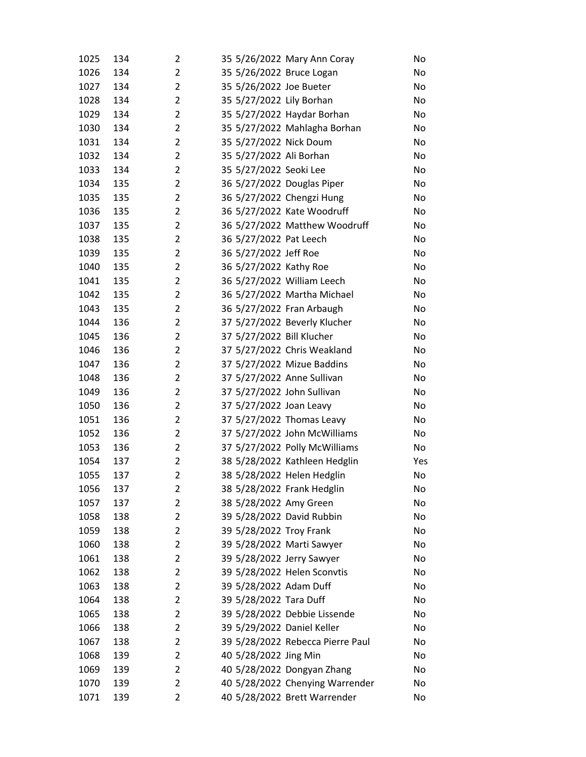| 1025 | 134 | 2              | 35 5/26/2022 Mary Ann Coray      | No  |
|------|-----|----------------|----------------------------------|-----|
| 1026 | 134 | $\overline{2}$ | 35 5/26/2022 Bruce Logan         | No  |
| 1027 | 134 | $\overline{2}$ | 35 5/26/2022 Joe Bueter          | No  |
| 1028 | 134 | $\overline{2}$ | 35 5/27/2022 Lily Borhan         | No  |
| 1029 | 134 | $\overline{2}$ | 35 5/27/2022 Haydar Borhan       | No  |
| 1030 | 134 | $\overline{2}$ | 35 5/27/2022 Mahlagha Borhan     | No  |
| 1031 | 134 | $\overline{2}$ | 35 5/27/2022 Nick Doum           | No  |
| 1032 | 134 | $\overline{2}$ | 35 5/27/2022 Ali Borhan          | No  |
| 1033 | 134 | $\overline{2}$ | 35 5/27/2022 Seoki Lee           | No  |
| 1034 | 135 | $\overline{2}$ | 36 5/27/2022 Douglas Piper       | No  |
| 1035 | 135 | $\overline{2}$ | 36 5/27/2022 Chengzi Hung        | No  |
| 1036 | 135 | $\overline{2}$ | 36 5/27/2022 Kate Woodruff       | No  |
| 1037 | 135 | $\overline{2}$ | 36 5/27/2022 Matthew Woodruff    | No  |
| 1038 | 135 | $\overline{2}$ | 36 5/27/2022 Pat Leech           | No  |
| 1039 | 135 | $\overline{2}$ | 36 5/27/2022 Jeff Roe            | No  |
| 1040 | 135 | $\overline{2}$ | 36 5/27/2022 Kathy Roe           | No  |
| 1041 | 135 | $\overline{2}$ | 36 5/27/2022 William Leech       | No  |
| 1042 | 135 | $\overline{2}$ | 36 5/27/2022 Martha Michael      | No  |
| 1043 | 135 | $\overline{2}$ | 36 5/27/2022 Fran Arbaugh        | No  |
| 1044 | 136 | $\overline{2}$ | 37 5/27/2022 Beverly Klucher     | No  |
| 1045 | 136 | $\overline{2}$ | 37 5/27/2022 Bill Klucher        | No  |
| 1046 | 136 | $\overline{2}$ | 37 5/27/2022 Chris Weakland      | No  |
| 1047 | 136 | $\overline{2}$ | 37 5/27/2022 Mizue Baddins       | No  |
| 1048 | 136 | $\overline{2}$ | 37 5/27/2022 Anne Sullivan       | No  |
| 1049 | 136 | $\overline{2}$ | 37 5/27/2022 John Sullivan       | No  |
| 1050 | 136 | $\overline{2}$ | 37 5/27/2022 Joan Leavy          | No  |
| 1051 | 136 | $\overline{2}$ | 37 5/27/2022 Thomas Leavy        | No  |
| 1052 | 136 | $\overline{2}$ | 37 5/27/2022 John McWilliams     | No  |
| 1053 | 136 | $\overline{2}$ | 37 5/27/2022 Polly McWilliams    | No  |
| 1054 | 137 | $\overline{2}$ | 38 5/28/2022 Kathleen Hedglin    | Yes |
| 1055 | 137 | $\overline{2}$ | 38 5/28/2022 Helen Hedglin       | No  |
| 1056 | 137 | 2              | 38 5/28/2022 Frank Hedglin       | No  |
| 1057 | 137 | $\overline{2}$ | 38 5/28/2022 Amy Green           | No  |
| 1058 | 138 | $\overline{2}$ | 39 5/28/2022 David Rubbin        | No  |
| 1059 | 138 | $\overline{2}$ | 39 5/28/2022 Troy Frank          | No  |
| 1060 | 138 | $\overline{2}$ | 39 5/28/2022 Marti Sawyer        | No  |
| 1061 | 138 | $\overline{2}$ | 39 5/28/2022 Jerry Sawyer        | No  |
| 1062 | 138 | 2              | 39 5/28/2022 Helen Sconvtis      | No  |
| 1063 | 138 | $\overline{2}$ | 39 5/28/2022 Adam Duff           | No  |
| 1064 | 138 | $\overline{2}$ | 39 5/28/2022 Tara Duff           | No  |
| 1065 | 138 | $\overline{2}$ | 39 5/28/2022 Debbie Lissende     | No  |
| 1066 | 138 | $\overline{2}$ | 39 5/29/2022 Daniel Keller       | No  |
| 1067 | 138 | $\overline{2}$ | 39 5/28/2022 Rebecca Pierre Paul | No  |
| 1068 | 139 | 2              | 40 5/28/2022 Jing Min            | No  |
| 1069 | 139 | $\overline{2}$ | 40 5/28/2022 Dongyan Zhang       | No  |
| 1070 | 139 | $\overline{2}$ | 40 5/28/2022 Chenying Warrender  | No  |
| 1071 | 139 | 2              | 40 5/28/2022 Brett Warrender     | No  |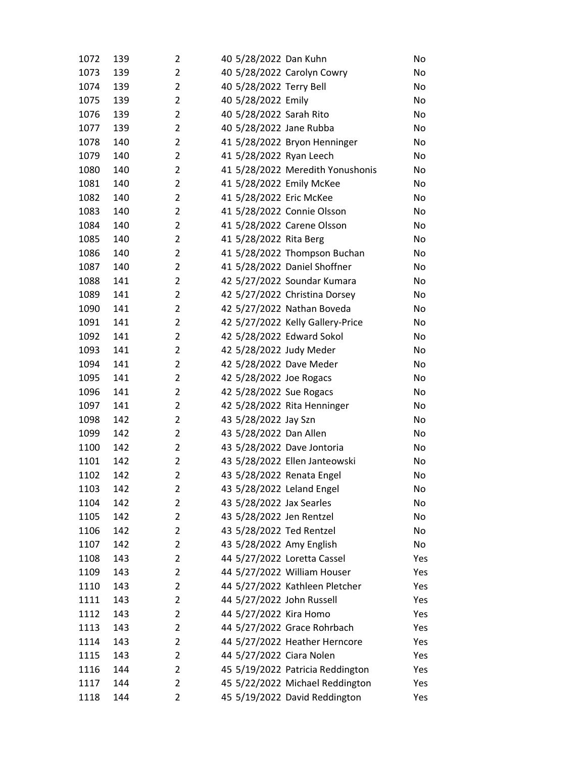| 1072 | 139 | 2              | 40 5/28/2022 Dan Kuhn       |                                  | No  |
|------|-----|----------------|-----------------------------|----------------------------------|-----|
| 1073 | 139 | $\overline{2}$ |                             | 40 5/28/2022 Carolyn Cowry       | No  |
| 1074 | 139 | $\overline{2}$ | 40 5/28/2022 Terry Bell     |                                  | No  |
| 1075 | 139 | $\overline{2}$ | 40 5/28/2022 Emily          |                                  | No  |
| 1076 | 139 | $\overline{2}$ | 40 5/28/2022 Sarah Rito     |                                  | No  |
| 1077 | 139 | $\overline{2}$ | 40 5/28/2022 Jane Rubba     |                                  | No  |
| 1078 | 140 | $\overline{2}$ |                             | 41 5/28/2022 Bryon Henninger     | No  |
| 1079 | 140 | $\overline{2}$ | 41 5/28/2022 Ryan Leech     |                                  | No  |
| 1080 | 140 | $\overline{2}$ |                             | 41 5/28/2022 Meredith Yonushonis | No  |
| 1081 | 140 | $\overline{2}$ | 41 5/28/2022 Emily McKee    |                                  | No  |
| 1082 | 140 | $\overline{2}$ | 41 5/28/2022 Eric McKee     |                                  | No  |
| 1083 | 140 | 2              | 41 5/28/2022 Connie Olsson  |                                  | No  |
| 1084 | 140 | $\overline{2}$ | 41 5/28/2022 Carene Olsson  |                                  | No  |
| 1085 | 140 | $\overline{2}$ | 41 5/28/2022 Rita Berg      |                                  | No  |
| 1086 | 140 | $\overline{2}$ |                             | 41 5/28/2022 Thompson Buchan     | No  |
| 1087 | 140 | $\overline{2}$ |                             | 41 5/28/2022 Daniel Shoffner     | No  |
| 1088 | 141 | $\overline{2}$ |                             | 42 5/27/2022 Soundar Kumara      | No  |
| 1089 | 141 | $\overline{2}$ |                             | 42 5/27/2022 Christina Dorsey    | No  |
| 1090 | 141 | $\overline{2}$ |                             | 42 5/27/2022 Nathan Boveda       | No  |
| 1091 | 141 | $\overline{2}$ |                             | 42 5/27/2022 Kelly Gallery-Price | No  |
| 1092 | 141 | $\overline{2}$ | 42 5/28/2022 Edward Sokol   |                                  | No  |
| 1093 | 141 | $\overline{2}$ | 42 5/28/2022 Judy Meder     |                                  | No  |
| 1094 | 141 | $\overline{2}$ | 42 5/28/2022 Dave Meder     |                                  | No  |
| 1095 | 141 | $\overline{2}$ | 42 5/28/2022 Joe Rogacs     |                                  | No  |
| 1096 | 141 | $\overline{2}$ | 42 5/28/2022 Sue Rogacs     |                                  | No  |
| 1097 | 141 | $\overline{2}$ |                             | 42 5/28/2022 Rita Henninger      | No  |
| 1098 | 142 | $\overline{2}$ | 43 5/28/2022 Jay Szn        |                                  | No  |
| 1099 | 142 | $\overline{2}$ | 43 5/28/2022 Dan Allen      |                                  | No  |
| 1100 | 142 | $\overline{2}$ | 43 5/28/2022 Dave Jontoria  |                                  | No  |
| 1101 | 142 | $\overline{2}$ |                             | 43 5/28/2022 Ellen Janteowski    | No  |
| 1102 | 142 | 2              | 43 5/28/2022 Renata Engel   |                                  | No  |
| 1103 | 142 | 2              | 43 5/28/2022 Leland Engel   |                                  | No  |
| 1104 | 142 | $\overline{2}$ | 43 5/28/2022 Jax Searles    |                                  | No  |
| 1105 | 142 | $\overline{2}$ | 43 5/28/2022 Jen Rentzel    |                                  | No  |
| 1106 | 142 | $\overline{2}$ | 43 5/28/2022 Ted Rentzel    |                                  | No  |
| 1107 | 142 | 2              | 43 5/28/2022 Amy English    |                                  | No  |
| 1108 | 143 | $\overline{2}$ | 44 5/27/2022 Loretta Cassel |                                  | Yes |
| 1109 | 143 | $\overline{2}$ |                             | 44 5/27/2022 William Houser      | Yes |
| 1110 | 143 | $\overline{2}$ |                             | 44 5/27/2022 Kathleen Pletcher   | Yes |
| 1111 | 143 | $\overline{2}$ | 44 5/27/2022 John Russell   |                                  | Yes |
| 1112 | 143 | $\overline{2}$ | 44 5/27/2022 Kira Homo      |                                  | Yes |
| 1113 | 143 | $\overline{2}$ |                             | 44 5/27/2022 Grace Rohrbach      | Yes |
| 1114 | 143 | $\overline{2}$ |                             | 44 5/27/2022 Heather Herncore    | Yes |
| 1115 | 143 | $\overline{2}$ | 44 5/27/2022 Ciara Nolen    |                                  | Yes |
| 1116 | 144 | $\overline{2}$ |                             | 45 5/19/2022 Patricia Reddington | Yes |
| 1117 | 144 | $\overline{2}$ |                             | 45 5/22/2022 Michael Reddington  | Yes |
| 1118 | 144 | 2              |                             | 45 5/19/2022 David Reddington    | Yes |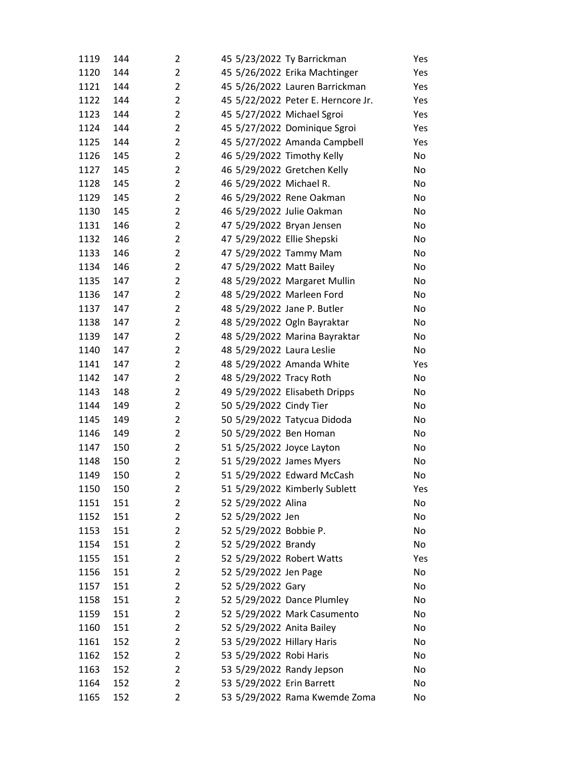| 1119 | 144 | $\overline{2}$ |                            | 45 5/23/2022 Ty Barrickman         | Yes |
|------|-----|----------------|----------------------------|------------------------------------|-----|
| 1120 | 144 | $\overline{2}$ |                            | 45 5/26/2022 Erika Machtinger      | Yes |
| 1121 | 144 | $\overline{2}$ |                            | 45 5/26/2022 Lauren Barrickman     | Yes |
| 1122 | 144 | $\overline{2}$ |                            | 45 5/22/2022 Peter E. Herncore Jr. | Yes |
| 1123 | 144 | $\overline{2}$ | 45 5/27/2022 Michael Sgroi |                                    | Yes |
| 1124 | 144 | $\overline{2}$ |                            | 45 5/27/2022 Dominique Sgroi       | Yes |
| 1125 | 144 | $\overline{2}$ |                            | 45 5/27/2022 Amanda Campbell       | Yes |
| 1126 | 145 | 2              |                            | 46 5/29/2022 Timothy Kelly         | No  |
| 1127 | 145 | $\overline{2}$ |                            | 46 5/29/2022 Gretchen Kelly        | No  |
| 1128 | 145 | $\overline{2}$ | 46 5/29/2022 Michael R.    |                                    | No  |
| 1129 | 145 | $\overline{2}$ |                            | 46 5/29/2022 Rene Oakman           | No  |
| 1130 | 145 | 2              | 46 5/29/2022 Julie Oakman  |                                    | No  |
| 1131 | 146 | $\overline{2}$ | 47 5/29/2022 Bryan Jensen  |                                    | No  |
| 1132 | 146 | $\overline{2}$ | 47 5/29/2022 Ellie Shepski |                                    | No  |
| 1133 | 146 | $\overline{2}$ | 47 5/29/2022 Tammy Mam     |                                    | No  |
| 1134 | 146 | $\overline{2}$ | 47 5/29/2022 Matt Bailey   |                                    | No  |
| 1135 | 147 | 2              |                            | 48 5/29/2022 Margaret Mullin       | No  |
| 1136 | 147 | $\overline{2}$ | 48 5/29/2022 Marleen Ford  |                                    | No  |
| 1137 | 147 | $\overline{2}$ |                            | 48 5/29/2022 Jane P. Butler        | No  |
| 1138 | 147 | $\overline{2}$ |                            | 48 5/29/2022 Ogln Bayraktar        | No  |
| 1139 | 147 | $\overline{2}$ |                            | 48 5/29/2022 Marina Bayraktar      | No  |
| 1140 | 147 | 2              | 48 5/29/2022 Laura Leslie  |                                    | No  |
| 1141 | 147 | $\overline{2}$ |                            | 48 5/29/2022 Amanda White          | Yes |
| 1142 | 147 | $\overline{2}$ | 48 5/29/2022 Tracy Roth    |                                    | No  |
| 1143 | 148 | $\overline{2}$ |                            | 49 5/29/2022 Elisabeth Dripps      | No  |
| 1144 | 149 | $\overline{2}$ | 50 5/29/2022 Cindy Tier    |                                    | No  |
| 1145 | 149 | 2              |                            | 50 5/29/2022 Tatycua Didoda        | No  |
| 1146 | 149 | $\overline{2}$ | 50 5/29/2022 Ben Homan     |                                    | No  |
| 1147 | 150 | 2              | 51 5/25/2022 Joyce Layton  |                                    | No  |
| 1148 | 150 | $\overline{2}$ | 51 5/29/2022 James Myers   |                                    | No  |
| 1149 | 150 | $\overline{2}$ |                            | 51 5/29/2022 Edward McCash         | No  |
| 1150 | 150 | 2              |                            | 51 5/29/2022 Kimberly Sublett      | Yes |
| 1151 | 151 | 2              | 52 5/29/2022 Alina         |                                    | No  |
| 1152 | 151 | 2              | 52 5/29/2022 Jen           |                                    | No  |
| 1153 | 151 | $\overline{2}$ | 52 5/29/2022 Bobbie P.     |                                    | No  |
| 1154 | 151 | $\overline{2}$ | 52 5/29/2022 Brandy        |                                    | No  |
| 1155 | 151 | $\overline{2}$ | 52 5/29/2022 Robert Watts  |                                    | Yes |
| 1156 | 151 | 2              | 52 5/29/2022 Jen Page      |                                    | No  |
| 1157 | 151 | 2              | 52 5/29/2022 Gary          |                                    | No  |
| 1158 | 151 | $\overline{2}$ |                            | 52 5/29/2022 Dance Plumley         | No  |
| 1159 | 151 | $\overline{2}$ |                            | 52 5/29/2022 Mark Casumento        | No  |
| 1160 | 151 | $\overline{2}$ | 52 5/29/2022 Anita Bailey  |                                    | No  |
| 1161 | 152 | 2              | 53 5/29/2022 Hillary Haris |                                    | No  |
| 1162 | 152 | 2              | 53 5/29/2022 Robi Haris    |                                    | No  |
| 1163 | 152 | 2              |                            | 53 5/29/2022 Randy Jepson          | No  |
| 1164 | 152 | 2              | 53 5/29/2022 Erin Barrett  |                                    | No  |
| 1165 | 152 | 2              |                            | 53 5/29/2022 Rama Kwemde Zoma      | No  |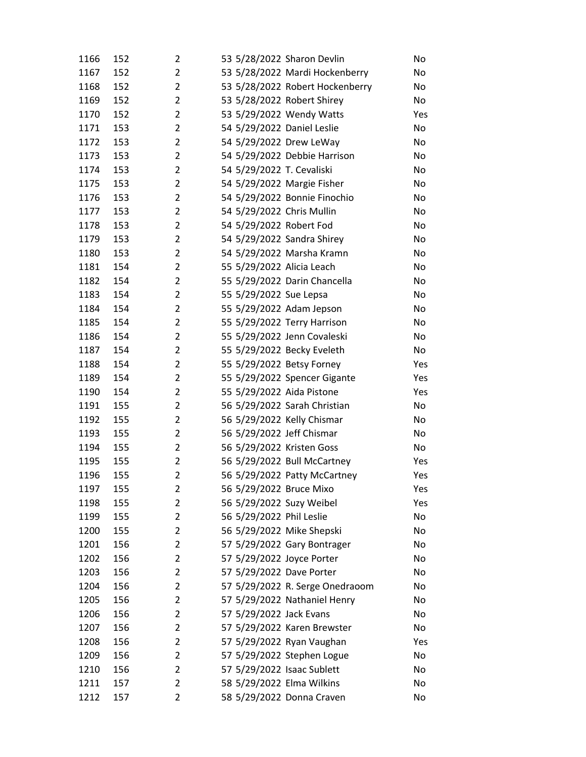| 1166         | 152        | 2              |                                                      | 53 5/28/2022 Sharon Devlin      | No        |
|--------------|------------|----------------|------------------------------------------------------|---------------------------------|-----------|
| 1167         | 152        | $\overline{2}$ |                                                      | 53 5/28/2022 Mardi Hockenberry  | No        |
| 1168         | 152        | $\overline{2}$ |                                                      | 53 5/28/2022 Robert Hockenberry | No        |
| 1169         | 152        | $\overline{2}$ | 53 5/28/2022 Robert Shirey                           |                                 | No        |
| 1170         | 152        | $\overline{2}$ |                                                      | 53 5/29/2022 Wendy Watts        | Yes       |
| 1171         | 153        | $\overline{2}$ | 54 5/29/2022 Daniel Leslie                           |                                 | No        |
| 1172         | 153        | $\overline{2}$ | 54 5/29/2022 Drew LeWay                              |                                 | No        |
| 1173         | 153        | $\overline{2}$ |                                                      | 54 5/29/2022 Debbie Harrison    | No        |
| 1174         | 153        | $\overline{2}$ | 54 5/29/2022 T. Cevaliski                            |                                 | No        |
| 1175         | 153        | $\overline{2}$ |                                                      | 54 5/29/2022 Margie Fisher      | No        |
| 1176         | 153        | $\overline{2}$ |                                                      | 54 5/29/2022 Bonnie Finochio    | No        |
| 1177         | 153        | $\overline{2}$ | 54 5/29/2022 Chris Mullin                            |                                 | No        |
| 1178         | 153        | $\overline{2}$ | 54 5/29/2022 Robert Fod                              |                                 | No        |
| 1179         | 153        | $\overline{2}$ |                                                      | 54 5/29/2022 Sandra Shirey      | No        |
| 1180         | 153        | $\overline{2}$ |                                                      | 54 5/29/2022 Marsha Kramn       | No        |
| 1181         | 154        | $\overline{2}$ | 55 5/29/2022 Alicia Leach                            |                                 | No        |
| 1182         | 154        | $\overline{2}$ |                                                      | 55 5/29/2022 Darin Chancella    | No        |
| 1183         | 154        | $\overline{2}$ | 55 5/29/2022 Sue Lepsa                               |                                 | No        |
| 1184         | 154        | $\overline{2}$ | 55 5/29/2022 Adam Jepson                             |                                 | No        |
| 1185         | 154        | $\overline{2}$ |                                                      | 55 5/29/2022 Terry Harrison     | No        |
| 1186         | 154        | $\overline{2}$ |                                                      | 55 5/29/2022 Jenn Covaleski     | No        |
| 1187         | 154        | $\overline{2}$ |                                                      | 55 5/29/2022 Becky Eveleth      | No        |
| 1188         | 154        | $\overline{2}$ | 55 5/29/2022 Betsy Forney                            |                                 | Yes       |
| 1189         | 154        | $\overline{2}$ |                                                      | 55 5/29/2022 Spencer Gigante    | Yes       |
| 1190         | 154        | $\overline{2}$ | 55 5/29/2022 Aida Pistone                            |                                 | Yes       |
| 1191         | 155        | $\overline{2}$ |                                                      | 56 5/29/2022 Sarah Christian    | No        |
| 1192         | 155        | $\overline{2}$ | 56 5/29/2022 Kelly Chismar                           |                                 | No        |
| 1193         | 155        | $\overline{2}$ | 56 5/29/2022 Jeff Chismar                            |                                 | No        |
| 1194         | 155        | $\overline{2}$ | 56 5/29/2022 Kristen Goss                            |                                 | No        |
| 1195         | 155        | $\overline{2}$ |                                                      | 56 5/29/2022 Bull McCartney     | Yes       |
| 1196         | 155        | $\overline{2}$ |                                                      | 56 5/29/2022 Patty McCartney    | Yes       |
| 1197         | 155        | 2<br>2         | 56 5/29/2022 Bruce Mixo                              |                                 | Yes       |
| 1198         | 155<br>155 | 2              | 56 5/29/2022 Suzy Weibel<br>56 5/29/2022 Phil Leslie |                                 | Yes<br>No |
| 1199<br>1200 | 155        | $\overline{2}$ | 56 5/29/2022 Mike Shepski                            |                                 | No        |
| 1201         | 156        | 2              |                                                      | 57 5/29/2022 Gary Bontrager     | No        |
| 1202         | 156        | $\overline{2}$ | 57 5/29/2022 Joyce Porter                            |                                 | No        |
| 1203         | 156        | 2              | 57 5/29/2022 Dave Porter                             |                                 | No        |
| 1204         | 156        | 2              |                                                      | 57 5/29/2022 R. Serge Onedraoom | No        |
| 1205         | 156        | 2              |                                                      | 57 5/29/2022 Nathaniel Henry    | No        |
| 1206         | 156        | $\overline{2}$ | 57 5/29/2022 Jack Evans                              |                                 | No        |
| 1207         | 156        | 2              |                                                      | 57 5/29/2022 Karen Brewster     | No        |
| 1208         | 156        | 2              |                                                      | 57 5/29/2022 Ryan Vaughan       | Yes       |
| 1209         | 156        | 2              |                                                      | 57 5/29/2022 Stephen Logue      | No        |
| 1210         | 156        | 2              | 57 5/29/2022 Isaac Sublett                           |                                 | No        |
| 1211         | 157        | $\overline{2}$ | 58 5/29/2022 Elma Wilkins                            |                                 | No        |
| 1212         | 157        | 2              |                                                      | 58 5/29/2022 Donna Craven       | No        |
|              |            |                |                                                      |                                 |           |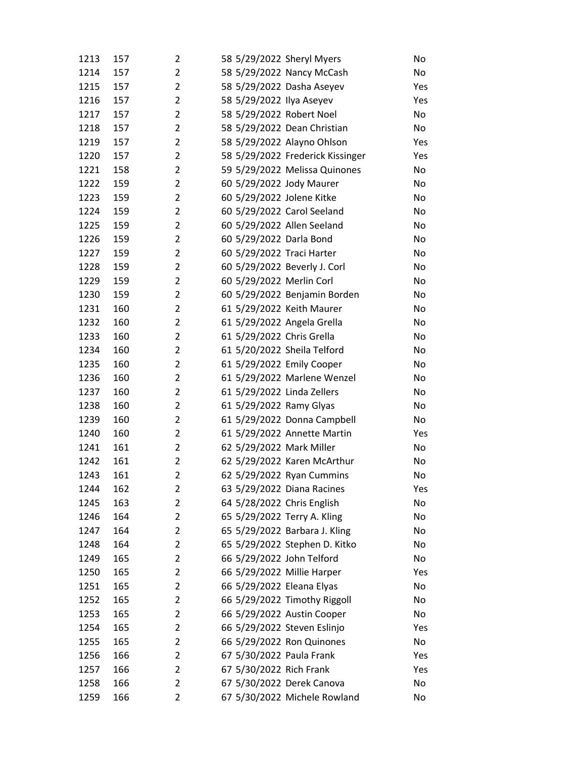| 1213 | 157 | 2              | 58 5/29/2022 Sheryl Myers    |                                  | No  |
|------|-----|----------------|------------------------------|----------------------------------|-----|
| 1214 | 157 | $\overline{2}$ | 58 5/29/2022 Nancy McCash    |                                  | No  |
| 1215 | 157 | $\overline{2}$ | 58 5/29/2022 Dasha Aseyev    |                                  | Yes |
| 1216 | 157 | $\overline{2}$ | 58 5/29/2022 Ilya Aseyev     |                                  | Yes |
| 1217 | 157 | $\overline{2}$ | 58 5/29/2022 Robert Noel     |                                  | No  |
| 1218 | 157 | $\overline{2}$ | 58 5/29/2022 Dean Christian  |                                  | No  |
| 1219 | 157 | $\overline{2}$ | 58 5/29/2022 Alayno Ohlson   |                                  | Yes |
| 1220 | 157 | $\overline{2}$ |                              | 58 5/29/2022 Frederick Kissinger | Yes |
| 1221 | 158 | $\overline{2}$ |                              | 59 5/29/2022 Melissa Quinones    | No  |
| 1222 | 159 | $\overline{2}$ | 60 5/29/2022 Jody Maurer     |                                  | No  |
| 1223 | 159 | $\overline{2}$ | 60 5/29/2022 Jolene Kitke    |                                  | No  |
| 1224 | 159 | $\overline{2}$ | 60 5/29/2022 Carol Seeland   |                                  | No  |
| 1225 | 159 | $\overline{2}$ | 60 5/29/2022 Allen Seeland   |                                  | No  |
| 1226 | 159 | $\overline{2}$ | 60 5/29/2022 Darla Bond      |                                  | No  |
| 1227 | 159 | $\overline{2}$ | 60 5/29/2022 Traci Harter    |                                  | No  |
| 1228 | 159 | $\overline{2}$ | 60 5/29/2022 Beverly J. Corl |                                  | No  |
| 1229 | 159 | 2              | 60 5/29/2022 Merlin Corl     |                                  | No  |
| 1230 | 159 | $\overline{2}$ |                              | 60 5/29/2022 Benjamin Borden     | No  |
| 1231 | 160 | $\overline{2}$ | 61 5/29/2022 Keith Maurer    |                                  | No  |
| 1232 | 160 | $\overline{2}$ | 61 5/29/2022 Angela Grella   |                                  | No  |
| 1233 | 160 | $\overline{2}$ | 61 5/29/2022 Chris Grella    |                                  | No  |
| 1234 | 160 | $\overline{2}$ | 61 5/20/2022 Sheila Telford  |                                  | No  |
| 1235 | 160 | $\overline{2}$ | 61 5/29/2022 Emily Cooper    |                                  | No  |
| 1236 | 160 | $\overline{2}$ |                              | 61 5/29/2022 Marlene Wenzel      | No  |
| 1237 | 160 | $\overline{2}$ | 61 5/29/2022 Linda Zellers   |                                  | No  |
| 1238 | 160 | $\overline{2}$ | 61 5/29/2022 Ramy Glyas      |                                  | No  |
| 1239 | 160 | 2              |                              | 61 5/29/2022 Donna Campbell      | No  |
| 1240 | 160 | $\overline{2}$ |                              | 61 5/29/2022 Annette Martin      | Yes |
| 1241 | 161 | $\overline{2}$ | 62 5/29/2022 Mark Miller     |                                  | No  |
| 1242 | 161 | $\overline{2}$ |                              | 62 5/29/2022 Karen McArthur      | No  |
| 1243 | 161 | $\overline{2}$ | 62 5/29/2022 Ryan Cummins    |                                  | No  |
| 1244 | 162 | 2              | 63 5/29/2022 Diana Racines   |                                  | Yes |
| 1245 | 163 | $\overline{2}$ | 64 5/28/2022 Chris English   |                                  | No  |
| 1246 | 164 | $\overline{2}$ | 65 5/29/2022 Terry A. Kling  |                                  | No  |
| 1247 | 164 | $\overline{2}$ |                              | 65 5/29/2022 Barbara J. Kling    | No  |
| 1248 | 164 | $\overline{2}$ |                              | 65 5/29/2022 Stephen D. Kitko    | No  |
| 1249 | 165 | $\overline{2}$ | 66 5/29/2022 John Telford    |                                  | No  |
| 1250 | 165 | 2              | 66 5/29/2022 Millie Harper   |                                  | Yes |
| 1251 | 165 | 2              | 66 5/29/2022 Eleana Elyas    |                                  | No  |
| 1252 | 165 | $\overline{2}$ |                              | 66 5/29/2022 Timothy Riggoll     | No  |
| 1253 | 165 | $\overline{2}$ | 66 5/29/2022 Austin Cooper   |                                  | No  |
| 1254 | 165 | $\overline{2}$ | 66 5/29/2022 Steven Eslinjo  |                                  | Yes |
| 1255 | 165 | 2              | 66 5/29/2022 Ron Quinones    |                                  | No  |
| 1256 | 166 | 2              | 67 5/30/2022 Paula Frank     |                                  | Yes |
| 1257 | 166 | 2              | 67 5/30/2022 Rich Frank      |                                  | Yes |
| 1258 | 166 | $\overline{2}$ | 67 5/30/2022 Derek Canova    |                                  | No  |
| 1259 | 166 | $\overline{2}$ |                              | 67 5/30/2022 Michele Rowland     | No  |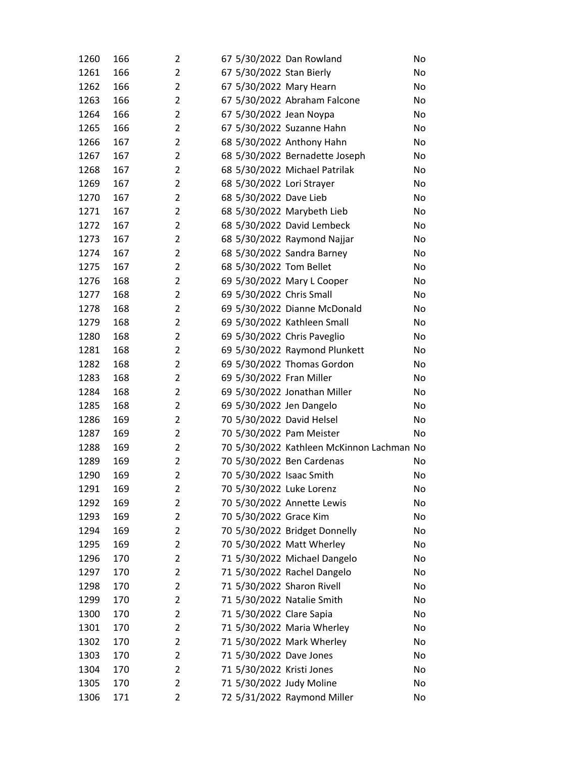| 1260 | 166 | 2              | 67 5/30/2022 Dan Rowland   |                                           | No |
|------|-----|----------------|----------------------------|-------------------------------------------|----|
| 1261 | 166 | 2              | 67 5/30/2022 Stan Bierly   |                                           | No |
| 1262 | 166 | $\overline{2}$ | 67 5/30/2022 Mary Hearn    |                                           | No |
| 1263 | 166 | $\overline{2}$ |                            | 67 5/30/2022 Abraham Falcone              | No |
| 1264 | 166 | $\overline{2}$ | 67 5/30/2022 Jean Noypa    |                                           | No |
| 1265 | 166 | $\overline{2}$ |                            | 67 5/30/2022 Suzanne Hahn                 | No |
| 1266 | 167 | 2              |                            | 68 5/30/2022 Anthony Hahn                 | No |
| 1267 | 167 | $\overline{2}$ |                            | 68 5/30/2022 Bernadette Joseph            | No |
| 1268 | 167 | $\overline{2}$ |                            | 68 5/30/2022 Michael Patrilak             | No |
| 1269 | 167 | 2              | 68 5/30/2022 Lori Strayer  |                                           | No |
| 1270 | 167 | $\overline{2}$ | 68 5/30/2022 Dave Lieb     |                                           | No |
| 1271 | 167 | $\overline{2}$ |                            | 68 5/30/2022 Marybeth Lieb                | No |
| 1272 | 167 | 2              |                            | 68 5/30/2022 David Lembeck                | No |
| 1273 | 167 | $\overline{2}$ |                            | 68 5/30/2022 Raymond Najjar               | No |
| 1274 | 167 | $\overline{2}$ |                            | 68 5/30/2022 Sandra Barney                | No |
| 1275 | 167 | $\overline{2}$ | 68 5/30/2022 Tom Bellet    |                                           | No |
| 1276 | 168 | $\overline{2}$ |                            | 69 5/30/2022 Mary L Cooper                | No |
| 1277 | 168 | $\overline{2}$ | 69 5/30/2022 Chris Small   |                                           | No |
| 1278 | 168 | $\overline{2}$ |                            | 69 5/30/2022 Dianne McDonald              | No |
| 1279 | 168 | $\overline{2}$ |                            | 69 5/30/2022 Kathleen Small               | No |
| 1280 | 168 | 2              |                            | 69 5/30/2022 Chris Paveglio               | No |
| 1281 | 168 | 2              |                            | 69 5/30/2022 Raymond Plunkett             | No |
| 1282 | 168 | $\overline{2}$ |                            | 69 5/30/2022 Thomas Gordon                | No |
| 1283 | 168 | $\overline{2}$ | 69 5/30/2022 Fran Miller   |                                           | No |
| 1284 | 168 | $\overline{2}$ |                            | 69 5/30/2022 Jonathan Miller              | No |
| 1285 | 168 | 2              | 69 5/30/2022 Jen Dangelo   |                                           | No |
| 1286 | 169 | $\overline{2}$ | 70 5/30/2022 David Helsel  |                                           | No |
| 1287 | 169 | $\overline{2}$ | 70 5/30/2022 Pam Meister   |                                           | No |
| 1288 | 169 | 2              |                            | 70 5/30/2022 Kathleen McKinnon Lachman No |    |
| 1289 | 169 | $\overline{2}$ |                            | 70 5/30/2022 Ben Cardenas                 | No |
| 1290 | 169 | $\overline{2}$ | 70 5/30/2022 Isaac Smith   |                                           | No |
| 1291 | 169 | 2              | 70 5/30/2022 Luke Lorenz   |                                           | No |
| 1292 | 169 | $\overline{2}$ |                            | 70 5/30/2022 Annette Lewis                | No |
| 1293 | 169 | 2              | 70 5/30/2022 Grace Kim     |                                           | No |
| 1294 | 169 | 2              |                            | 70 5/30/2022 Bridget Donnelly             | No |
| 1295 | 169 | $\overline{2}$ |                            | 70 5/30/2022 Matt Wherley                 | No |
| 1296 | 170 | $\overline{2}$ |                            | 71 5/30/2022 Michael Dangelo              | No |
| 1297 | 170 | 2              |                            | 71 5/30/2022 Rachel Dangelo               | No |
| 1298 | 170 | 2              | 71 5/30/2022 Sharon Rivell |                                           | No |
| 1299 | 170 | 2              |                            | 71 5/30/2022 Natalie Smith                | No |
| 1300 | 170 | 2              | 71 5/30/2022 Clare Sapia   |                                           | No |
| 1301 | 170 | 2              |                            | 71 5/30/2022 Maria Wherley                | No |
| 1302 | 170 | 2              |                            | 71 5/30/2022 Mark Wherley                 | No |
| 1303 | 170 | 2              | 71 5/30/2022 Dave Jones    |                                           | No |
| 1304 | 170 | 2              | 71 5/30/2022 Kristi Jones  |                                           | No |
| 1305 | 170 | $\overline{2}$ | 71 5/30/2022 Judy Moline   |                                           | No |
| 1306 | 171 | 2              |                            | 72 5/31/2022 Raymond Miller               | No |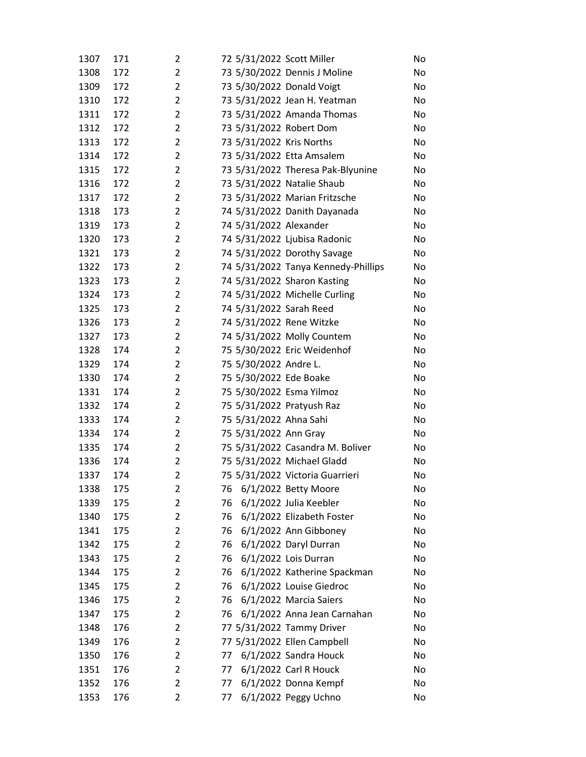| 1307 | 171 | 2              | 72 5/31/2022 Scott Miller           | No |
|------|-----|----------------|-------------------------------------|----|
| 1308 | 172 | $\overline{2}$ | 73 5/30/2022 Dennis J Moline        | No |
| 1309 | 172 | $\overline{2}$ | 73 5/30/2022 Donald Voigt           | No |
| 1310 | 172 | $\overline{2}$ | 73 5/31/2022 Jean H. Yeatman        | No |
| 1311 | 172 | $\overline{2}$ | 73 5/31/2022 Amanda Thomas          | No |
| 1312 | 172 | $\overline{2}$ | 73 5/31/2022 Robert Dom             | No |
| 1313 | 172 | $\overline{2}$ | 73 5/31/2022 Kris Norths            | No |
| 1314 | 172 | $\overline{2}$ | 73 5/31/2022 Etta Amsalem           | No |
| 1315 | 172 | $\overline{2}$ | 73 5/31/2022 Theresa Pak-Blyunine   | No |
| 1316 | 172 | $\overline{2}$ | 73 5/31/2022 Natalie Shaub          | No |
| 1317 | 172 | $\overline{2}$ | 73 5/31/2022 Marian Fritzsche       | No |
| 1318 | 173 | $\overline{2}$ | 74 5/31/2022 Danith Dayanada        | No |
| 1319 | 173 | $\overline{2}$ | 74 5/31/2022 Alexander              | No |
| 1320 | 173 | $\overline{2}$ | 74 5/31/2022 Ljubisa Radonic        | No |
| 1321 | 173 | $\overline{2}$ | 74 5/31/2022 Dorothy Savage         | No |
| 1322 | 173 | $\overline{2}$ | 74 5/31/2022 Tanya Kennedy-Phillips | No |
| 1323 | 173 | $\overline{2}$ | 74 5/31/2022 Sharon Kasting         | No |
| 1324 | 173 | $\overline{2}$ | 74 5/31/2022 Michelle Curling       | No |
| 1325 | 173 | $\overline{2}$ | 74 5/31/2022 Sarah Reed             | No |
| 1326 | 173 | $\overline{2}$ | 74 5/31/2022 Rene Witzke            | No |
| 1327 | 173 | $\overline{2}$ | 74 5/31/2022 Molly Countem          | No |
| 1328 | 174 | $\overline{2}$ | 75 5/30/2022 Eric Weidenhof         | No |
| 1329 | 174 | $\overline{2}$ | 75 5/30/2022 Andre L.               | No |
| 1330 | 174 | $\overline{2}$ | 75 5/30/2022 Ede Boake              | No |
| 1331 | 174 | $\overline{2}$ | 75 5/30/2022 Esma Yilmoz            | No |
| 1332 | 174 | $\overline{2}$ | 75 5/31/2022 Pratyush Raz           | No |
| 1333 | 174 | $\overline{2}$ | 75 5/31/2022 Ahna Sahi              | No |
| 1334 | 174 | $\overline{2}$ | 75 5/31/2022 Ann Gray               | No |
| 1335 | 174 | $\overline{2}$ | 75 5/31/2022 Casandra M. Boliver    | No |
| 1336 | 174 | $\overline{2}$ | 75 5/31/2022 Michael Gladd          | No |
| 1337 | 174 | $\overline{2}$ | 75 5/31/2022 Victoria Guarrieri     | No |
| 1338 | 175 | 2              | 6/1/2022 Betty Moore<br>76          | No |
| 1339 | 175 | $\overline{2}$ | 6/1/2022 Julia Keebler<br>76        | No |
| 1340 | 175 | $\overline{2}$ | 76<br>6/1/2022 Elizabeth Foster     | No |
| 1341 | 175 | 2              | 76<br>6/1/2022 Ann Gibboney         | No |
| 1342 | 175 | $\overline{2}$ | 6/1/2022 Daryl Durran<br>76         | No |
| 1343 | 175 | $\overline{2}$ | 6/1/2022 Lois Durran<br>76          | No |
| 1344 | 175 | 2              | 76<br>6/1/2022 Katherine Spackman   | No |
| 1345 | 175 | $\overline{2}$ | 6/1/2022 Louise Giedroc<br>76       | No |
| 1346 | 175 | $\overline{2}$ | 6/1/2022 Marcia Saiers<br>76        | No |
| 1347 | 175 | $\overline{2}$ | 76<br>6/1/2022 Anna Jean Carnahan   | No |
| 1348 | 176 | $\overline{2}$ | 77 5/31/2022 Tammy Driver           | No |
| 1349 | 176 | $\overline{2}$ | 77 5/31/2022 Ellen Campbell         | No |
| 1350 | 176 | $\overline{2}$ | 6/1/2022 Sandra Houck<br>77         | No |
| 1351 | 176 | $\overline{2}$ | 6/1/2022 Carl R Houck<br>77         | No |
| 1352 | 176 | $\overline{2}$ | 6/1/2022 Donna Kempf<br>77          | No |
| 1353 | 176 | 2              | 6/1/2022 Peggy Uchno<br>77          | No |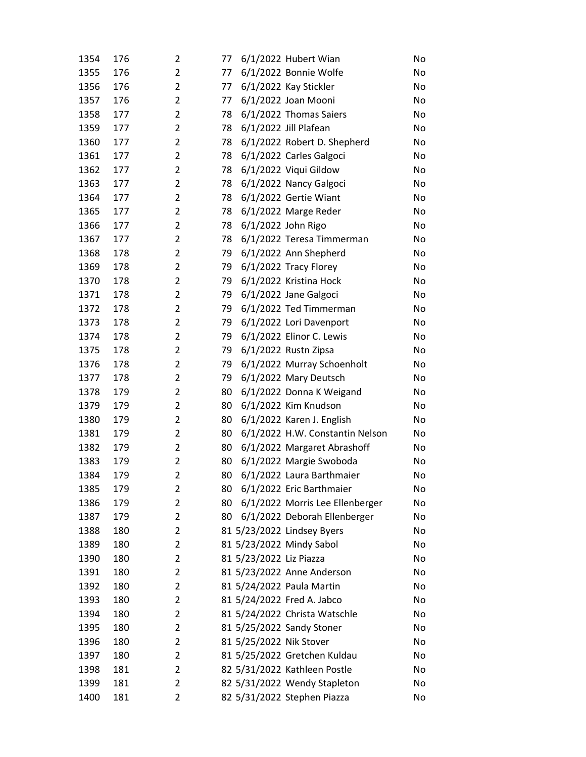| 1354 | 176 | 2              | 77 |                         | 6/1/2022 Hubert Wian            | No |
|------|-----|----------------|----|-------------------------|---------------------------------|----|
| 1355 | 176 | $\overline{2}$ | 77 |                         | 6/1/2022 Bonnie Wolfe           | No |
| 1356 | 176 | $\overline{2}$ | 77 |                         | 6/1/2022 Kay Stickler           | No |
| 1357 | 176 | $\overline{2}$ | 77 |                         | 6/1/2022 Joan Mooni             | No |
| 1358 | 177 | $\overline{2}$ | 78 |                         | 6/1/2022 Thomas Saiers          | No |
| 1359 | 177 | $\overline{2}$ | 78 |                         | 6/1/2022 Jill Plafean           | No |
| 1360 | 177 | $\overline{2}$ | 78 |                         | 6/1/2022 Robert D. Shepherd     | No |
| 1361 | 177 | $\overline{2}$ | 78 |                         | 6/1/2022 Carles Galgoci         | No |
| 1362 | 177 | $\overline{2}$ | 78 |                         | 6/1/2022 Viqui Gildow           | No |
| 1363 | 177 | $\overline{2}$ | 78 |                         | 6/1/2022 Nancy Galgoci          | No |
| 1364 | 177 | $\overline{2}$ | 78 |                         | 6/1/2022 Gertie Wiant           | No |
| 1365 | 177 | $\overline{2}$ | 78 |                         | 6/1/2022 Marge Reder            | No |
| 1366 | 177 | $\overline{2}$ | 78 |                         | 6/1/2022 John Rigo              | No |
| 1367 | 177 | $\overline{2}$ | 78 |                         | 6/1/2022 Teresa Timmerman       | No |
| 1368 | 178 | $\overline{2}$ | 79 |                         | 6/1/2022 Ann Shepherd           | No |
| 1369 | 178 | $\overline{2}$ | 79 |                         | 6/1/2022 Tracy Florey           | No |
| 1370 | 178 | $\overline{2}$ | 79 |                         | 6/1/2022 Kristina Hock          | No |
| 1371 | 178 | $\overline{2}$ | 79 |                         | 6/1/2022 Jane Galgoci           | No |
| 1372 | 178 | $\overline{2}$ | 79 |                         | 6/1/2022 Ted Timmerman          | No |
| 1373 | 178 | $\overline{2}$ | 79 |                         | 6/1/2022 Lori Davenport         | No |
| 1374 | 178 | $\overline{2}$ | 79 |                         | 6/1/2022 Elinor C. Lewis        | No |
| 1375 | 178 | $\overline{2}$ | 79 |                         | 6/1/2022 Rustn Zipsa            | No |
| 1376 | 178 | $\overline{2}$ | 79 |                         | 6/1/2022 Murray Schoenholt      | No |
| 1377 | 178 | $\overline{2}$ | 79 |                         | 6/1/2022 Mary Deutsch           | No |
| 1378 | 179 | $\overline{2}$ | 80 |                         | 6/1/2022 Donna K Weigand        | No |
| 1379 | 179 | $\overline{2}$ | 80 |                         | 6/1/2022 Kim Knudson            | No |
| 1380 | 179 | $\overline{2}$ | 80 |                         | 6/1/2022 Karen J. English       | No |
| 1381 | 179 | $\overline{2}$ | 80 |                         | 6/1/2022 H.W. Constantin Nelson | No |
| 1382 | 179 | $\overline{2}$ | 80 |                         | 6/1/2022 Margaret Abrashoff     | No |
| 1383 | 179 | $\overline{2}$ | 80 |                         | 6/1/2022 Margie Swoboda         | No |
| 1384 | 179 | $\overline{2}$ | 80 |                         | 6/1/2022 Laura Barthmaier       | No |
| 1385 | 179 | 2              | 80 |                         | 6/1/2022 Eric Barthmaier        | No |
| 1386 | 179 | $\overline{2}$ | 80 |                         | 6/1/2022 Morris Lee Ellenberger | No |
| 1387 | 179 | $\overline{2}$ | 80 |                         | 6/1/2022 Deborah Ellenberger    | No |
| 1388 | 180 | $\overline{2}$ |    |                         | 81 5/23/2022 Lindsey Byers      | No |
| 1389 | 180 | $\overline{2}$ |    |                         | 81 5/23/2022 Mindy Sabol        | No |
| 1390 | 180 | 2              |    | 81 5/23/2022 Liz Piazza |                                 | No |
| 1391 | 180 | 2              |    |                         | 81 5/23/2022 Anne Anderson      | No |
| 1392 | 180 | $\overline{2}$ |    |                         | 81 5/24/2022 Paula Martin       | No |
| 1393 | 180 | $\overline{2}$ |    |                         | 81 5/24/2022 Fred A. Jabco      | No |
| 1394 | 180 | $\overline{2}$ |    |                         | 81 5/24/2022 Christa Watschle   | No |
| 1395 | 180 | $\overline{2}$ |    |                         | 81 5/25/2022 Sandy Stoner       | No |
| 1396 | 180 | 2              |    | 81 5/25/2022 Nik Stover |                                 | No |
| 1397 | 180 | $\overline{2}$ |    |                         | 81 5/25/2022 Gretchen Kuldau    | No |
| 1398 | 181 | $\overline{2}$ |    |                         | 82 5/31/2022 Kathleen Postle    | No |
| 1399 | 181 | $\overline{2}$ |    |                         | 82 5/31/2022 Wendy Stapleton    | No |
| 1400 | 181 | 2              |    |                         | 82 5/31/2022 Stephen Piazza     | No |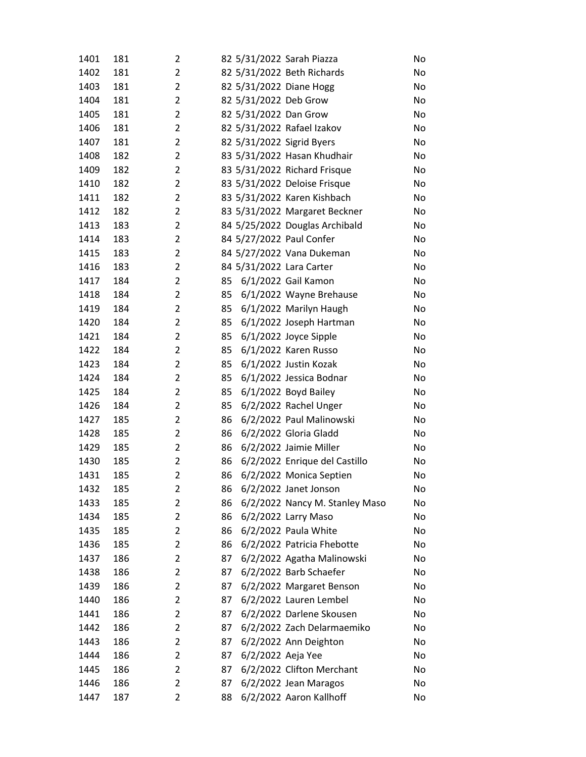| 1401 | 181 | 2              |    |                       | 82 5/31/2022 Sarah Piazza      | No |
|------|-----|----------------|----|-----------------------|--------------------------------|----|
| 1402 | 181 | $\overline{2}$ |    |                       | 82 5/31/2022 Beth Richards     | No |
| 1403 | 181 | $\overline{2}$ |    |                       | 82 5/31/2022 Diane Hogg        | No |
| 1404 | 181 | $\overline{2}$ |    | 82 5/31/2022 Deb Grow |                                | No |
| 1405 | 181 | $\overline{2}$ |    | 82 5/31/2022 Dan Grow |                                | No |
| 1406 | 181 | $\overline{2}$ |    |                       | 82 5/31/2022 Rafael Izakov     | No |
| 1407 | 181 | $\overline{2}$ |    |                       | 82 5/31/2022 Sigrid Byers      | No |
| 1408 | 182 | $\overline{2}$ |    |                       | 83 5/31/2022 Hasan Khudhair    | No |
| 1409 | 182 | $\overline{2}$ |    |                       | 83 5/31/2022 Richard Frisque   | No |
| 1410 | 182 | $\overline{2}$ |    |                       | 83 5/31/2022 Deloise Frisque   | No |
| 1411 | 182 | $\overline{2}$ |    |                       | 83 5/31/2022 Karen Kishbach    | No |
| 1412 | 182 | 2              |    |                       | 83 5/31/2022 Margaret Beckner  | No |
| 1413 | 183 | $\overline{2}$ |    |                       | 84 5/25/2022 Douglas Archibald | No |
| 1414 | 183 | $\overline{2}$ |    |                       | 84 5/27/2022 Paul Confer       | No |
| 1415 | 183 | $\overline{2}$ |    |                       | 84 5/27/2022 Vana Dukeman      | No |
| 1416 | 183 | $\overline{2}$ |    |                       | 84 5/31/2022 Lara Carter       | No |
| 1417 | 184 | 2              | 85 |                       | 6/1/2022 Gail Kamon            | No |
| 1418 | 184 | $\overline{2}$ | 85 |                       | 6/1/2022 Wayne Brehause        | No |
| 1419 | 184 | $\overline{2}$ | 85 |                       | 6/1/2022 Marilyn Haugh         | No |
| 1420 | 184 | $\overline{2}$ | 85 |                       | 6/1/2022 Joseph Hartman        | No |
| 1421 | 184 | $\overline{2}$ | 85 |                       | $6/1/2022$ Joyce Sipple        | No |
| 1422 | 184 | $\overline{2}$ | 85 |                       | 6/1/2022 Karen Russo           | No |
| 1423 | 184 | $\overline{2}$ | 85 |                       | 6/1/2022 Justin Kozak          | No |
| 1424 | 184 | 2              | 85 |                       | 6/1/2022 Jessica Bodnar        | No |
| 1425 | 184 | $\overline{2}$ | 85 |                       | $6/1/2022$ Boyd Bailey         | No |
| 1426 | 184 | $\overline{2}$ | 85 |                       | 6/2/2022 Rachel Unger          | No |
| 1427 | 185 | $\overline{2}$ | 86 |                       | 6/2/2022 Paul Malinowski       | No |
| 1428 | 185 | $\overline{2}$ | 86 |                       | 6/2/2022 Gloria Gladd          | No |
| 1429 | 185 | $\overline{2}$ | 86 |                       | 6/2/2022 Jaimie Miller         | No |
| 1430 | 185 | $\overline{2}$ | 86 |                       | 6/2/2022 Enrique del Castillo  | No |
| 1431 | 185 | 2              | 86 |                       | 6/2/2022 Monica Septien        | No |
| 1432 | 185 | 2              | 86 |                       | 6/2/2022 Janet Jonson          | No |
| 1433 | 185 | 2              | 86 |                       | 6/2/2022 Nancy M. Stanley Maso | No |
| 1434 | 185 | 2              | 86 |                       | 6/2/2022 Larry Maso            | No |
| 1435 | 185 | $\overline{2}$ | 86 |                       | 6/2/2022 Paula White           | No |
| 1436 | 185 | 2              | 86 |                       | 6/2/2022 Patricia Fhebotte     | No |
| 1437 | 186 | 2              | 87 |                       | 6/2/2022 Agatha Malinowski     | No |
| 1438 | 186 | 2              | 87 |                       | 6/2/2022 Barb Schaefer         | No |
| 1439 | 186 | $\overline{2}$ | 87 |                       | 6/2/2022 Margaret Benson       | No |
| 1440 | 186 | 2              | 87 |                       | 6/2/2022 Lauren Lembel         | No |
| 1441 | 186 | $\overline{2}$ | 87 |                       | 6/2/2022 Darlene Skousen       | No |
| 1442 | 186 | 2              | 87 |                       | 6/2/2022 Zach Delarmaemiko     | No |
| 1443 | 186 | 2              | 87 |                       | 6/2/2022 Ann Deighton          | No |
| 1444 | 186 | $\overline{2}$ | 87 | 6/2/2022 Aeja Yee     |                                | No |
| 1445 | 186 | 2              | 87 |                       | 6/2/2022 Clifton Merchant      | No |
| 1446 | 186 | 2              | 87 |                       | 6/2/2022 Jean Maragos          | No |
| 1447 | 187 | 2              | 88 |                       | 6/2/2022 Aaron Kallhoff        | No |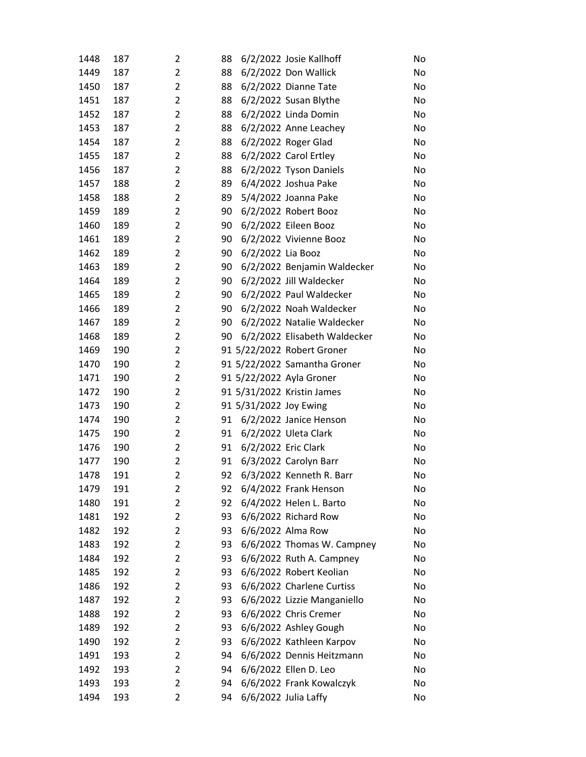| 1448 | 187 | 2              | 88 |                        | 6/2/2022 Josie Kallhoff      | No |
|------|-----|----------------|----|------------------------|------------------------------|----|
| 1449 | 187 | $\overline{2}$ | 88 |                        | 6/2/2022 Don Wallick         | No |
| 1450 | 187 | $\overline{2}$ | 88 |                        | 6/2/2022 Dianne Tate         | No |
| 1451 | 187 | $\overline{2}$ | 88 |                        | 6/2/2022 Susan Blythe        | No |
| 1452 | 187 | $\overline{2}$ | 88 |                        | 6/2/2022 Linda Domin         | No |
| 1453 | 187 | $\overline{2}$ | 88 |                        | 6/2/2022 Anne Leachey        | No |
| 1454 | 187 | $\overline{2}$ | 88 |                        | 6/2/2022 Roger Glad          | No |
| 1455 | 187 | $\overline{2}$ | 88 |                        | 6/2/2022 Carol Ertley        | No |
| 1456 | 187 | $\overline{2}$ | 88 |                        | 6/2/2022 Tyson Daniels       | No |
| 1457 | 188 | $\overline{2}$ | 89 |                        | 6/4/2022 Joshua Pake         | No |
| 1458 | 188 | $\overline{2}$ | 89 |                        | 5/4/2022 Joanna Pake         | No |
| 1459 | 189 | $\overline{2}$ | 90 |                        | 6/2/2022 Robert Booz         | No |
| 1460 | 189 | $\overline{2}$ | 90 |                        | 6/2/2022 Eileen Booz         | No |
| 1461 | 189 | $\overline{2}$ | 90 |                        | 6/2/2022 Vivienne Booz       | No |
| 1462 | 189 | $\overline{2}$ | 90 | 6/2/2022 Lia Booz      |                              | No |
| 1463 | 189 | $\overline{2}$ | 90 |                        | 6/2/2022 Benjamin Waldecker  | No |
| 1464 | 189 | $\overline{2}$ | 90 |                        | 6/2/2022 Jill Waldecker      | No |
| 1465 | 189 | $\overline{2}$ | 90 |                        | 6/2/2022 Paul Waldecker      | No |
| 1466 | 189 | $\overline{2}$ | 90 |                        | 6/2/2022 Noah Waldecker      | No |
| 1467 | 189 | $\overline{2}$ | 90 |                        | 6/2/2022 Natalie Waldecker   | No |
| 1468 | 189 | $\overline{2}$ | 90 |                        | 6/2/2022 Elisabeth Waldecker | No |
| 1469 | 190 | $\overline{2}$ |    |                        | 91 5/22/2022 Robert Groner   | No |
| 1470 | 190 | $\overline{2}$ |    |                        | 91 5/22/2022 Samantha Groner | No |
| 1471 | 190 | $\overline{2}$ |    |                        | 91 5/22/2022 Ayla Groner     | No |
| 1472 | 190 | $\overline{2}$ |    |                        | 91 5/31/2022 Kristin James   | No |
| 1473 | 190 | $\overline{2}$ |    | 91 5/31/2022 Joy Ewing |                              | No |
| 1474 | 190 | $\overline{2}$ | 91 |                        | 6/2/2022 Janice Henson       | No |
| 1475 | 190 | $\overline{2}$ | 91 |                        | 6/2/2022 Uleta Clark         | No |
| 1476 | 190 | $\overline{2}$ | 91 | 6/2/2022 Eric Clark    |                              | No |
| 1477 | 190 | $\overline{2}$ | 91 |                        | 6/3/2022 Carolyn Barr        | No |
| 1478 | 191 | $\overline{2}$ | 92 |                        | 6/3/2022 Kenneth R. Barr     | No |
| 1479 | 191 | 2              | 92 |                        | 6/4/2022 Frank Henson        | No |
| 1480 | 191 | $\overline{2}$ | 92 |                        | 6/4/2022 Helen L. Barto      | No |
| 1481 | 192 | $\overline{2}$ | 93 |                        | 6/6/2022 Richard Row         | No |
| 1482 | 192 | $\overline{2}$ | 93 |                        | 6/6/2022 Alma Row            | No |
| 1483 | 192 | $\overline{2}$ | 93 |                        | 6/6/2022 Thomas W. Campney   | No |
| 1484 | 192 | $\overline{2}$ | 93 |                        | 6/6/2022 Ruth A. Campney     | No |
| 1485 | 192 | 2              | 93 |                        | 6/6/2022 Robert Keolian      | No |
| 1486 | 192 | $\overline{2}$ | 93 |                        | 6/6/2022 Charlene Curtiss    | No |
| 1487 | 192 | $\overline{2}$ | 93 |                        | 6/6/2022 Lizzie Manganiello  | No |
| 1488 | 192 | $\overline{2}$ | 93 |                        | 6/6/2022 Chris Cremer        | No |
| 1489 | 192 | $\overline{2}$ | 93 |                        | 6/6/2022 Ashley Gough        | No |
| 1490 | 192 | $\overline{2}$ | 93 |                        | 6/6/2022 Kathleen Karpov     | No |
| 1491 | 193 | $\overline{2}$ | 94 |                        | 6/6/2022 Dennis Heitzmann    | No |
| 1492 | 193 | $\overline{2}$ | 94 |                        | 6/6/2022 Ellen D. Leo        | No |
| 1493 | 193 | $\overline{2}$ | 94 |                        | 6/6/2022 Frank Kowalczyk     | No |
| 1494 | 193 | 2              | 94 |                        | 6/6/2022 Julia Laffy         | No |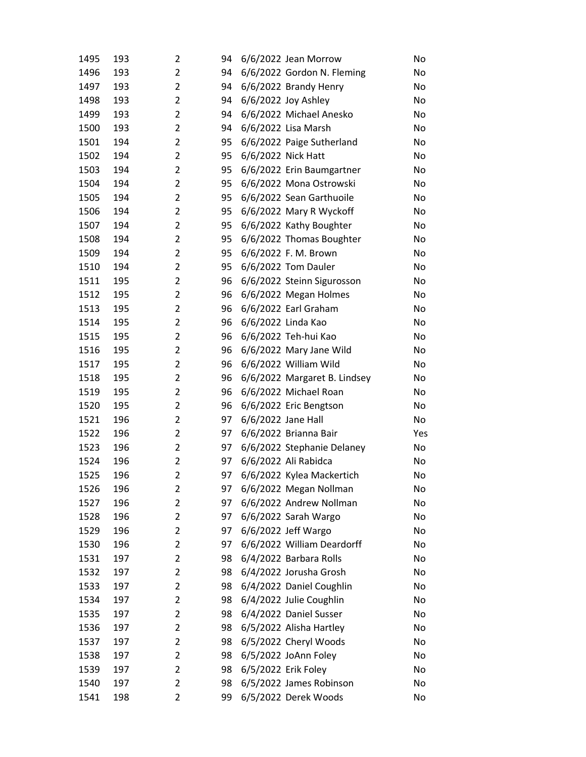| 1495 | 193 | $\overline{2}$ | 94 | 6/6/2022 Jean Morrow         | No  |
|------|-----|----------------|----|------------------------------|-----|
| 1496 | 193 | $\overline{2}$ | 94 | 6/6/2022 Gordon N. Fleming   | No  |
| 1497 | 193 | $\overline{2}$ | 94 | 6/6/2022 Brandy Henry        | No  |
| 1498 | 193 | $\overline{2}$ | 94 | 6/6/2022 Joy Ashley          | No  |
| 1499 | 193 | $\overline{2}$ | 94 | 6/6/2022 Michael Anesko      | No  |
| 1500 | 193 | $\overline{2}$ | 94 | 6/6/2022 Lisa Marsh          | No  |
| 1501 | 194 | $\overline{2}$ | 95 | 6/6/2022 Paige Sutherland    | No  |
| 1502 | 194 | $\overline{2}$ | 95 | 6/6/2022 Nick Hatt           | No  |
| 1503 | 194 | $\overline{2}$ | 95 | 6/6/2022 Erin Baumgartner    | No  |
| 1504 | 194 | $\overline{2}$ | 95 | 6/6/2022 Mona Ostrowski      | No  |
| 1505 | 194 | $\overline{2}$ | 95 | 6/6/2022 Sean Garthuoile     | No  |
| 1506 | 194 | $\overline{2}$ | 95 | 6/6/2022 Mary R Wyckoff      | No  |
| 1507 | 194 | $\overline{2}$ | 95 | 6/6/2022 Kathy Boughter      | No  |
| 1508 | 194 | $\overline{2}$ | 95 | 6/6/2022 Thomas Boughter     | No  |
| 1509 | 194 | $\overline{2}$ | 95 | 6/6/2022 F. M. Brown         | No  |
| 1510 | 194 | $\overline{2}$ | 95 | 6/6/2022 Tom Dauler          | No  |
| 1511 | 195 | $\overline{2}$ | 96 | 6/6/2022 Steinn Sigurosson   | No  |
| 1512 | 195 | $\overline{2}$ | 96 | 6/6/2022 Megan Holmes        | No  |
| 1513 | 195 | $\overline{2}$ | 96 | 6/6/2022 Earl Graham         | No  |
| 1514 | 195 | $\overline{2}$ | 96 | 6/6/2022 Linda Kao           | No  |
| 1515 | 195 | $\overline{2}$ | 96 | 6/6/2022 Teh-hui Kao         | No  |
| 1516 | 195 | $\overline{2}$ | 96 | 6/6/2022 Mary Jane Wild      | No  |
| 1517 | 195 | $\overline{2}$ | 96 | 6/6/2022 William Wild        | No  |
| 1518 | 195 | $\overline{2}$ | 96 | 6/6/2022 Margaret B. Lindsey | No  |
| 1519 | 195 | $\overline{2}$ | 96 | 6/6/2022 Michael Roan        | No  |
| 1520 | 195 | $\overline{2}$ | 96 | 6/6/2022 Eric Bengtson       | No  |
| 1521 | 196 | $\overline{2}$ | 97 | 6/6/2022 Jane Hall           | No  |
| 1522 | 196 | $\overline{2}$ | 97 | 6/6/2022 Brianna Bair        | Yes |
| 1523 | 196 | $\overline{2}$ | 97 | 6/6/2022 Stephanie Delaney   | No  |
| 1524 | 196 | $\overline{2}$ | 97 | 6/6/2022 Ali Rabidca         | No  |
| 1525 | 196 | $\overline{2}$ | 97 | 6/6/2022 Kylea Mackertich    | No  |
| 1526 | 196 | 2              | 97 | 6/6/2022 Megan Nollman       | No  |
| 1527 | 196 | $\overline{2}$ | 97 | 6/6/2022 Andrew Nollman      | No  |
| 1528 | 196 | $\overline{2}$ | 97 | 6/6/2022 Sarah Wargo         | No  |
| 1529 | 196 | $\overline{2}$ | 97 | 6/6/2022 Jeff Wargo          | No  |
| 1530 | 196 | $\overline{2}$ | 97 | 6/6/2022 William Deardorff   | No  |
| 1531 | 197 | $\overline{2}$ | 98 | 6/4/2022 Barbara Rolls       | No  |
| 1532 | 197 | $\overline{2}$ | 98 | 6/4/2022 Jorusha Grosh       | No  |
| 1533 | 197 | $\overline{2}$ | 98 | 6/4/2022 Daniel Coughlin     | No  |
| 1534 | 197 | 2              | 98 | 6/4/2022 Julie Coughlin      | No  |
| 1535 | 197 | $\overline{2}$ | 98 | 6/4/2022 Daniel Susser       | No  |
| 1536 | 197 | $\overline{2}$ | 98 | 6/5/2022 Alisha Hartley      | No  |
| 1537 | 197 | $\overline{2}$ | 98 | 6/5/2022 Cheryl Woods        | No  |
| 1538 | 197 | $\overline{2}$ | 98 | 6/5/2022 JoAnn Foley         | No  |
| 1539 | 197 | $\overline{2}$ | 98 | 6/5/2022 Erik Foley          | No  |
| 1540 | 197 | $\overline{2}$ | 98 | 6/5/2022 James Robinson      | No  |
| 1541 | 198 | $\overline{c}$ | 99 | 6/5/2022 Derek Woods         | No  |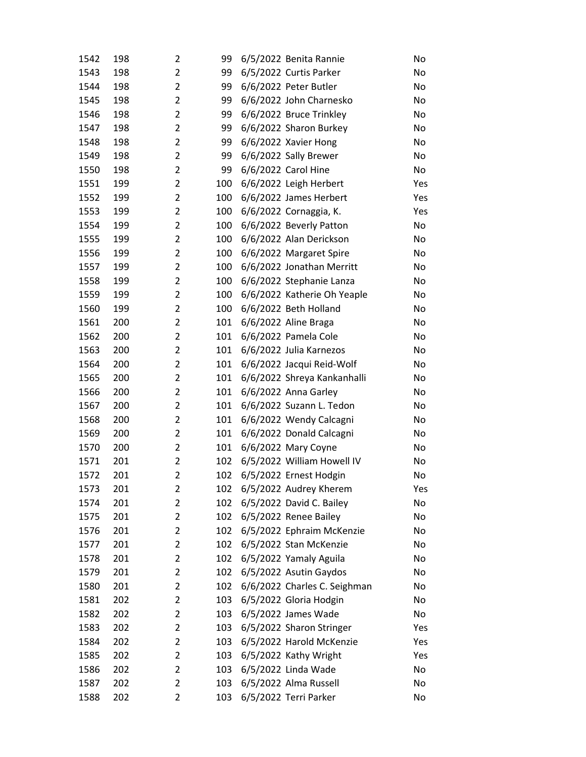| 1542 | 198 | 2              | 99  | 6/5/2022 Benita Rannie       | No  |
|------|-----|----------------|-----|------------------------------|-----|
| 1543 | 198 | $\overline{2}$ | 99  | 6/5/2022 Curtis Parker       | No  |
| 1544 | 198 | $\overline{2}$ | 99  | 6/6/2022 Peter Butler        | No  |
| 1545 | 198 | $\overline{2}$ | 99  | 6/6/2022 John Charnesko      | No  |
| 1546 | 198 | $\overline{2}$ | 99  | 6/6/2022 Bruce Trinkley      | No  |
| 1547 | 198 | $\overline{2}$ | 99  | 6/6/2022 Sharon Burkey       | No  |
| 1548 | 198 | $\overline{2}$ | 99  | 6/6/2022 Xavier Hong         | No  |
| 1549 | 198 | $\overline{2}$ | 99  | 6/6/2022 Sally Brewer        | No  |
| 1550 | 198 | $\overline{2}$ | 99  | 6/6/2022 Carol Hine          | No  |
| 1551 | 199 | $\overline{2}$ | 100 | 6/6/2022 Leigh Herbert       | Yes |
| 1552 | 199 | $\overline{2}$ | 100 | 6/6/2022 James Herbert       | Yes |
| 1553 | 199 | $\overline{2}$ | 100 | 6/6/2022 Cornaggia, K.       | Yes |
| 1554 | 199 | $\overline{2}$ | 100 | 6/6/2022 Beverly Patton      | No  |
| 1555 | 199 | $\overline{2}$ | 100 | 6/6/2022 Alan Derickson      | No  |
| 1556 | 199 | $\overline{2}$ | 100 | 6/6/2022 Margaret Spire      | No  |
| 1557 | 199 | $\overline{2}$ | 100 | 6/6/2022 Jonathan Merritt    | No  |
| 1558 | 199 | $\overline{2}$ | 100 | 6/6/2022 Stephanie Lanza     | No  |
| 1559 | 199 | $\overline{2}$ | 100 | 6/6/2022 Katherie Oh Yeaple  | No  |
| 1560 | 199 | $\overline{2}$ | 100 | 6/6/2022 Beth Holland        | No  |
| 1561 | 200 | $\overline{2}$ | 101 | 6/6/2022 Aline Braga         | No  |
| 1562 | 200 | $\overline{2}$ | 101 | 6/6/2022 Pamela Cole         | No  |
| 1563 | 200 | $\overline{2}$ | 101 | 6/6/2022 Julia Karnezos      | No  |
| 1564 | 200 | $\overline{2}$ | 101 | 6/6/2022 Jacqui Reid-Wolf    | No  |
| 1565 | 200 | $\overline{2}$ | 101 | 6/6/2022 Shreya Kankanhalli  | No  |
| 1566 | 200 | $\overline{2}$ | 101 | 6/6/2022 Anna Garley         | No  |
| 1567 | 200 | $\overline{2}$ | 101 | 6/6/2022 Suzann L. Tedon     | No  |
| 1568 | 200 | $\overline{2}$ | 101 | 6/6/2022 Wendy Calcagni      | No  |
| 1569 | 200 | $\overline{2}$ | 101 | 6/6/2022 Donald Calcagni     | No  |
| 1570 | 200 | $\overline{2}$ | 101 | 6/6/2022 Mary Coyne          | No  |
| 1571 | 201 | $\overline{2}$ | 102 | 6/5/2022 William Howell IV   | No  |
| 1572 | 201 | $\overline{2}$ | 102 | 6/5/2022 Ernest Hodgin       | No  |
| 1573 | 201 | 2              | 102 | 6/5/2022 Audrey Kherem       | Yes |
| 1574 | 201 | $\overline{2}$ | 102 | 6/5/2022 David C. Bailey     | No  |
| 1575 | 201 | $\overline{2}$ | 102 | 6/5/2022 Renee Bailey        | No  |
| 1576 | 201 | $\overline{2}$ | 102 | 6/5/2022 Ephraim McKenzie    | No  |
| 1577 | 201 | $\overline{2}$ | 102 | 6/5/2022 Stan McKenzie       | No  |
| 1578 | 201 | 2              | 102 | 6/5/2022 Yamaly Aguila       | No  |
| 1579 | 201 | $\overline{2}$ | 102 | 6/5/2022 Asutin Gaydos       | No  |
| 1580 | 201 | $\overline{2}$ | 102 | 6/6/2022 Charles C. Seighman | No  |
| 1581 | 202 | $\overline{2}$ | 103 | 6/5/2022 Gloria Hodgin       | No  |
| 1582 | 202 | $\overline{2}$ | 103 | 6/5/2022 James Wade          | No  |
| 1583 | 202 | $\overline{2}$ | 103 | 6/5/2022 Sharon Stringer     | Yes |
| 1584 | 202 | 2              | 103 | 6/5/2022 Harold McKenzie     | Yes |
| 1585 | 202 | $\overline{2}$ | 103 | 6/5/2022 Kathy Wright        | Yes |
| 1586 | 202 | $\overline{2}$ | 103 | 6/5/2022 Linda Wade          | No  |
| 1587 | 202 | $\overline{2}$ | 103 | 6/5/2022 Alma Russell        | No  |
| 1588 | 202 | 2              | 103 | 6/5/2022 Terri Parker        | No  |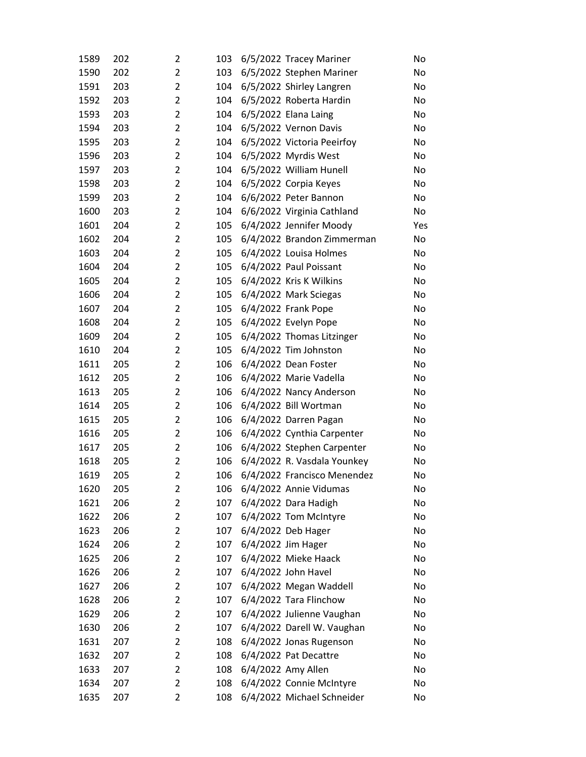| 1589 | 202 | $\overline{2}$      | 103 | 6/5/2022 Tracey Mariner     | No  |
|------|-----|---------------------|-----|-----------------------------|-----|
| 1590 | 202 | $\overline{2}$      | 103 | 6/5/2022 Stephen Mariner    | No  |
| 1591 | 203 | $\overline{2}$      | 104 | 6/5/2022 Shirley Langren    | No  |
| 1592 | 203 | $\overline{2}$      | 104 | 6/5/2022 Roberta Hardin     | No  |
| 1593 | 203 | $\overline{2}$      | 104 | 6/5/2022 Elana Laing        | No  |
| 1594 | 203 | $\overline{2}$      | 104 | 6/5/2022 Vernon Davis       | No  |
| 1595 | 203 | $\overline{2}$      | 104 | 6/5/2022 Victoria Peeirfoy  | No  |
| 1596 | 203 | $\overline{2}$      | 104 | 6/5/2022 Myrdis West        | No  |
| 1597 | 203 | $\overline{2}$      | 104 | 6/5/2022 William Hunell     | No  |
| 1598 | 203 | $\overline{2}$      | 104 | 6/5/2022 Corpia Keyes       | No  |
| 1599 | 203 | $\overline{2}$      | 104 | 6/6/2022 Peter Bannon       | No  |
| 1600 | 203 | $\overline{2}$      | 104 | 6/6/2022 Virginia Cathland  | No  |
| 1601 | 204 | $\overline{2}$      | 105 | 6/4/2022 Jennifer Moody     | Yes |
| 1602 | 204 | $\overline{2}$      | 105 | 6/4/2022 Brandon Zimmerman  | No  |
| 1603 | 204 | $\overline{2}$      | 105 | 6/4/2022 Louisa Holmes      | No  |
| 1604 | 204 | $\overline{2}$      | 105 | 6/4/2022 Paul Poissant      | No  |
| 1605 | 204 | $\overline{2}$      | 105 | 6/4/2022 Kris K Wilkins     | No  |
| 1606 | 204 | $\overline{2}$      | 105 | 6/4/2022 Mark Sciegas       | No  |
| 1607 | 204 | $\overline{2}$      | 105 | 6/4/2022 Frank Pope         | No  |
| 1608 | 204 | $\overline{2}$      | 105 | 6/4/2022 Evelyn Pope        | No  |
| 1609 | 204 | $\overline{2}$      | 105 | 6/4/2022 Thomas Litzinger   | No  |
| 1610 | 204 | $\overline{2}$      | 105 | 6/4/2022 Tim Johnston       | No  |
| 1611 | 205 | $\overline{2}$      | 106 | 6/4/2022 Dean Foster        | No  |
| 1612 | 205 | $\overline{2}$      | 106 | 6/4/2022 Marie Vadella      | No  |
| 1613 | 205 | $\overline{2}$      | 106 | 6/4/2022 Nancy Anderson     | No  |
| 1614 | 205 | $\overline{2}$      | 106 | 6/4/2022 Bill Wortman       | No  |
| 1615 | 205 | $\overline{2}$      | 106 | 6/4/2022 Darren Pagan       | No  |
| 1616 | 205 | $\overline{2}$      | 106 | 6/4/2022 Cynthia Carpenter  | No  |
| 1617 | 205 | $\overline{2}$      | 106 | 6/4/2022 Stephen Carpenter  | No  |
| 1618 | 205 | $\overline{2}$      | 106 | 6/4/2022 R. Vasdala Younkey | No  |
| 1619 | 205 | $\overline{2}$      | 106 | 6/4/2022 Francisco Menendez | No  |
| 1620 | 205 | 2                   | 106 | 6/4/2022 Annie Vidumas      | No  |
| 1621 | 206 | $\overline{2}$      | 107 | 6/4/2022 Dara Hadigh        | No  |
| 1622 | 206 | $\overline{2}$      | 107 | 6/4/2022 Tom McIntyre       | No  |
| 1623 | 206 | $\overline{2}$      | 107 | 6/4/2022 Deb Hager          | No  |
| 1624 | 206 | $\overline{2}$      | 107 | 6/4/2022 Jim Hager          | No  |
| 1625 | 206 | $\overline{2}$      | 107 | 6/4/2022 Mieke Haack        | No  |
| 1626 | 206 | $\overline{2}$      | 107 | 6/4/2022 John Havel         | No  |
| 1627 | 206 | $\overline{2}$      | 107 | 6/4/2022 Megan Waddell      | No  |
| 1628 | 206 | $\overline{2}$      | 107 | 6/4/2022 Tara Flinchow      | No  |
| 1629 | 206 | $\overline{2}$      | 107 | 6/4/2022 Julienne Vaughan   | No  |
| 1630 | 206 | $\overline{2}$      | 107 | 6/4/2022 Darell W. Vaughan  | No  |
| 1631 | 207 | 2<br>$\overline{2}$ | 108 | 6/4/2022 Jonas Rugenson     | No  |
| 1632 | 207 |                     | 108 | 6/4/2022 Pat Decattre       | No  |
| 1633 | 207 | $\overline{2}$      | 108 | 6/4/2022 Amy Allen          | No  |
| 1634 | 207 | $\overline{2}$      | 108 | 6/4/2022 Connie McIntyre    | No  |
| 1635 | 207 | $\overline{2}$      | 108 | 6/4/2022 Michael Schneider  | No  |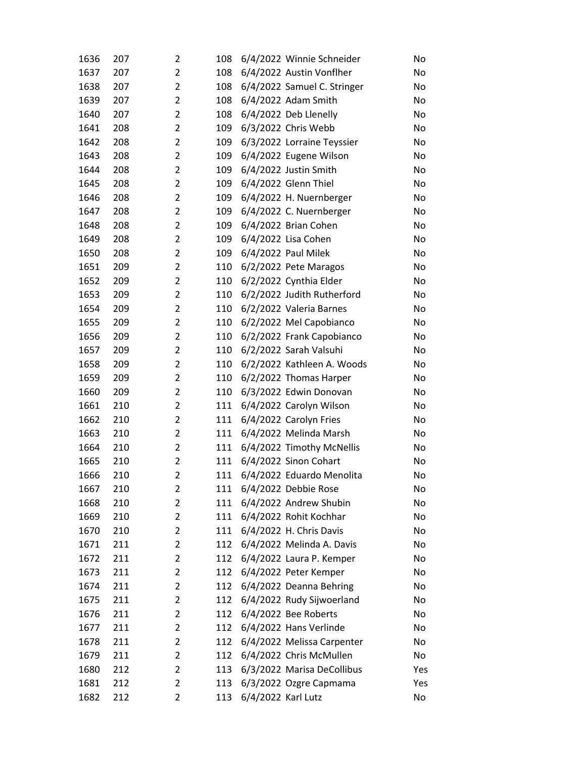| 1636 | 207 | 2              | 108 |                    | 6/4/2022 Winnie Schneider   | No  |
|------|-----|----------------|-----|--------------------|-----------------------------|-----|
| 1637 | 207 | $\overline{2}$ | 108 |                    | 6/4/2022 Austin Vonflher    | No  |
| 1638 | 207 | $\overline{2}$ | 108 |                    | 6/4/2022 Samuel C. Stringer | No  |
| 1639 | 207 | $\overline{2}$ | 108 |                    | 6/4/2022 Adam Smith         | No  |
| 1640 | 207 | $\overline{2}$ | 108 |                    | 6/4/2022 Deb Llenelly       | No  |
| 1641 | 208 | $\overline{2}$ | 109 |                    | 6/3/2022 Chris Webb         | No  |
| 1642 | 208 | $\overline{2}$ | 109 |                    | 6/3/2022 Lorraine Teyssier  | No  |
| 1643 | 208 | $\overline{2}$ | 109 |                    | 6/4/2022 Eugene Wilson      | No  |
| 1644 | 208 | $\overline{2}$ | 109 |                    | 6/4/2022 Justin Smith       | No  |
| 1645 | 208 | $\overline{2}$ | 109 |                    | 6/4/2022 Glenn Thiel        | No  |
| 1646 | 208 | $\overline{2}$ | 109 |                    | 6/4/2022 H. Nuernberger     | No  |
| 1647 | 208 | $\overline{2}$ | 109 |                    | 6/4/2022 C. Nuernberger     | No  |
| 1648 | 208 | $\overline{2}$ | 109 |                    | 6/4/2022 Brian Cohen        | No  |
| 1649 | 208 | $\overline{2}$ | 109 |                    | 6/4/2022 Lisa Cohen         | No  |
| 1650 | 208 | $\overline{2}$ | 109 |                    | 6/4/2022 Paul Milek         | No  |
| 1651 | 209 | $\overline{2}$ | 110 |                    | 6/2/2022 Pete Maragos       | No  |
| 1652 | 209 | $\overline{2}$ | 110 |                    | 6/2/2022 Cynthia Elder      | No  |
| 1653 | 209 | $\overline{2}$ | 110 |                    | 6/2/2022 Judith Rutherford  | No  |
| 1654 | 209 | $\overline{2}$ | 110 |                    | 6/2/2022 Valeria Barnes     | No  |
| 1655 | 209 | $\overline{2}$ | 110 |                    | 6/2/2022 Mel Capobianco     | No  |
| 1656 | 209 | $\overline{2}$ | 110 |                    | 6/2/2022 Frank Capobianco   | No  |
| 1657 | 209 | $\overline{2}$ | 110 |                    | 6/2/2022 Sarah Valsuhi      | No  |
| 1658 | 209 | $\overline{2}$ | 110 |                    | 6/2/2022 Kathleen A. Woods  | No  |
| 1659 | 209 | $\overline{2}$ | 110 |                    | 6/2/2022 Thomas Harper      | No  |
| 1660 | 209 | $\overline{2}$ | 110 |                    | 6/3/2022 Edwin Donovan      | No  |
| 1661 | 210 | $\overline{2}$ | 111 |                    | 6/4/2022 Carolyn Wilson     | No  |
| 1662 | 210 | $\overline{2}$ | 111 |                    | 6/4/2022 Carolyn Fries      | No  |
| 1663 | 210 | $\overline{2}$ | 111 |                    | 6/4/2022 Melinda Marsh      | No  |
| 1664 | 210 | $\overline{2}$ | 111 |                    | 6/4/2022 Timothy McNellis   | No  |
| 1665 | 210 | $\overline{2}$ | 111 |                    | 6/4/2022 Sinon Cohart       | No  |
| 1666 | 210 | $\overline{2}$ | 111 |                    | 6/4/2022 Eduardo Menolita   | No  |
| 1667 | 210 | 2              | 111 |                    | 6/4/2022 Debbie Rose        | No  |
| 1668 | 210 | $\overline{2}$ | 111 |                    | 6/4/2022 Andrew Shubin      | No  |
| 1669 | 210 | $\overline{2}$ | 111 |                    | 6/4/2022 Rohit Kochhar      | No  |
| 1670 | 210 | $\overline{2}$ | 111 |                    | 6/4/2022 H. Chris Davis     | No  |
| 1671 | 211 | $\overline{2}$ | 112 |                    | 6/4/2022 Melinda A. Davis   | No  |
| 1672 | 211 | $\overline{2}$ | 112 |                    | 6/4/2022 Laura P. Kemper    | No  |
| 1673 | 211 | $\overline{2}$ | 112 |                    | 6/4/2022 Peter Kemper       | No  |
| 1674 | 211 | $\overline{2}$ | 112 |                    | 6/4/2022 Deanna Behring     | No  |
| 1675 | 211 | 2              | 112 |                    | 6/4/2022 Rudy Sijwoerland   | No  |
| 1676 | 211 | $\overline{2}$ | 112 |                    | 6/4/2022 Bee Roberts        | No  |
| 1677 | 211 | $\overline{2}$ | 112 |                    | 6/4/2022 Hans Verlinde      | No  |
| 1678 | 211 | 2              | 112 |                    | 6/4/2022 Melissa Carpenter  | No  |
| 1679 | 211 | $\overline{2}$ | 112 |                    | 6/4/2022 Chris McMullen     | No  |
| 1680 | 212 | $\overline{2}$ | 113 |                    | 6/3/2022 Marisa DeCollibus  | Yes |
| 1681 | 212 | $\overline{2}$ | 113 |                    | 6/3/2022 Ozgre Capmama      | Yes |
| 1682 | 212 | 2              | 113 | 6/4/2022 Karl Lutz |                             | No  |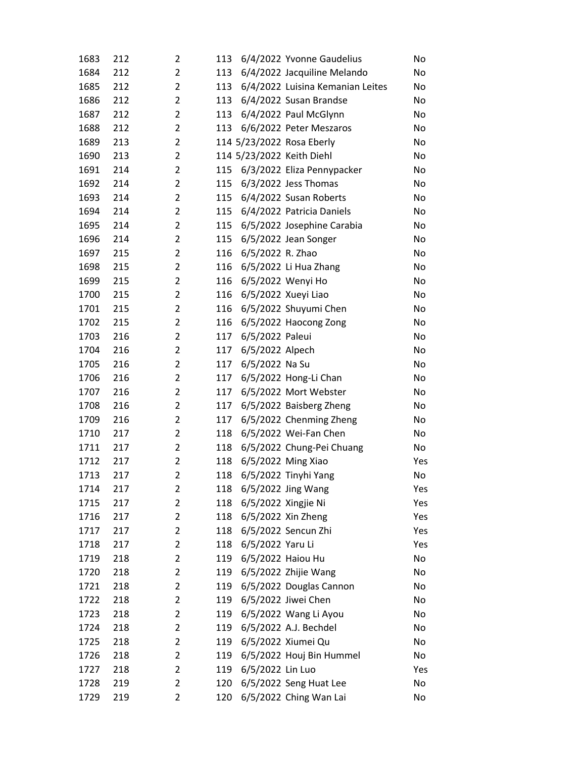| 1683 | 212 | $\overline{2}$ | 113 |                  | 6/4/2022 Yvonne Gaudelius        | No  |
|------|-----|----------------|-----|------------------|----------------------------------|-----|
| 1684 | 212 | $\overline{2}$ | 113 |                  | 6/4/2022 Jacquiline Melando      | No  |
| 1685 | 212 | $\overline{2}$ | 113 |                  | 6/4/2022 Luisina Kemanian Leites | No  |
| 1686 | 212 | $\overline{2}$ | 113 |                  | 6/4/2022 Susan Brandse           | No  |
| 1687 | 212 | $\overline{2}$ | 113 |                  | 6/4/2022 Paul McGlynn            | No  |
| 1688 | 212 | $\overline{2}$ | 113 |                  | 6/6/2022 Peter Meszaros          | No  |
| 1689 | 213 | $\overline{2}$ |     |                  | 114 5/23/2022 Rosa Eberly        | No  |
| 1690 | 213 | $\overline{2}$ |     |                  | 114 5/23/2022 Keith Diehl        | No  |
| 1691 | 214 | $\overline{2}$ | 115 |                  | 6/3/2022 Eliza Pennypacker       | No  |
| 1692 | 214 | $\overline{2}$ | 115 |                  | 6/3/2022 Jess Thomas             | No  |
| 1693 | 214 | $\overline{2}$ | 115 |                  | 6/4/2022 Susan Roberts           | No  |
| 1694 | 214 | $\overline{2}$ | 115 |                  | 6/4/2022 Patricia Daniels        | No  |
| 1695 | 214 | $\overline{2}$ | 115 |                  | 6/5/2022 Josephine Carabia       | No  |
| 1696 | 214 | $\overline{2}$ | 115 |                  | 6/5/2022 Jean Songer             | No  |
| 1697 | 215 | $\overline{2}$ | 116 | 6/5/2022 R. Zhao |                                  | No  |
| 1698 | 215 | $\overline{2}$ | 116 |                  | 6/5/2022 Li Hua Zhang            | No  |
| 1699 | 215 | $\overline{2}$ | 116 |                  | 6/5/2022 Wenyi Ho                | No  |
| 1700 | 215 | $\overline{2}$ | 116 |                  | 6/5/2022 Xueyi Liao              | No  |
| 1701 | 215 | $\overline{2}$ | 116 |                  | 6/5/2022 Shuyumi Chen            | No  |
| 1702 | 215 | $\overline{2}$ | 116 |                  | 6/5/2022 Haocong Zong            | No  |
| 1703 | 216 | $\overline{2}$ | 117 | 6/5/2022 Paleui  |                                  | No  |
| 1704 | 216 | $\overline{2}$ | 117 | 6/5/2022 Alpech  |                                  | No  |
| 1705 | 216 | $\overline{2}$ | 117 | 6/5/2022 Na Su   |                                  | No  |
| 1706 | 216 | $\overline{2}$ | 117 |                  | 6/5/2022 Hong-Li Chan            | No  |
| 1707 | 216 | $\overline{2}$ | 117 |                  | 6/5/2022 Mort Webster            | No  |
| 1708 | 216 | $\overline{2}$ | 117 |                  | 6/5/2022 Baisberg Zheng          | No  |
| 1709 | 216 | $\overline{2}$ | 117 |                  | 6/5/2022 Chenming Zheng          | No  |
| 1710 | 217 | $\overline{2}$ | 118 |                  | 6/5/2022 Wei-Fan Chen            | No  |
| 1711 | 217 | $\overline{2}$ | 118 |                  | 6/5/2022 Chung-Pei Chuang        | No  |
| 1712 | 217 | $\overline{2}$ | 118 |                  | 6/5/2022 Ming Xiao               | Yes |
| 1713 | 217 | $\overline{2}$ | 118 |                  | 6/5/2022 Tinyhi Yang             | No  |
| 1714 | 217 | 2              | 118 |                  | 6/5/2022 Jing Wang               | Yes |
| 1715 | 217 | $\overline{2}$ | 118 |                  | 6/5/2022 Xingjie Ni              | Yes |
| 1716 | 217 | $\overline{2}$ | 118 |                  | 6/5/2022 Xin Zheng               | Yes |
| 1717 | 217 | $\overline{2}$ | 118 |                  | 6/5/2022 Sencun Zhi              | Yes |
| 1718 | 217 | $\overline{2}$ | 118 | 6/5/2022 Yaru Li |                                  | Yes |
| 1719 | 218 | $\overline{2}$ | 119 |                  | 6/5/2022 Haiou Hu                | No  |
| 1720 | 218 | $\overline{2}$ | 119 |                  | 6/5/2022 Zhijie Wang             | No  |
| 1721 | 218 | $\overline{2}$ | 119 |                  | 6/5/2022 Douglas Cannon          | No  |
| 1722 | 218 | $\overline{2}$ | 119 |                  | 6/5/2022 Jiwei Chen              | No  |
| 1723 | 218 | $\overline{2}$ | 119 |                  | 6/5/2022 Wang Li Ayou            | No  |
| 1724 | 218 | $\overline{2}$ | 119 |                  | 6/5/2022 A.J. Bechdel            | No  |
| 1725 | 218 | $\overline{2}$ | 119 |                  | 6/5/2022 Xiumei Qu               | No  |
| 1726 | 218 | $\overline{2}$ | 119 |                  | 6/5/2022 Houj Bin Hummel         | No  |
| 1727 | 218 | $\overline{2}$ | 119 | 6/5/2022 Lin Luo |                                  | Yes |
| 1728 | 219 | $\overline{2}$ | 120 |                  | 6/5/2022 Seng Huat Lee           | No  |
| 1729 | 219 | $\overline{2}$ | 120 |                  | 6/5/2022 Ching Wan Lai           | No  |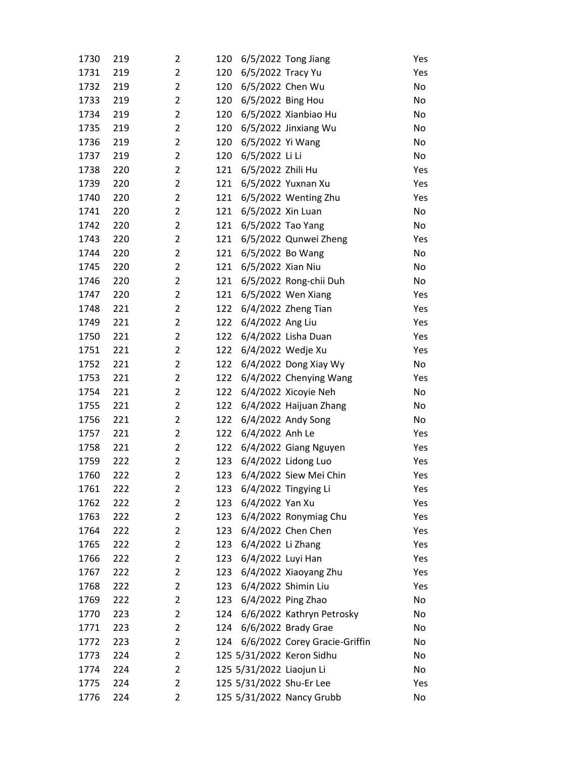| 1730 | 219 | $\overline{2}$ | 120 |                          | 6/5/2022 Tong Jiang           | Yes |
|------|-----|----------------|-----|--------------------------|-------------------------------|-----|
| 1731 | 219 | $\overline{2}$ | 120 | 6/5/2022 Tracy Yu        |                               | Yes |
| 1732 | 219 | $\overline{2}$ | 120 | 6/5/2022 Chen Wu         |                               | No  |
| 1733 | 219 | $\overline{2}$ | 120 | 6/5/2022 Bing Hou        |                               | No  |
| 1734 | 219 | $\overline{2}$ | 120 |                          | 6/5/2022 Xianbiao Hu          | No  |
| 1735 | 219 | $\overline{2}$ | 120 |                          | 6/5/2022 Jinxiang Wu          | No  |
| 1736 | 219 | $\overline{2}$ | 120 | 6/5/2022 Yi Wang         |                               | No  |
| 1737 | 219 | $\overline{2}$ | 120 | 6/5/2022 Li Li           |                               | No  |
| 1738 | 220 | $\overline{2}$ | 121 | 6/5/2022 Zhili Hu        |                               | Yes |
| 1739 | 220 | $\overline{2}$ | 121 |                          | 6/5/2022 Yuxnan Xu            | Yes |
| 1740 | 220 | $\overline{2}$ | 121 |                          | 6/5/2022 Wenting Zhu          | Yes |
| 1741 | 220 | $\overline{2}$ | 121 | 6/5/2022 Xin Luan        |                               | No  |
| 1742 | 220 | $\overline{2}$ | 121 | 6/5/2022 Tao Yang        |                               | No  |
| 1743 | 220 | $\overline{2}$ | 121 |                          | 6/5/2022 Qunwei Zheng         | Yes |
| 1744 | 220 | $\overline{2}$ | 121 | 6/5/2022 Bo Wang         |                               | No  |
| 1745 | 220 | $\overline{2}$ | 121 | 6/5/2022 Xian Niu        |                               | No  |
| 1746 | 220 | $\overline{2}$ | 121 |                          | 6/5/2022 Rong-chii Duh        | No  |
| 1747 | 220 | $\overline{2}$ | 121 |                          | 6/5/2022 Wen Xiang            | Yes |
| 1748 | 221 | $\overline{2}$ | 122 |                          | 6/4/2022 Zheng Tian           | Yes |
| 1749 | 221 | $\overline{2}$ | 122 | 6/4/2022 Ang Liu         |                               | Yes |
| 1750 | 221 | $\overline{2}$ | 122 |                          | 6/4/2022 Lisha Duan           | Yes |
| 1751 | 221 | $\overline{2}$ | 122 | 6/4/2022 Wedje Xu        |                               | Yes |
| 1752 | 221 | $\overline{2}$ | 122 |                          | $6/4/2022$ Dong Xiay Wy       | No  |
| 1753 | 221 | $\overline{2}$ | 122 |                          | 6/4/2022 Chenying Wang        | Yes |
| 1754 | 221 | $\overline{2}$ | 122 |                          | 6/4/2022 Xicoyie Neh          | No  |
| 1755 | 221 | $\overline{2}$ | 122 |                          | 6/4/2022 Haijuan Zhang        | No  |
| 1756 | 221 | $\overline{2}$ | 122 |                          | 6/4/2022 Andy Song            | No  |
| 1757 | 221 | $\overline{2}$ | 122 | 6/4/2022 Anh Le          |                               | Yes |
| 1758 | 221 | $\overline{2}$ | 122 |                          | 6/4/2022 Giang Nguyen         | Yes |
| 1759 | 222 | $\overline{2}$ | 123 |                          | 6/4/2022 Lidong Luo           | Yes |
| 1760 | 222 | $\overline{2}$ | 123 |                          | 6/4/2022 Siew Mei Chin        | Yes |
| 1761 | 222 | 2              | 123 |                          | 6/4/2022 Tingying Li          | Yes |
| 1762 | 222 | $\overline{2}$ | 123 | 6/4/2022 Yan Xu          |                               | Yes |
| 1763 | 222 | $\overline{2}$ | 123 |                          | 6/4/2022 Ronymiag Chu         | Yes |
| 1764 | 222 | $\overline{2}$ | 123 |                          | 6/4/2022 Chen Chen            | Yes |
| 1765 | 222 | $\overline{2}$ | 123 | 6/4/2022 Li Zhang        |                               | Yes |
| 1766 | 222 | $\overline{2}$ | 123 | 6/4/2022 Luyi Han        |                               | Yes |
| 1767 | 222 | 2              | 123 |                          | 6/4/2022 Xiaoyang Zhu         | Yes |
| 1768 | 222 | 2              | 123 |                          | 6/4/2022 Shimin Liu           | Yes |
| 1769 | 222 | $\overline{2}$ | 123 | 6/4/2022 Ping Zhao       |                               | No  |
| 1770 | 223 | $\overline{2}$ | 124 |                          | 6/6/2022 Kathryn Petrosky     | No  |
| 1771 | 223 | $\overline{2}$ | 124 |                          | 6/6/2022 Brady Grae           | No  |
| 1772 | 223 | 2              | 124 |                          | 6/6/2022 Corey Gracie-Griffin | No  |
| 1773 | 224 | $\overline{2}$ |     |                          | 125 5/31/2022 Keron Sidhu     | No  |
| 1774 | 224 | $\overline{2}$ |     | 125 5/31/2022 Liaojun Li |                               | No  |
| 1775 | 224 | $\overline{2}$ |     |                          | 125 5/31/2022 Shu-Er Lee      | Yes |
| 1776 | 224 | $\overline{2}$ |     |                          | 125 5/31/2022 Nancy Grubb     | No  |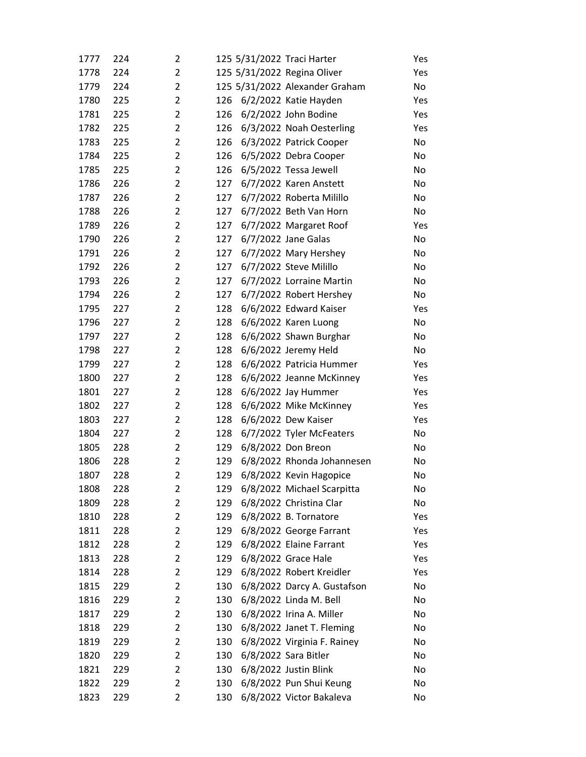| 1777 | 224 | 2              |     | 125 5/31/2022 Traci Harter     | Yes |
|------|-----|----------------|-----|--------------------------------|-----|
| 1778 | 224 | $\overline{2}$ |     | 125 5/31/2022 Regina Oliver    | Yes |
| 1779 | 224 | $\overline{2}$ |     | 125 5/31/2022 Alexander Graham | No  |
| 1780 | 225 | $\overline{2}$ | 126 | 6/2/2022 Katie Hayden          | Yes |
| 1781 | 225 | $\overline{2}$ | 126 | 6/2/2022 John Bodine           | Yes |
| 1782 | 225 | $\overline{2}$ | 126 | 6/3/2022 Noah Oesterling       | Yes |
| 1783 | 225 | $\overline{2}$ | 126 | 6/3/2022 Patrick Cooper        | No  |
| 1784 | 225 | $\overline{2}$ | 126 | 6/5/2022 Debra Cooper          | No  |
| 1785 | 225 | $\overline{2}$ | 126 | 6/5/2022 Tessa Jewell          | No  |
| 1786 | 226 | $\overline{2}$ | 127 | 6/7/2022 Karen Anstett         | No  |
| 1787 | 226 | $\overline{2}$ | 127 | 6/7/2022 Roberta Milillo       | No  |
| 1788 | 226 | $\overline{2}$ | 127 | 6/7/2022 Beth Van Horn         | No  |
| 1789 | 226 | $\overline{2}$ | 127 | 6/7/2022 Margaret Roof         | Yes |
| 1790 | 226 | $\overline{2}$ | 127 | 6/7/2022 Jane Galas            | No  |
| 1791 | 226 | $\overline{2}$ | 127 | 6/7/2022 Mary Hershey          | No  |
| 1792 | 226 | $\overline{2}$ | 127 | 6/7/2022 Steve Milillo         | No  |
| 1793 | 226 | $\overline{2}$ | 127 | 6/7/2022 Lorraine Martin       | No  |
| 1794 | 226 | $\overline{2}$ | 127 | 6/7/2022 Robert Hershey        | No  |
| 1795 | 227 | $\overline{2}$ | 128 | 6/6/2022 Edward Kaiser         | Yes |
| 1796 | 227 | $\overline{2}$ | 128 | 6/6/2022 Karen Luong           | No  |
| 1797 | 227 | $\overline{2}$ | 128 | 6/6/2022 Shawn Burghar         | No  |
| 1798 | 227 | $\overline{2}$ | 128 | 6/6/2022 Jeremy Held           | No  |
| 1799 | 227 | $\overline{2}$ | 128 | 6/6/2022 Patricia Hummer       | Yes |
| 1800 | 227 | $\overline{2}$ | 128 | 6/6/2022 Jeanne McKinney       | Yes |
| 1801 | 227 | $\overline{2}$ | 128 | 6/6/2022 Jay Hummer            | Yes |
| 1802 | 227 | $\overline{2}$ | 128 | 6/6/2022 Mike McKinney         | Yes |
| 1803 | 227 | $\overline{2}$ | 128 | 6/6/2022 Dew Kaiser            | Yes |
| 1804 | 227 | $\overline{2}$ | 128 | 6/7/2022 Tyler McFeaters       | No  |
| 1805 | 228 | $\overline{2}$ | 129 | 6/8/2022 Don Breon             | No  |
| 1806 | 228 | $\overline{2}$ | 129 | 6/8/2022 Rhonda Johannesen     | No  |
| 1807 | 228 | $\overline{2}$ | 129 | 6/8/2022 Kevin Hagopice        | No  |
| 1808 | 228 | 2              | 129 | 6/8/2022 Michael Scarpitta     | No  |
| 1809 | 228 | 2              | 129 | 6/8/2022 Christina Clar        | No  |
| 1810 | 228 | $\overline{2}$ | 129 | 6/8/2022 B. Tornatore          | Yes |
| 1811 | 228 | $\overline{2}$ | 129 | 6/8/2022 George Farrant        | Yes |
| 1812 | 228 | $\overline{2}$ | 129 | 6/8/2022 Elaine Farrant        | Yes |
| 1813 | 228 | $\overline{2}$ | 129 | 6/8/2022 Grace Hale            | Yes |
| 1814 | 228 | 2              | 129 | 6/8/2022 Robert Kreidler       | Yes |
| 1815 | 229 | $\overline{2}$ | 130 | 6/8/2022 Darcy A. Gustafson    | No  |
| 1816 | 229 | 2              | 130 | 6/8/2022 Linda M. Bell         | No  |
| 1817 | 229 | $\overline{2}$ | 130 | 6/8/2022 Irina A. Miller       | No  |
| 1818 | 229 | 2              | 130 | 6/8/2022 Janet T. Fleming      | No  |
| 1819 | 229 | 2              | 130 | 6/8/2022 Virginia F. Rainey    | No  |
| 1820 | 229 | $\overline{2}$ | 130 | 6/8/2022 Sara Bitler           | No  |
| 1821 | 229 | $\overline{2}$ | 130 | 6/8/2022 Justin Blink          | No  |
| 1822 | 229 | 2              | 130 | 6/8/2022 Pun Shui Keung        | No  |
| 1823 | 229 | 2              | 130 | 6/8/2022 Victor Bakaleva       | No  |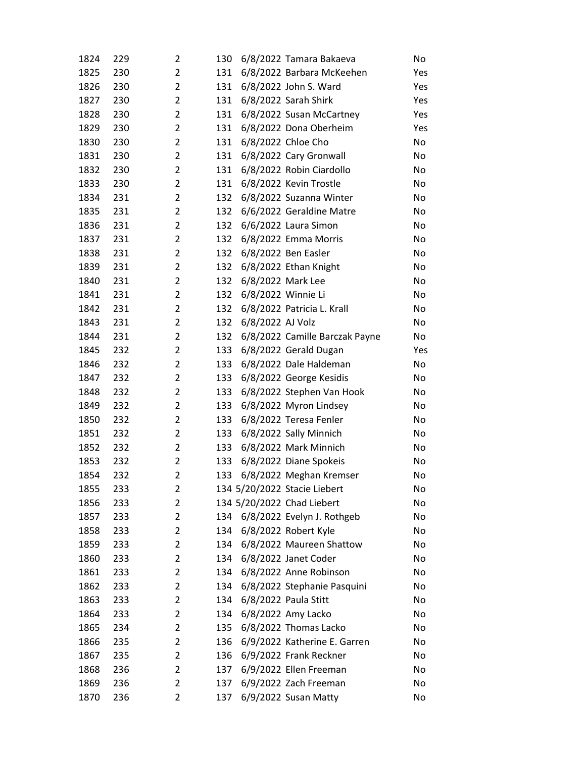| 1824 | 229 | 2              | 130                          | 6/8/2022 Tamara Bakaeva        | No  |
|------|-----|----------------|------------------------------|--------------------------------|-----|
| 1825 | 230 | $\overline{2}$ | 131                          | 6/8/2022 Barbara McKeehen      | Yes |
| 1826 | 230 | $\overline{2}$ | 131                          | 6/8/2022 John S. Ward          | Yes |
| 1827 | 230 | $\overline{2}$ | 131                          | 6/8/2022 Sarah Shirk           | Yes |
| 1828 | 230 | $\overline{2}$ | 131                          | 6/8/2022 Susan McCartney       | Yes |
| 1829 | 230 | $\overline{2}$ | 131                          | 6/8/2022 Dona Oberheim         | Yes |
| 1830 | 230 | $\overline{2}$ | 131                          | 6/8/2022 Chloe Cho             | No  |
| 1831 | 230 | $\overline{2}$ | 131                          | 6/8/2022 Cary Gronwall         | No  |
| 1832 | 230 | $\overline{2}$ | 131                          | 6/8/2022 Robin Ciardollo       | No  |
| 1833 | 230 | $\overline{2}$ | 131                          | 6/8/2022 Kevin Trostle         | No  |
| 1834 | 231 | $\overline{2}$ | 132                          | 6/8/2022 Suzanna Winter        | No  |
| 1835 | 231 | $\overline{2}$ | 132                          | 6/6/2022 Geraldine Matre       | No  |
| 1836 | 231 | $\overline{2}$ | 132                          | 6/6/2022 Laura Simon           | No  |
| 1837 | 231 | $\overline{2}$ | 132                          | 6/8/2022 Emma Morris           | No  |
| 1838 | 231 | $\overline{2}$ | 132                          | 6/8/2022 Ben Easler            | No  |
| 1839 | 231 | $\overline{2}$ | 132                          | 6/8/2022 Ethan Knight          | No  |
| 1840 | 231 | $\overline{2}$ | 6/8/2022 Mark Lee<br>132     |                                | No  |
| 1841 | 231 | $\overline{2}$ | 6/8/2022 Winnie Li<br>132    |                                | No  |
| 1842 | 231 | $\overline{2}$ | 132                          | 6/8/2022 Patricia L. Krall     | No  |
| 1843 | 231 | $\overline{2}$ | 6/8/2022 AJ Volz<br>132      |                                | No  |
| 1844 | 231 | $\overline{2}$ | 132                          | 6/8/2022 Camille Barczak Payne | No  |
| 1845 | 232 | $\overline{2}$ | 133                          | 6/8/2022 Gerald Dugan          | Yes |
| 1846 | 232 | $\overline{2}$ | 133                          | 6/8/2022 Dale Haldeman         | No  |
| 1847 | 232 | $\overline{2}$ | 133                          | 6/8/2022 George Kesidis        | No  |
| 1848 | 232 | $\overline{2}$ | 133                          | 6/8/2022 Stephen Van Hook      | No  |
| 1849 | 232 | $\overline{2}$ | 133                          | 6/8/2022 Myron Lindsey         | No  |
| 1850 | 232 | $\overline{2}$ | 133                          | 6/8/2022 Teresa Fenler         | No  |
| 1851 | 232 | $\overline{2}$ | 133                          | 6/8/2022 Sally Minnich         | No  |
| 1852 | 232 | $\overline{2}$ | 133                          | 6/8/2022 Mark Minnich          | No  |
| 1853 | 232 | $\overline{2}$ | 133                          | 6/8/2022 Diane Spokeis         | No  |
| 1854 | 232 | $\overline{2}$ | 133                          | 6/8/2022 Meghan Kremser        | No  |
| 1855 | 233 | 2              | 134 5/20/2022 Stacie Liebert |                                | No  |
| 1856 | 233 | $\overline{2}$ | 134 5/20/2022 Chad Liebert   |                                | No  |
| 1857 | 233 | $\overline{2}$ |                              | 134 6/8/2022 Evelyn J. Rothgeb | No  |
| 1858 | 233 | $\overline{2}$ | 134                          | 6/8/2022 Robert Kyle           | No  |
| 1859 | 233 | $\overline{2}$ | 134                          | 6/8/2022 Maureen Shattow       | No  |
| 1860 | 233 | $\overline{2}$ | 134                          | 6/8/2022 Janet Coder           | No  |
| 1861 | 233 | 2              | 134                          | 6/8/2022 Anne Robinson         | No  |
| 1862 | 233 | $\overline{2}$ | 134                          | 6/8/2022 Stephanie Pasquini    | No  |
| 1863 | 233 | $\overline{2}$ | 134                          | 6/8/2022 Paula Stitt           | No  |
| 1864 | 233 | $\overline{2}$ | 134                          | 6/8/2022 Amy Lacko             | No  |
| 1865 | 234 | $\overline{2}$ | 135                          | 6/8/2022 Thomas Lacko          | No  |
| 1866 | 235 | $\overline{2}$ | 136                          | 6/9/2022 Katherine E. Garren   | No  |
| 1867 | 235 | $\overline{2}$ | 136                          | 6/9/2022 Frank Reckner         | No  |
| 1868 | 236 | $\overline{2}$ | 137                          | 6/9/2022 Ellen Freeman         | No  |
| 1869 | 236 | $\overline{2}$ | 137                          | 6/9/2022 Zach Freeman          | No  |
| 1870 | 236 | 2              | 137                          | 6/9/2022 Susan Matty           | No  |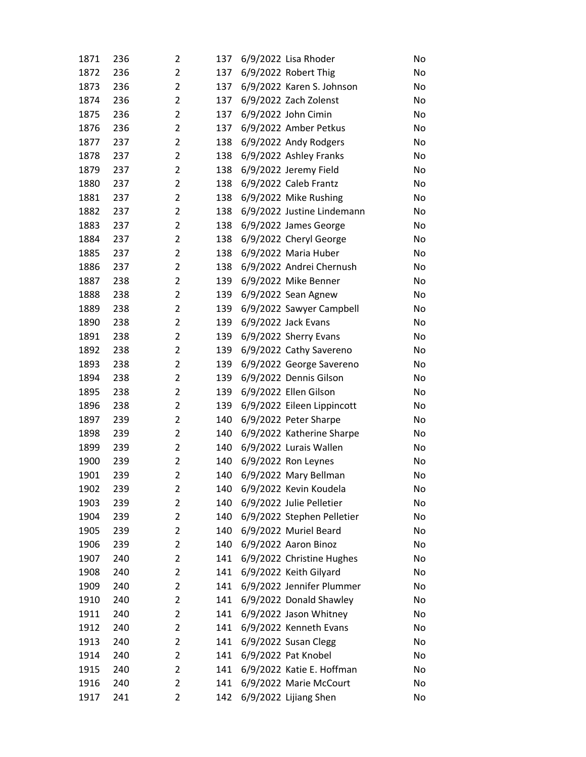| 1871 | 236 | 2              | 137 | 6/9/2022 Lisa Rhoder       | No |
|------|-----|----------------|-----|----------------------------|----|
| 1872 | 236 | $\overline{2}$ | 137 | 6/9/2022 Robert Thig       | No |
| 1873 | 236 | $\overline{2}$ | 137 | 6/9/2022 Karen S. Johnson  | No |
| 1874 | 236 | $\overline{2}$ | 137 | 6/9/2022 Zach Zolenst      | No |
| 1875 | 236 | $\overline{2}$ | 137 | 6/9/2022 John Cimin        | No |
| 1876 | 236 | $\overline{2}$ | 137 | 6/9/2022 Amber Petkus      | No |
| 1877 | 237 | $\overline{2}$ | 138 | 6/9/2022 Andy Rodgers      | No |
| 1878 | 237 | $\overline{2}$ | 138 | 6/9/2022 Ashley Franks     | No |
| 1879 | 237 | $\overline{2}$ | 138 | 6/9/2022 Jeremy Field      | No |
| 1880 | 237 | $\overline{2}$ | 138 | 6/9/2022 Caleb Frantz      | No |
| 1881 | 237 | $\overline{2}$ | 138 | 6/9/2022 Mike Rushing      | No |
| 1882 | 237 | $\overline{2}$ | 138 | 6/9/2022 Justine Lindemann | No |
| 1883 | 237 | $\overline{2}$ | 138 | 6/9/2022 James George      | No |
| 1884 | 237 | $\overline{2}$ | 138 | 6/9/2022 Cheryl George     | No |
| 1885 | 237 | $\overline{2}$ | 138 | 6/9/2022 Maria Huber       | No |
| 1886 | 237 | $\overline{2}$ | 138 | 6/9/2022 Andrei Chernush   | No |
| 1887 | 238 | $\overline{2}$ | 139 | 6/9/2022 Mike Benner       | No |
| 1888 | 238 | $\overline{2}$ | 139 | 6/9/2022 Sean Agnew        | No |
| 1889 | 238 | $\overline{2}$ | 139 | 6/9/2022 Sawyer Campbell   | No |
| 1890 | 238 | $\overline{2}$ | 139 | 6/9/2022 Jack Evans        | No |
| 1891 | 238 | $\overline{2}$ | 139 | 6/9/2022 Sherry Evans      | No |
| 1892 | 238 | $\overline{2}$ | 139 | 6/9/2022 Cathy Savereno    | No |
| 1893 | 238 | $\overline{2}$ | 139 | 6/9/2022 George Savereno   | No |
| 1894 | 238 | $\overline{2}$ | 139 | 6/9/2022 Dennis Gilson     | No |
| 1895 | 238 | $\overline{2}$ | 139 | 6/9/2022 Ellen Gilson      | No |
| 1896 | 238 | $\overline{2}$ | 139 | 6/9/2022 Eileen Lippincott | No |
| 1897 | 239 | $\overline{2}$ | 140 | 6/9/2022 Peter Sharpe      | No |
| 1898 | 239 | $\overline{2}$ | 140 | 6/9/2022 Katherine Sharpe  | No |
| 1899 | 239 | $\overline{2}$ | 140 | 6/9/2022 Lurais Wallen     | No |
| 1900 | 239 | $\overline{2}$ | 140 | 6/9/2022 Ron Leynes        | No |
| 1901 | 239 | $\overline{2}$ | 140 | 6/9/2022 Mary Bellman      | No |
| 1902 | 239 | 2              | 140 | 6/9/2022 Kevin Koudela     | No |
| 1903 | 239 | $\overline{c}$ | 140 | 6/9/2022 Julie Pelletier   | No |
| 1904 | 239 | $\overline{2}$ | 140 | 6/9/2022 Stephen Pelletier | No |
| 1905 | 239 | $\overline{2}$ | 140 | 6/9/2022 Muriel Beard      | No |
| 1906 | 239 | $\overline{2}$ | 140 | 6/9/2022 Aaron Binoz       | No |
| 1907 | 240 | $\overline{2}$ | 141 | 6/9/2022 Christine Hughes  | No |
| 1908 | 240 | $\overline{2}$ | 141 | 6/9/2022 Keith Gilyard     | No |
| 1909 | 240 | $\overline{2}$ | 141 | 6/9/2022 Jennifer Plummer  | No |
| 1910 | 240 | $\overline{2}$ | 141 | 6/9/2022 Donald Shawley    | No |
| 1911 | 240 | $\overline{2}$ | 141 | 6/9/2022 Jason Whitney     | No |
| 1912 | 240 | $\overline{2}$ | 141 | 6/9/2022 Kenneth Evans     | No |
| 1913 | 240 | $\overline{2}$ | 141 | 6/9/2022 Susan Clegg       | No |
| 1914 | 240 | $\overline{2}$ | 141 | 6/9/2022 Pat Knobel        | No |
| 1915 | 240 | $\overline{2}$ | 141 | 6/9/2022 Katie E. Hoffman  | No |
| 1916 | 240 | $\overline{2}$ | 141 | 6/9/2022 Marie McCourt     | No |
| 1917 | 241 | $\overline{2}$ | 142 | 6/9/2022 Lijiang Shen      | No |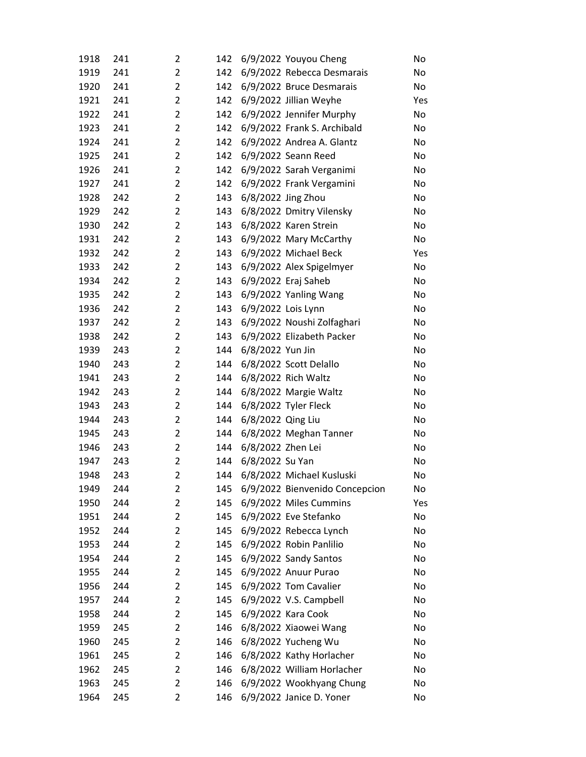| 1918 | 241 | 2              | 142 |                   | 6/9/2022 Youyou Cheng          | No  |
|------|-----|----------------|-----|-------------------|--------------------------------|-----|
| 1919 | 241 | $\overline{2}$ | 142 |                   | 6/9/2022 Rebecca Desmarais     | No  |
| 1920 | 241 | $\overline{2}$ | 142 |                   | 6/9/2022 Bruce Desmarais       | No  |
| 1921 | 241 | $\overline{2}$ | 142 |                   | 6/9/2022 Jillian Weyhe         | Yes |
| 1922 | 241 | $\overline{2}$ | 142 |                   | 6/9/2022 Jennifer Murphy       | No  |
| 1923 | 241 | $\overline{2}$ | 142 |                   | 6/9/2022 Frank S. Archibald    | No  |
| 1924 | 241 | $\overline{2}$ | 142 |                   | 6/9/2022 Andrea A. Glantz      | No  |
| 1925 | 241 | $\overline{2}$ | 142 |                   | 6/9/2022 Seann Reed            | No  |
| 1926 | 241 | $\overline{2}$ | 142 |                   | 6/9/2022 Sarah Verganimi       | No  |
| 1927 | 241 | $\overline{2}$ | 142 |                   | 6/9/2022 Frank Vergamini       | No  |
| 1928 | 242 | $\overline{2}$ | 143 |                   | 6/8/2022 Jing Zhou             | No  |
| 1929 | 242 | $\overline{2}$ | 143 |                   | 6/8/2022 Dmitry Vilensky       | No  |
| 1930 | 242 | $\overline{2}$ | 143 |                   | 6/8/2022 Karen Strein          | No  |
| 1931 | 242 | $\overline{2}$ | 143 |                   | 6/9/2022 Mary McCarthy         | No  |
| 1932 | 242 | $\overline{2}$ | 143 |                   | 6/9/2022 Michael Beck          | Yes |
| 1933 | 242 | $\overline{2}$ | 143 |                   | 6/9/2022 Alex Spigelmyer       | No  |
| 1934 | 242 | $\overline{2}$ | 143 |                   | 6/9/2022 Eraj Saheb            | No  |
| 1935 | 242 | $\overline{2}$ | 143 |                   | 6/9/2022 Yanling Wang          | No  |
| 1936 | 242 | $\overline{2}$ | 143 |                   | 6/9/2022 Lois Lynn             | No  |
| 1937 | 242 | $\overline{2}$ | 143 |                   | 6/9/2022 Noushi Zolfaghari     | No  |
| 1938 | 242 | $\overline{2}$ | 143 |                   | 6/9/2022 Elizabeth Packer      | No  |
| 1939 | 243 | $\overline{2}$ | 144 | 6/8/2022 Yun Jin  |                                | No  |
| 1940 | 243 | $\overline{2}$ | 144 |                   | 6/8/2022 Scott Delallo         | No  |
| 1941 | 243 | $\overline{2}$ | 144 |                   | 6/8/2022 Rich Waltz            | No  |
| 1942 | 243 | $\overline{2}$ | 144 |                   | 6/8/2022 Margie Waltz          | No  |
| 1943 | 243 | $\overline{2}$ | 144 |                   | 6/8/2022 Tyler Fleck           | No  |
| 1944 | 243 | $\overline{2}$ | 144 | 6/8/2022 Qing Liu |                                | No  |
| 1945 | 243 | $\overline{2}$ | 144 |                   | 6/8/2022 Meghan Tanner         | No  |
| 1946 | 243 | $\overline{2}$ | 144 | 6/8/2022 Zhen Lei |                                | No  |
| 1947 | 243 | $\overline{2}$ | 144 | 6/8/2022 Su Yan   |                                | No  |
| 1948 | 243 | $\overline{2}$ | 144 |                   | 6/8/2022 Michael Kusluski      | No  |
| 1949 | 244 | 2              | 145 |                   | 6/9/2022 Bienvenido Concepcion | No  |
| 1950 | 244 | $\overline{2}$ | 145 |                   | 6/9/2022 Miles Cummins         | Yes |
| 1951 | 244 | $\overline{2}$ | 145 |                   | 6/9/2022 Eve Stefanko          | No  |
| 1952 | 244 | $\overline{2}$ | 145 |                   | 6/9/2022 Rebecca Lynch         | No  |
| 1953 | 244 | $\overline{2}$ | 145 |                   | 6/9/2022 Robin Panlilio        | No  |
| 1954 | 244 | 2              | 145 |                   | 6/9/2022 Sandy Santos          | No  |
| 1955 | 244 | 2              | 145 |                   | 6/9/2022 Anuur Purao           | No  |
| 1956 | 244 | $\overline{2}$ | 145 |                   | 6/9/2022 Tom Cavalier          | No  |
| 1957 | 244 | $\overline{2}$ | 145 |                   | 6/9/2022 V.S. Campbell         | No  |
| 1958 | 244 | $\overline{2}$ | 145 |                   | 6/9/2022 Kara Cook             | No  |
| 1959 | 245 | 2              | 146 |                   | 6/8/2022 Xiaowei Wang          | No  |
| 1960 | 245 | $\overline{2}$ | 146 |                   | 6/8/2022 Yucheng Wu            | No  |
| 1961 | 245 | $\overline{2}$ | 146 |                   | 6/8/2022 Kathy Horlacher       | No  |
| 1962 | 245 | 2              | 146 |                   | 6/8/2022 William Horlacher     | No  |
| 1963 | 245 | $\overline{2}$ | 146 |                   | 6/9/2022 Wookhyang Chung       | No  |
| 1964 | 245 | $\overline{2}$ | 146 |                   | 6/9/2022 Janice D. Yoner       | No  |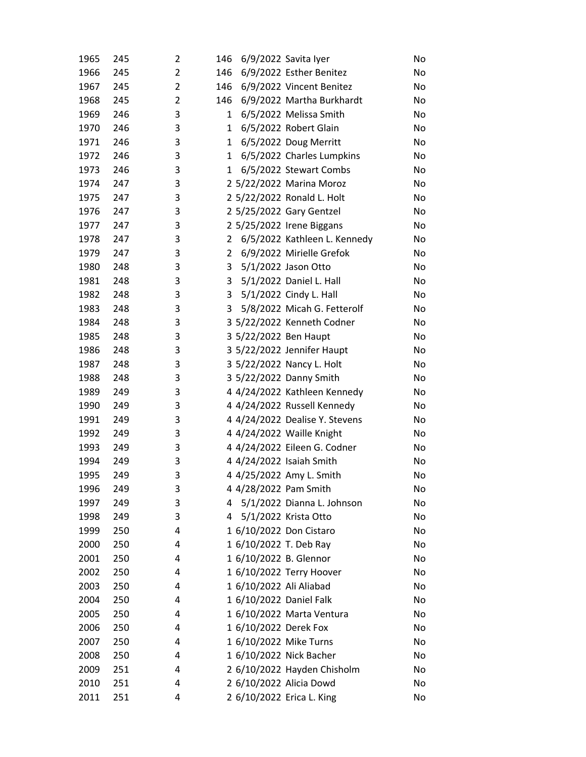| 1965         | 245        | 2              | 146            |                         | 6/9/2022 Savita Iyer           | No       |
|--------------|------------|----------------|----------------|-------------------------|--------------------------------|----------|
| 1966         | 245        | $\overline{2}$ | 146            |                         | 6/9/2022 Esther Benitez        | No       |
| 1967         | 245        | $\overline{2}$ | 146            |                         | 6/9/2022 Vincent Benitez       | No       |
| 1968         | 245        | $\overline{2}$ | 146            |                         | 6/9/2022 Martha Burkhardt      | No       |
| 1969         | 246        | 3              | $\mathbf{1}$   |                         | 6/5/2022 Melissa Smith         | No       |
| 1970         | 246        | 3              | $\mathbf{1}$   |                         | 6/5/2022 Robert Glain          | No       |
| 1971         | 246        | 3              | $\mathbf{1}$   |                         | 6/5/2022 Doug Merritt          | No       |
| 1972         | 246        | 3              | $\mathbf{1}$   |                         | 6/5/2022 Charles Lumpkins      | No       |
| 1973         | 246        | 3              | 1              |                         | 6/5/2022 Stewart Combs         | No       |
| 1974         | 247        | 3              |                |                         | 2 5/22/2022 Marina Moroz       | No       |
| 1975         | 247        | 3              |                |                         | 2 5/22/2022 Ronald L. Holt     | No       |
| 1976         | 247        | 3              |                |                         | 2 5/25/2022 Gary Gentzel       | No       |
| 1977         | 247        | 3              |                |                         | 2 5/25/2022 Irene Biggans      | No       |
| 1978         | 247        | 3              | 2              |                         | 6/5/2022 Kathleen L. Kennedy   | No       |
| 1979         | 247        | 3              | $2^{\circ}$    |                         | 6/9/2022 Mirielle Grefok       | No       |
| 1980         | 248        | 3              | $\mathbf{3}$   |                         | 5/1/2022 Jason Otto            | No       |
| 1981         | 248        | 3              | 3 <sup>7</sup> |                         | 5/1/2022 Daniel L. Hall        | No       |
| 1982         | 248        | 3              | 3 <sup>7</sup> |                         | 5/1/2022 Cindy L. Hall         | No       |
| 1983         | 248        | 3              | 3              |                         | 5/8/2022 Micah G. Fetterolf    | No       |
| 1984         | 248        | 3              |                |                         | 3 5/22/2022 Kenneth Codner     | No       |
| 1985         | 248        | 3              |                | 3 5/22/2022 Ben Haupt   |                                | No       |
| 1986         | 248        | 3              |                |                         | 3 5/22/2022 Jennifer Haupt     | No       |
| 1987         | 248        | 3              |                |                         | 3 5/22/2022 Nancy L. Holt      | No       |
| 1988         | 248        | 3              |                |                         | 3 5/22/2022 Danny Smith        | No       |
| 1989         | 249        | 3              |                |                         | 4 4/24/2022 Kathleen Kennedy   | No       |
| 1990         | 249        | 3              |                |                         | 4 4/24/2022 Russell Kennedy    | No       |
| 1991         | 249        | 3              |                |                         | 4 4/24/2022 Dealise Y. Stevens | No       |
| 1992         | 249        | 3              |                |                         | 4 4/24/2022 Waille Knight      | No       |
| 1993         | 249        | 3              |                |                         | 4 4/24/2022 Eileen G. Codner   | No       |
| 1994         | 249        | 3              |                |                         | 4 4/24/2022 Isaiah Smith       | No       |
| 1995         | 249        | 3              |                |                         | 4 4/25/2022 Amy L. Smith       | No       |
| 1996         | 249        | 3              |                | 4 4/28/2022 Pam Smith   |                                | No       |
| 1997         | 249        | 3              | 4              |                         | 5/1/2022 Dianna L. Johnson     | No       |
| 1998         | 249        | 3              | 4              |                         | 5/1/2022 Krista Otto           | No       |
| 1999<br>2000 | 250<br>250 | 4<br>4         |                | 1 6/10/2022 T. Deb Ray  | 1 6/10/2022 Don Cistaro        | No<br>No |
| 2001         | 250        | 4              |                | 1 6/10/2022 B. Glennor  |                                | No       |
| 2002         | 250        | 4              |                |                         | 1 6/10/2022 Terry Hoover       | No       |
| 2003         | 250        | 4              |                | 1 6/10/2022 Ali Aliabad |                                | No       |
| 2004         | 250        | 4              |                |                         | 1 6/10/2022 Daniel Falk        | No       |
| 2005         | 250        | 4              |                |                         | 1 6/10/2022 Marta Ventura      | No       |
| 2006         | 250        | 4              |                | 1 6/10/2022 Derek Fox   |                                | No       |
| 2007         | 250        | 4              |                |                         | 1 6/10/2022 Mike Turns         | No       |
| 2008         | 250        | 4              |                |                         | 1 6/10/2022 Nick Bacher        | No       |
| 2009         | 251        | 4              |                |                         | 2 6/10/2022 Hayden Chisholm    | No       |
| 2010         | 251        | 4              |                |                         | 2 6/10/2022 Alicia Dowd        | No       |
| 2011         | 251        | 4              |                |                         | 2 6/10/2022 Erica L. King      | No       |
|              |            |                |                |                         |                                |          |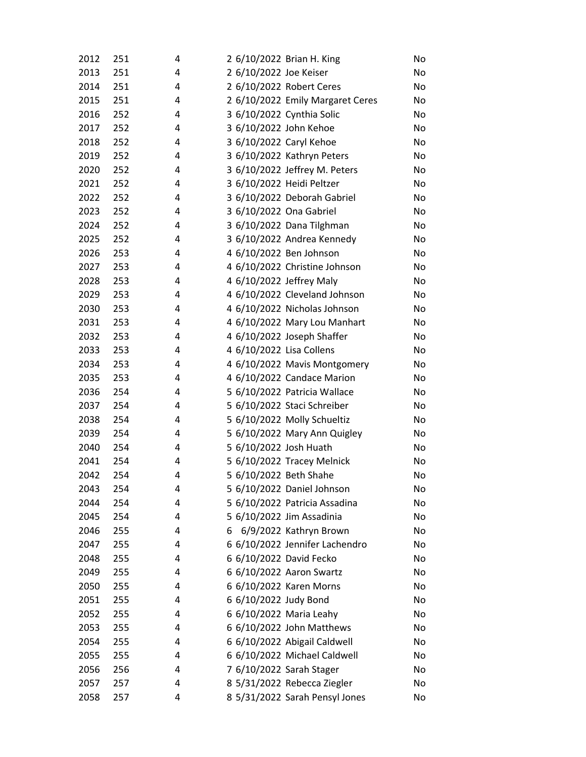| 2012 | 251 | 4 | 2 6/10/2022 Brian H. King |                                  | No |
|------|-----|---|---------------------------|----------------------------------|----|
| 2013 | 251 | 4 | 2 6/10/2022 Joe Keiser    |                                  | No |
| 2014 | 251 | 4 | 2 6/10/2022 Robert Ceres  |                                  | No |
| 2015 | 251 | 4 |                           | 2 6/10/2022 Emily Margaret Ceres | No |
| 2016 | 252 | 4 | 3 6/10/2022 Cynthia Solic |                                  | No |
| 2017 | 252 | 4 | 3 6/10/2022 John Kehoe    |                                  | No |
| 2018 | 252 | 4 | 3 6/10/2022 Caryl Kehoe   |                                  | No |
| 2019 | 252 | 4 |                           | 3 6/10/2022 Kathryn Peters       | No |
| 2020 | 252 | 4 |                           | 3 6/10/2022 Jeffrey M. Peters    | No |
| 2021 | 252 | 4 | 3 6/10/2022 Heidi Peltzer |                                  | No |
| 2022 | 252 | 4 |                           | 3 6/10/2022 Deborah Gabriel      | No |
| 2023 | 252 | 4 | 3 6/10/2022 Ona Gabriel   |                                  | No |
| 2024 | 252 | 4 |                           | 3 6/10/2022 Dana Tilghman        | No |
| 2025 | 252 | 4 |                           | 3 6/10/2022 Andrea Kennedy       | No |
| 2026 | 253 | 4 | 4 6/10/2022 Ben Johnson   |                                  | No |
| 2027 | 253 | 4 |                           | 4 6/10/2022 Christine Johnson    | No |
| 2028 | 253 | 4 | 4 6/10/2022 Jeffrey Maly  |                                  | No |
| 2029 | 253 | 4 |                           | 4 6/10/2022 Cleveland Johnson    | No |
| 2030 | 253 | 4 |                           | 4 6/10/2022 Nicholas Johnson     | No |
| 2031 | 253 | 4 |                           | 4 6/10/2022 Mary Lou Manhart     | No |
| 2032 | 253 | 4 |                           | 4 6/10/2022 Joseph Shaffer       | No |
| 2033 | 253 | 4 | 4 6/10/2022 Lisa Collens  |                                  | No |
| 2034 | 253 | 4 |                           | 4 6/10/2022 Mavis Montgomery     | No |
| 2035 | 253 | 4 |                           | 4 6/10/2022 Candace Marion       | No |
| 2036 | 254 | 4 |                           | 5 6/10/2022 Patricia Wallace     | No |
| 2037 | 254 | 4 |                           | 5 6/10/2022 Staci Schreiber      | No |
| 2038 | 254 | 4 |                           | 5 6/10/2022 Molly Schueltiz      | No |
| 2039 | 254 | 4 |                           | 5 6/10/2022 Mary Ann Quigley     | No |
| 2040 | 254 | 4 | 5 6/10/2022 Josh Huath    |                                  | No |
| 2041 | 254 | 4 |                           | 5 6/10/2022 Tracey Melnick       | No |
| 2042 | 254 | 4 | 5 6/10/2022 Beth Shahe    |                                  | No |
| 2043 | 254 | 4 |                           | 5 6/10/2022 Daniel Johnson       | No |
| 2044 | 254 | 4 |                           | 5 6/10/2022 Patricia Assadina    | No |
| 2045 | 254 | 4 | 5 6/10/2022 Jim Assadinia |                                  | No |
| 2046 | 255 | 4 | 6.                        | 6/9/2022 Kathryn Brown           | No |
| 2047 | 255 | 4 |                           | 6 6/10/2022 Jennifer Lachendro   | No |
| 2048 | 255 | 4 | 6 6/10/2022 David Fecko   |                                  | No |
| 2049 | 255 | 4 | 6 6/10/2022 Aaron Swartz  |                                  | No |
| 2050 | 255 | 4 | 6 6/10/2022 Karen Morns   |                                  | No |
| 2051 | 255 | 4 | 6 6/10/2022 Judy Bond     |                                  | No |
| 2052 | 255 | 4 | 6 6/10/2022 Maria Leahy   |                                  | No |
| 2053 | 255 | 4 |                           | 6 6/10/2022 John Matthews        | No |
| 2054 | 255 | 4 |                           | 6 6/10/2022 Abigail Caldwell     | No |
| 2055 | 255 | 4 |                           | 6 6/10/2022 Michael Caldwell     | No |
| 2056 | 256 | 4 | 7 6/10/2022 Sarah Stager  |                                  | No |
| 2057 | 257 | 4 |                           | 8 5/31/2022 Rebecca Ziegler      | No |
| 2058 | 257 | 4 |                           | 8 5/31/2022 Sarah Pensyl Jones   | No |